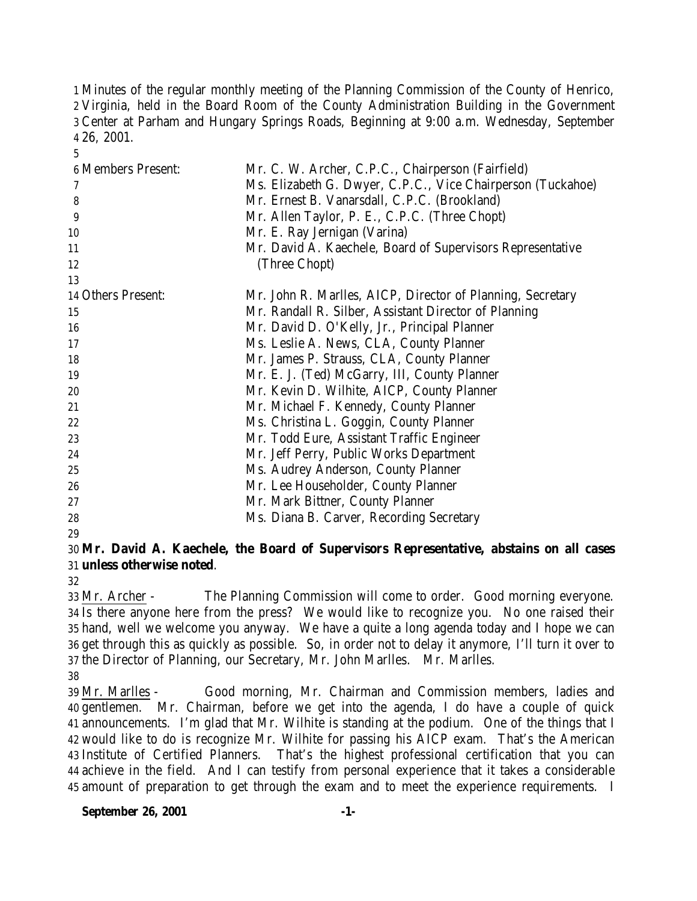Minutes of the regular monthly meeting of the Planning Commission of the County of Henrico, Virginia, held in the Board Room of the County Administration Building in the Government Center at Parham and Hungary Springs Roads, Beginning at 9:00 a.m. Wednesday, September 26, 2001.

| <b>6 Members Present:</b> | Mr. C. W. Archer, C.P.C., Chairperson (Fairfield)           |
|---------------------------|-------------------------------------------------------------|
| 7                         | Ms. Elizabeth G. Dwyer, C.P.C., Vice Chairperson (Tuckahoe) |
| 8                         | Mr. Ernest B. Vanarsdall, C.P.C. (Brookland)                |
| 9                         | Mr. Allen Taylor, P. E., C.P.C. (Three Chopt)               |
| 10                        | Mr. E. Ray Jernigan (Varina)                                |
| 11                        | Mr. David A. Kaechele, Board of Supervisors Representative  |
| 12                        | (Three Chopt)                                               |
| 13                        |                                                             |
| 14 Others Present:        | Mr. John R. Marlles, AICP, Director of Planning, Secretary  |
| 15                        | Mr. Randall R. Silber, Assistant Director of Planning       |
| 16                        | Mr. David D. O'Kelly, Jr., Principal Planner                |
| 17                        | Ms. Leslie A. News, CLA, County Planner                     |
| 18                        | Mr. James P. Strauss, CLA, County Planner                   |
| 19                        | Mr. E. J. (Ted) McGarry, III, County Planner                |
| 20                        | Mr. Kevin D. Wilhite, AICP, County Planner                  |
| 21                        | Mr. Michael F. Kennedy, County Planner                      |
| 22                        | Ms. Christina L. Goggin, County Planner                     |
| 23                        | Mr. Todd Eure, Assistant Traffic Engineer                   |
| 24                        | Mr. Jeff Perry, Public Works Department                     |
| 25                        | Ms. Audrey Anderson, County Planner                         |
| 26                        | Mr. Lee Householder, County Planner                         |
| 27                        | Mr. Mark Bittner, County Planner                            |
| 28                        | Ms. Diana B. Carver, Recording Secretary                    |
|                           |                                                             |

## **Mr. David A. Kaechele, the Board of Supervisors Representative, abstains on all cases unless otherwise noted**.

 Mr. Archer - The Planning Commission will come to order. Good morning everyone. Is there anyone here from the press? We would like to recognize you. No one raised their hand, well we welcome you anyway. We have a quite a long agenda today and I hope we can get through this as quickly as possible. So, in order not to delay it anymore, I'll turn it over to the Director of Planning, our Secretary, Mr. John Marlles. Mr. Marlles.

 Mr. Marlles - Good morning, Mr. Chairman and Commission members, ladies and gentlemen. Mr. Chairman, before we get into the agenda, I do have a couple of quick announcements. I'm glad that Mr. Wilhite is standing at the podium. One of the things that I would like to do is recognize Mr. Wilhite for passing his AICP exam. That's the American Institute of Certified Planners. That's the highest professional certification that you can achieve in the field. And I can testify from personal experience that it takes a considerable amount of preparation to get through the exam and to meet the experience requirements. I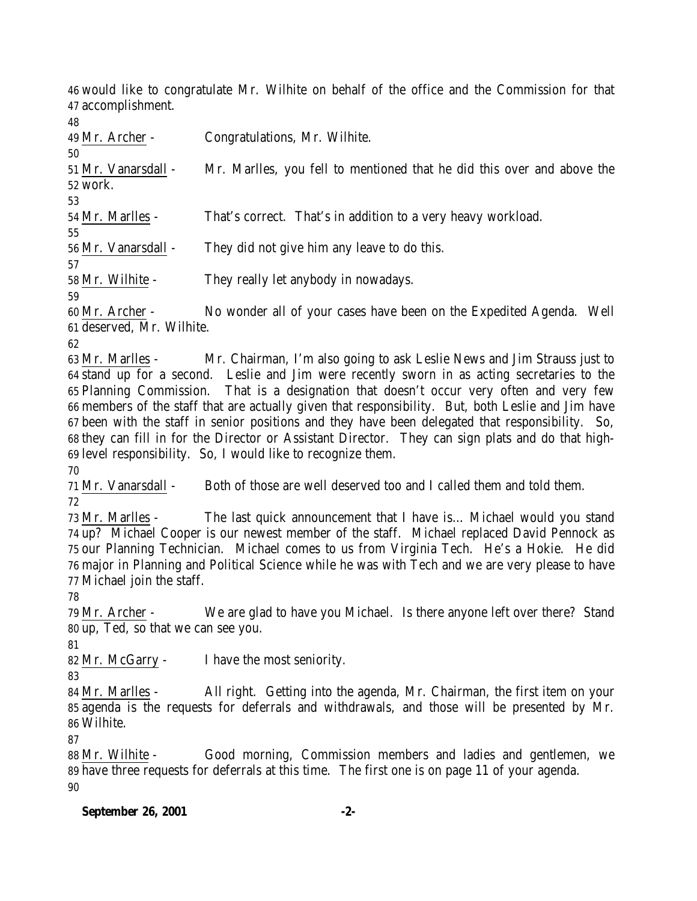would like to congratulate Mr. Wilhite on behalf of the office and the Commission for that accomplishment.

| 48                  |                                                                        |
|---------------------|------------------------------------------------------------------------|
| 49 Mr. Archer -     | Congratulations, Mr. Wilhite.                                          |
| 50                  |                                                                        |
| 51 Mr. Vanarsdall - | Mr. Marlles, you fell to mentioned that he did this over and above the |
| 52 work.            |                                                                        |
| 53                  |                                                                        |
| 54 Mr. Marlles -    | That's correct. That's in addition to a very heavy workload.           |
| 55                  |                                                                        |
| 56 Mr. Vanarsdall - | They did not give him any leave to do this.                            |
| 57                  |                                                                        |
| 58 Mr. Wilhite -    | They really let anybody in nowadays.                                   |
| 59                  |                                                                        |

 Mr. Archer - No wonder all of your cases have been on the Expedited Agenda. Well deserved, Mr. Wilhite.

 Mr. Marlles - Mr. Chairman, I'm also going to ask Leslie News and Jim Strauss just to stand up for a second. Leslie and Jim were recently sworn in as acting secretaries to the Planning Commission. That is a designation that doesn't occur very often and very few members of the staff that are actually given that responsibility. But, both Leslie and Jim have been with the staff in senior positions and they have been delegated that responsibility. So, they can fill in for the Director or Assistant Director. They can sign plats and do that high-level responsibility. So, I would like to recognize them.

 Mr. Vanarsdall - Both of those are well deserved too and I called them and told them. 

 Mr. Marlles - The last quick announcement that I have is… Michael would you stand up? Michael Cooper is our newest member of the staff. Michael replaced David Pennock as our Planning Technician. Michael comes to us from Virginia Tech. He's a Hokie. He did major in Planning and Political Science while he was with Tech and we are very please to have Michael join the staff.

 Mr. Archer - We are glad to have you Michael. Is there anyone left over there? Stand up, Ted, so that we can see you.

Mr. McGarry - I have the most seniority.

 Mr. Marlles - All right. Getting into the agenda, Mr. Chairman, the first item on your agenda is the requests for deferrals and withdrawals, and those will be presented by Mr. Wilhite.

 Mr. Wilhite - Good morning, Commission members and ladies and gentlemen, we have three requests for deferrals at this time. The first one is on page 11 of your agenda. 

## **September 26, 2001 -2-**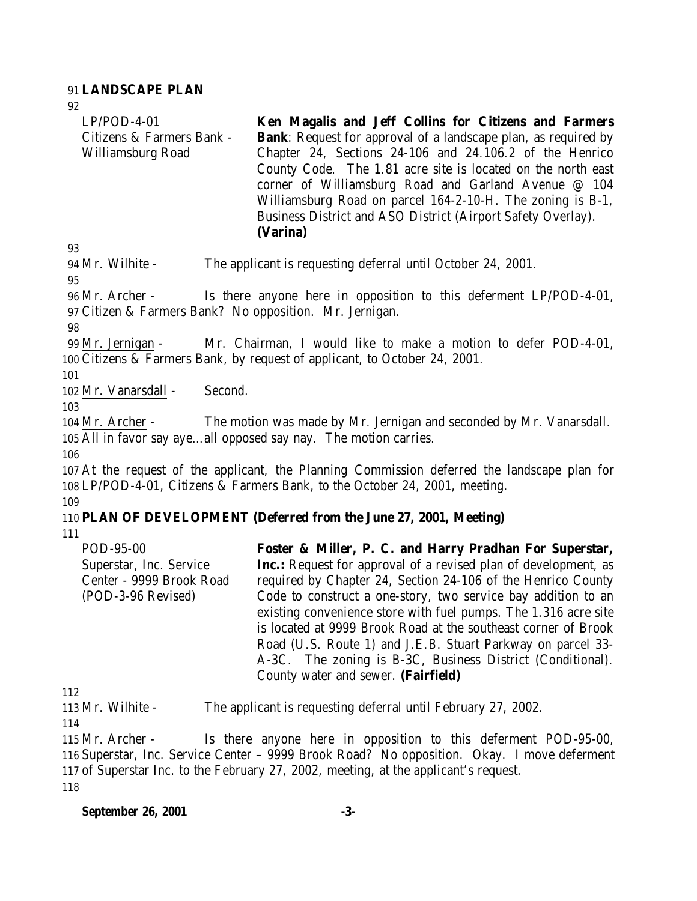#### 91 **LANDSCAPE PLAN**

| 92                        |                                                                       |  |  |  |  |  |  |
|---------------------------|-----------------------------------------------------------------------|--|--|--|--|--|--|
| $LP/POD-4-01$             | Ken Magalis and Jeff Collins for Citizens and Farmers                 |  |  |  |  |  |  |
| Citizens & Farmers Bank - | <b>Bank:</b> Request for approval of a landscape plan, as required by |  |  |  |  |  |  |
| Williamsburg Road         | Chapter 24, Sections 24-106 and 24.106.2 of the Henrico               |  |  |  |  |  |  |
|                           | County Code. The 1.81 acre site is located on the north east          |  |  |  |  |  |  |
|                           | corner of Williamsburg Road and Garland Avenue @ 104                  |  |  |  |  |  |  |
|                           | Williamsburg Road on parcel 164-2-10-H. The zoning is B-1,            |  |  |  |  |  |  |
|                           | Business District and ASO District (Airport Safety Overlay).          |  |  |  |  |  |  |
|                           | (Varina)                                                              |  |  |  |  |  |  |
| 93                        |                                                                       |  |  |  |  |  |  |
| 94 Mr. Wilhite -          | The applicant is requesting deferral until October 24, 2001.          |  |  |  |  |  |  |
| 95                        |                                                                       |  |  |  |  |  |  |

96 Mr. Archer - Is there anyone here in opposition to this deferment LP/POD-4-01, 97 Citizen & Farmers Bank? No opposition. Mr. Jernigan.

98

99 Mr. Jernigan - Mr. Chairman, I would like to make a motion to defer POD-4-01, 100 Citizens & Farmers Bank, by request of applicant, to October 24, 2001.

101

102 Mr. Vanarsdall - Second.

103

104 Mr. Archer - The motion was made by Mr. Jernigan and seconded by Mr. Vanarsdall. 105 All in favor say aye…all opposed say nay. The motion carries.

106

107 At the request of the applicant, the Planning Commission deferred the landscape plan for 108 LP/POD-4-01, Citizens & Farmers Bank, to the October 24, 2001, meeting. 109

### 110 **PLAN OF DEVELOPMENT (Deferred from the June 27, 2001, Meeting)**

111

POD-95-00 Superstar, Inc. Service Center - 9999 Brook Road (POD-3-96 Revised) **Foster & Miller, P. C. and Harry Pradhan For Superstar, Inc.:** Request for approval of a revised plan of development, as required by Chapter 24, Section 24-106 of the Henrico County Code to construct a one-story, two service bay addition to an existing convenience store with fuel pumps. The 1.316 acre site is located at 9999 Brook Road at the southeast corner of Brook Road (U.S. Route 1) and J.E.B. Stuart Parkway on parcel 33- A-3C. The zoning is B-3C, Business District (Conditional). County water and sewer. **(Fairfield)**

112

113 Mr. Wilhite - The applicant is requesting deferral until February 27, 2002.

114

 Mr. Archer - Is there anyone here in opposition to this deferment POD-95-00, Superstar, Inc. Service Center – 9999 Brook Road? No opposition. Okay. I move deferment of Superstar Inc. to the February 27, 2002, meeting, at the applicant's request. 118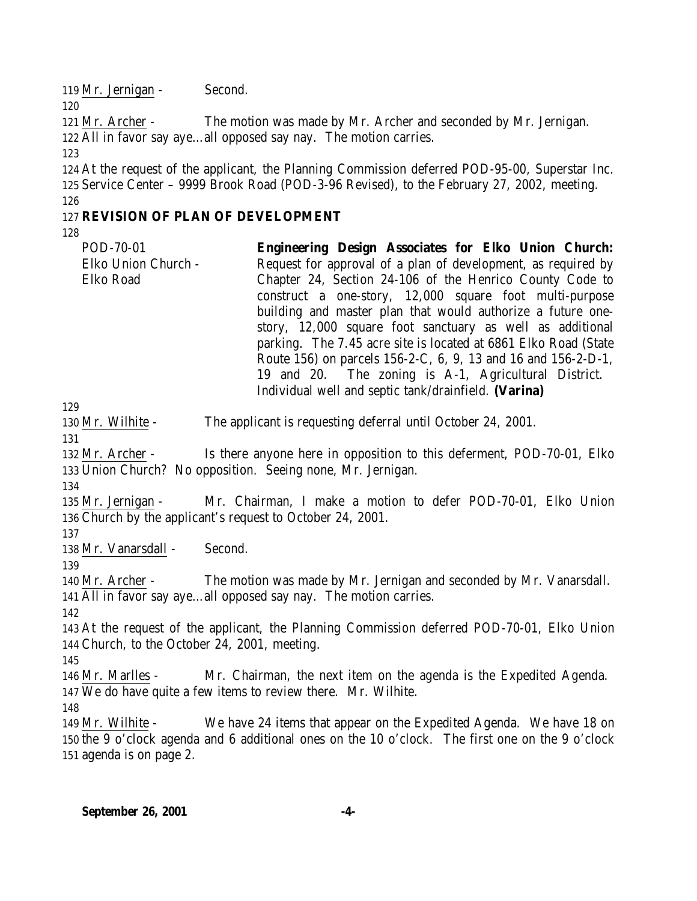119 Mr. Jernigan - Second.

 Mr. Archer - The motion was made by Mr. Archer and seconded by Mr. Jernigan. All in favor say aye…all opposed say nay. The motion carries.

 At the request of the applicant, the Planning Commission deferred POD-95-00, Superstar Inc. Service Center – 9999 Brook Road (POD-3-96 Revised), to the February 27, 2002, meeting.

#### 

### **REVISION OF PLAN OF DEVELOPMENT**

| POD-70-01           | Engineering Design Associates for Elko Union Church:            |  |  |  |  |  |  |
|---------------------|-----------------------------------------------------------------|--|--|--|--|--|--|
| Elko Union Church - | Request for approval of a plan of development, as required by   |  |  |  |  |  |  |
| Elko Road           | Chapter 24, Section 24-106 of the Henrico County Code to        |  |  |  |  |  |  |
|                     | construct a one-story, 12,000 square foot multi-purpose         |  |  |  |  |  |  |
|                     | building and master plan that would authorize a future one-     |  |  |  |  |  |  |
|                     | story, 12,000 square foot sanctuary as well as additional       |  |  |  |  |  |  |
|                     | parking. The 7.45 acre site is located at 6861 Elko Road (State |  |  |  |  |  |  |
|                     | Route 156) on parcels 156-2-C, 6, 9, 13 and 16 and 156-2-D-1,   |  |  |  |  |  |  |
|                     | 19 and 20. The zoning is A-1, Agricultural District.            |  |  |  |  |  |  |
|                     | Individual well and septic tank/drainfield. (Varina)            |  |  |  |  |  |  |

Mr. Wilhite - The applicant is requesting deferral until October 24, 2001.

 Mr. Archer - Is there anyone here in opposition to this deferment, POD-70-01, Elko Union Church? No opposition. Seeing none, Mr. Jernigan.

 Mr. Jernigan - Mr. Chairman, I make a motion to defer POD-70-01, Elko Union Church by the applicant's request to October 24, 2001.

Mr. Vanarsdall - Second.

 Mr. Archer - The motion was made by Mr. Jernigan and seconded by Mr. Vanarsdall. All in favor say aye…all opposed say nay. The motion carries.

 At the request of the applicant, the Planning Commission deferred POD-70-01, Elko Union Church, to the October 24, 2001, meeting.

 Mr. Marlles - Mr. Chairman, the next item on the agenda is the Expedited Agenda. We do have quite a few items to review there. Mr. Wilhite.

 Mr. Wilhite - We have 24 items that appear on the Expedited Agenda. We have 18 on the 9 o'clock agenda and 6 additional ones on the 10 o'clock. The first one on the 9 o'clock agenda is on page 2.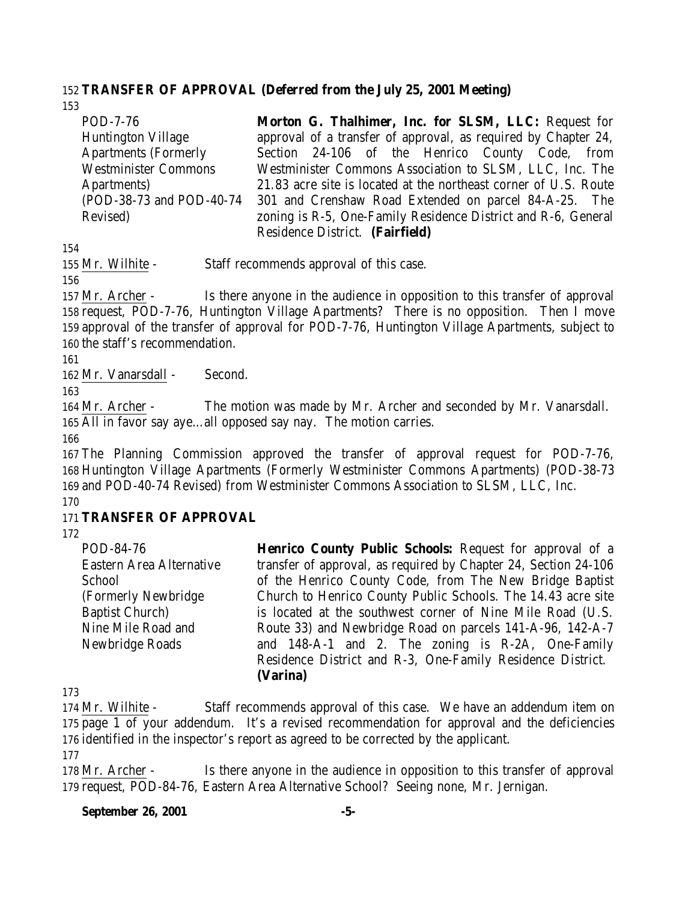### 152 **TRANSFER OF APPROVAL (Deferred from the July 25, 2001 Meeting)**

153

POD-7-76 Huntington Village Apartments (Formerly Westminister Commons Apartments) (POD-38-73 and POD-40-74 Revised) **Morton G. Thalhimer, Inc. for SLSM, LLC:** Request for approval of a transfer of approval, as required by Chapter 24, Section 24-106 of the Henrico County Code, from Westminister Commons Association to SLSM, LLC, Inc. The 21.83 acre site is located at the northeast corner of U.S. Route 301 and Crenshaw Road Extended on parcel 84-A-25. The zoning is R-5, One-Family Residence District and R-6, General Residence District. **(Fairfield)**

154

155 Mr. Wilhite - Staff recommends approval of this case.

156

 Mr. Archer - Is there anyone in the audience in opposition to this transfer of approval request, POD-7-76, Huntington Village Apartments? There is no opposition. Then I move approval of the transfer of approval for POD-7-76, Huntington Village Apartments, subject to the staff's recommendation.

161

162 Mr. Vanarsdall - Second.

163

164 Mr. Archer - The motion was made by Mr. Archer and seconded by Mr. Vanarsdall. 165 All in favor say aye…all opposed say nay. The motion carries.

166

167 The Planning Commission approved the transfer of approval request for POD-7-76, 168 Huntington Village Apartments (Formerly Westminister Commons Apartments) (POD-38-73 169 and POD-40-74 Revised) from Westminister Commons Association to SLSM, LLC, Inc.

170

### 171 **TRANSFER OF APPROVAL**

172

POD-84-76 Eastern Area Alternative **School** (Formerly Newbridge Baptist Church) Nine Mile Road and Newbridge Roads **Henrico County Public Schools:** Request for approval of a transfer of approval, as required by Chapter 24, Section 24-106 of the Henrico County Code, from The New Bridge Baptist Church to Henrico County Public Schools. The 14.43 acre site is located at the southwest corner of Nine Mile Road (U.S. Route 33) and Newbridge Road on parcels 141-A-96, 142-A-7 and 148-A-1 and 2. The zoning is R-2A, One-Family Residence District and R-3, One-Family Residence District. **(Varina)**

173

174 Mr. Wilhite - Staff recommends approval of this case. We have an addendum item on 175 page 1 of your addendum. It's a revised recommendation for approval and the deficiencies 176 identified in the inspector's report as agreed to be corrected by the applicant.

177

178 Mr. Archer - Is there anyone in the audience in opposition to this transfer of approval 179 request, POD-84-76, Eastern Area Alternative School? Seeing none, Mr. Jernigan.

#### **September 26, 2001 -5-**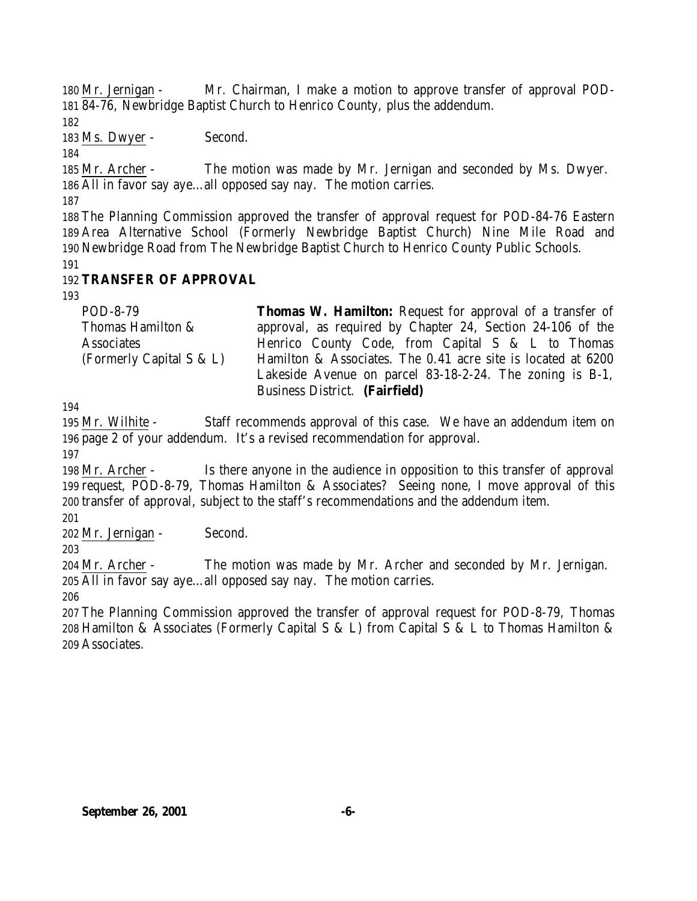Mr. Jernigan - Mr. Chairman, I make a motion to approve transfer of approval POD-84-76, Newbridge Baptist Church to Henrico County, plus the addendum.

Ms. Dwyer - Second.

 Mr. Archer - The motion was made by Mr. Jernigan and seconded by Ms. Dwyer. All in favor say aye…all opposed say nay. The motion carries.

 The Planning Commission approved the transfer of approval request for POD-84-76 Eastern Area Alternative School (Formerly Newbridge Baptist Church) Nine Mile Road and Newbridge Road from The Newbridge Baptist Church to Henrico County Public Schools.

# **TRANSFER OF APPROVAL**

| POD-8-79                 | <b>Thomas W. Hamilton:</b> Request for approval of a transfer of |  |  |  |  |  |  |
|--------------------------|------------------------------------------------------------------|--|--|--|--|--|--|
| Thomas Hamilton &        | approval, as required by Chapter 24, Section 24-106 of the       |  |  |  |  |  |  |
| <b>Associates</b>        | Henrico County Code, from Capital S & L to Thomas                |  |  |  |  |  |  |
| (Formerly Capital S & L) | Hamilton & Associates. The 0.41 acre site is located at 6200     |  |  |  |  |  |  |
|                          | Lakeside Avenue on parcel 83-18-2-24. The zoning is B-1,         |  |  |  |  |  |  |
|                          | Business District. (Fairfield)                                   |  |  |  |  |  |  |

 Mr. Wilhite - Staff recommends approval of this case. We have an addendum item on page 2 of your addendum. It's a revised recommendation for approval.

 Mr. Archer - Is there anyone in the audience in opposition to this transfer of approval request, POD-8-79, Thomas Hamilton & Associates? Seeing none, I move approval of this transfer of approval, subject to the staff's recommendations and the addendum item.

Mr. Jernigan - Second.

 Mr. Archer - The motion was made by Mr. Archer and seconded by Mr. Jernigan. All in favor say aye…all opposed say nay. The motion carries.

 The Planning Commission approved the transfer of approval request for POD-8-79, Thomas Hamilton & Associates (Formerly Capital S & L) from Capital S & L to Thomas Hamilton & Associates.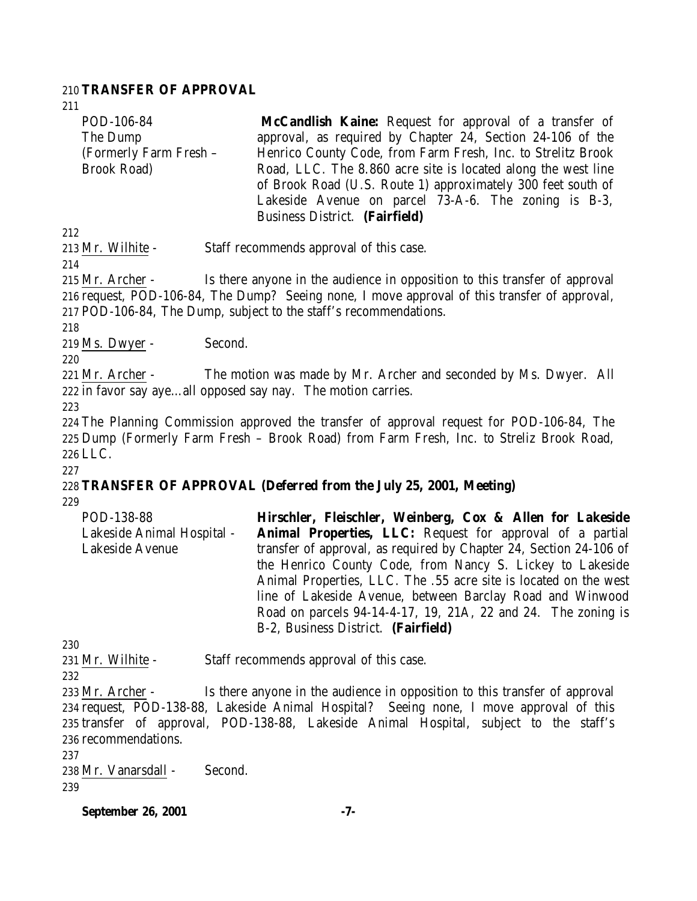#### 210 **TRANSFER OF APPROVAL**

211

POD-106-84 The Dump (Formerly Farm Fresh – Brook Road) **McCandlish Kaine:** Request for approval of a transfer of approval, as required by Chapter 24, Section 24-106 of the Henrico County Code, from Farm Fresh, Inc. to Strelitz Brook Road, LLC. The 8.860 acre site is located along the west line of Brook Road (U.S. Route 1) approximately 300 feet south of Lakeside Avenue on parcel 73-A-6. The zoning is B-3,

212

213 Mr. Wilhite - Staff recommends approval of this case.

214

215 Mr. Archer - Is there anyone in the audience in opposition to this transfer of approval 216 request, POD-106-84, The Dump? Seeing none, I move approval of this transfer of approval, 217 POD-106-84, The Dump, subject to the staff's recommendations.

Business District. **(Fairfield)**

218

219 Ms. Dwyer - Second.

220

221 Mr. Archer - The motion was made by Mr. Archer and seconded by Ms. Dwyer. All 222 in favor say aye…all opposed say nay. The motion carries.

223

224 The Planning Commission approved the transfer of approval request for POD-106-84, The 225 Dump (Formerly Farm Fresh – Brook Road) from Farm Fresh, Inc. to Streliz Brook Road, 226 LLC.

227

#### 228 **TRANSFER OF APPROVAL (Deferred from the July 25, 2001, Meeting)** 229

POD-138-88 Lakeside Animal Hospital - Lakeside Avenue **Hirschler, Fleischler, Weinberg, Cox & Allen for Lakeside Animal Properties, LLC:** Request for approval of a partial transfer of approval, as required by Chapter 24, Section 24-106 of the Henrico County Code, from Nancy S. Lickey to Lakeside Animal Properties, LLC. The .55 acre site is located on the west line of Lakeside Avenue, between Barclay Road and Winwood Road on parcels 94-14-4-17, 19, 21A, 22 and 24. The zoning is B-2, Business District. **(Fairfield)**

230

231 Mr. Wilhite - Staff recommends approval of this case.

232

 Mr. Archer - Is there anyone in the audience in opposition to this transfer of approval request, POD-138-88, Lakeside Animal Hospital? Seeing none, I move approval of this transfer of approval, POD-138-88, Lakeside Animal Hospital, subject to the staff's recommendations.

237

238 Mr. Vanarsdall - Second. 239

**September 26, 2001 -7-**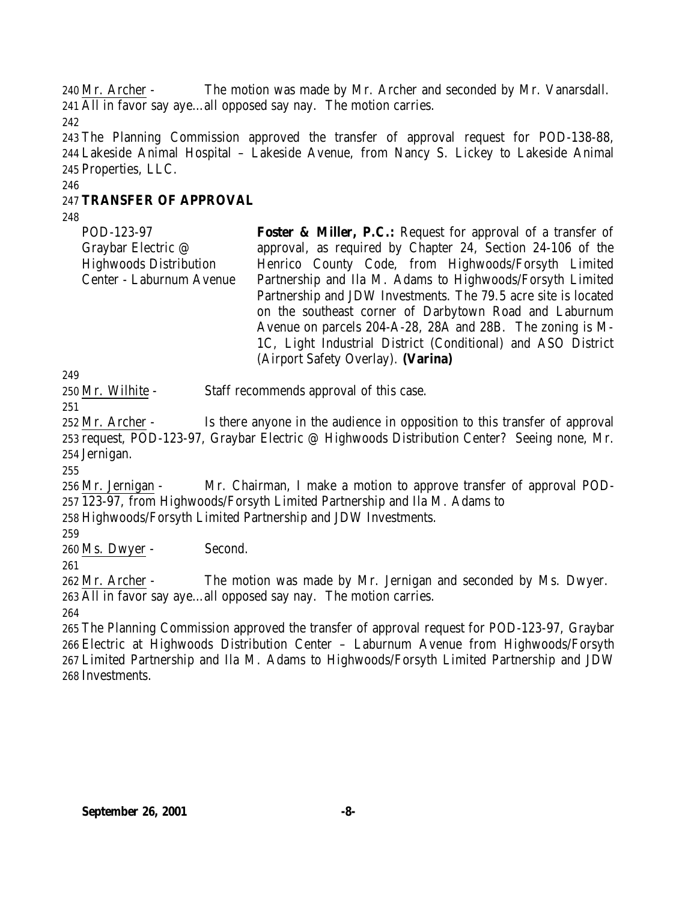Mr. Archer - The motion was made by Mr. Archer and seconded by Mr. Vanarsdall. All in favor say aye…all opposed say nay. The motion carries.

 The Planning Commission approved the transfer of approval request for POD-138-88, Lakeside Animal Hospital – Lakeside Avenue, from Nancy S. Lickey to Lakeside Animal Properties, LLC.

### **TRANSFER OF APPROVAL**

POD-123-97 Graybar Electric @ Highwoods Distribution Center - Laburnum Avenue **Foster & Miller, P.C.:** Request for approval of a transfer of approval, as required by Chapter 24, Section 24-106 of the Henrico County Code, from Highwoods/Forsyth Limited Partnership and Ila M. Adams to Highwoods/Forsyth Limited Partnership and JDW Investments. The 79.5 acre site is located on the southeast corner of Darbytown Road and Laburnum Avenue on parcels 204-A-28, 28A and 28B. The zoning is M-1C, Light Industrial District (Conditional) and ASO District (Airport Safety Overlay). **(Varina)** 

Mr. Wilhite - Staff recommends approval of this case.

 Mr. Archer - Is there anyone in the audience in opposition to this transfer of approval request, POD-123-97, Graybar Electric @ Highwoods Distribution Center? Seeing none, Mr. Jernigan.

 Mr. Jernigan - Mr. Chairman, I make a motion to approve transfer of approval POD-123-97, from Highwoods/Forsyth Limited Partnership and Ila M. Adams to

Highwoods/Forsyth Limited Partnership and JDW Investments.

Ms. Dwyer - Second.

 Mr. Archer - The motion was made by Mr. Jernigan and seconded by Ms. Dwyer. All in favor say aye…all opposed say nay. The motion carries.

 The Planning Commission approved the transfer of approval request for POD-123-97, Graybar Electric at Highwoods Distribution Center – Laburnum Avenue from Highwoods/Forsyth Limited Partnership and Ila M. Adams to Highwoods/Forsyth Limited Partnership and JDW Investments.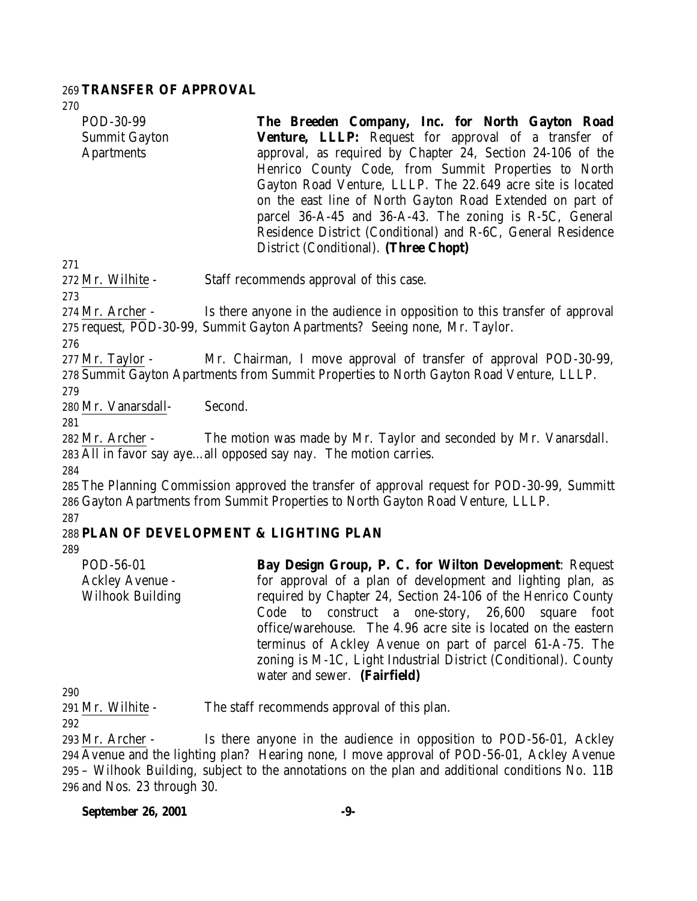#### 269 **TRANSFER OF APPROVAL**

270

| POD-30-99            | The Breeden Company, Inc. for North Gayton Road                                         |  |  |  |  |
|----------------------|-----------------------------------------------------------------------------------------|--|--|--|--|
| <b>Summit Gayton</b> | <b>Venture, LLLP:</b> Request for approval of a transfer of                             |  |  |  |  |
| <b>Apartments</b>    | approval, as required by Chapter 24, Section 24-106 of the                              |  |  |  |  |
|                      | Henrico County Code, from Summit Properties to North                                    |  |  |  |  |
|                      | Gayton Road Venture, LLLP. The 22.649 acre site is located                              |  |  |  |  |
|                      | on the east line of North Gayton Road Extended on part of                               |  |  |  |  |
|                      | parcel 36-A-45 and 36-A-43. The zoning is R-5C, General                                 |  |  |  |  |
|                      | Residence District (Conditional) and R-6C, General Residence                            |  |  |  |  |
|                      | District (Conditional). (Three Chopt)                                                   |  |  |  |  |
| 271                  |                                                                                         |  |  |  |  |
| 272 Mr. Wilhite -    | Staff recommends approval of this case.                                                 |  |  |  |  |
| 273                  |                                                                                         |  |  |  |  |
| 274 Mr. Archer -     | Is there anyone in the audience in opposition to this transfer of approval              |  |  |  |  |
|                      | 275 request, POD-30-99, Summit Gayton Apartments? Seeing none, Mr. Taylor.              |  |  |  |  |
| 276                  |                                                                                         |  |  |  |  |
| $277$ Mr. Taylor -   | Mr. Chairman, I move approval of transfer of approval POD-30-99,                        |  |  |  |  |
|                      | 278 Summit Gayton Apartments from Summit Properties to North Gayton Road Venture, LLLP. |  |  |  |  |

279

280 Mr. Vanarsdall- Second.

281

282 Mr. Archer - The motion was made by Mr. Taylor and seconded by Mr. Vanarsdall. 283 All in favor say aye…all opposed say nay. The motion carries.

284

285 The Planning Commission approved the transfer of approval request for POD-30-99, Summitt 286 Gayton Apartments from Summit Properties to North Gayton Road Venture, LLLP. 287

## 288 **PLAN OF DEVELOPMENT & LIGHTING PLAN**

289

POD-56-01 Ackley Avenue - Wilhook Building **Bay Design Group, P. C. for Wilton Development**: Request for approval of a plan of development and lighting plan, as required by Chapter 24, Section 24-106 of the Henrico County Code to construct a one-story, 26,600 square foot office/warehouse. The 4.96 acre site is located on the eastern terminus of Ackley Avenue on part of parcel 61-A-75. The zoning is M-1C, Light Industrial District (Conditional). County water and sewer. **(Fairfield)**

290

291 Mr. Wilhite - The staff recommends approval of this plan.

292

 Mr. Archer - Is there anyone in the audience in opposition to POD-56-01, Ackley Avenue and the lighting plan? Hearing none, I move approval of POD-56-01, Ackley Avenue – Wilhook Building, subject to the annotations on the plan and additional conditions No. 11B and Nos. 23 through 30.

#### **September 26, 2001 -9-**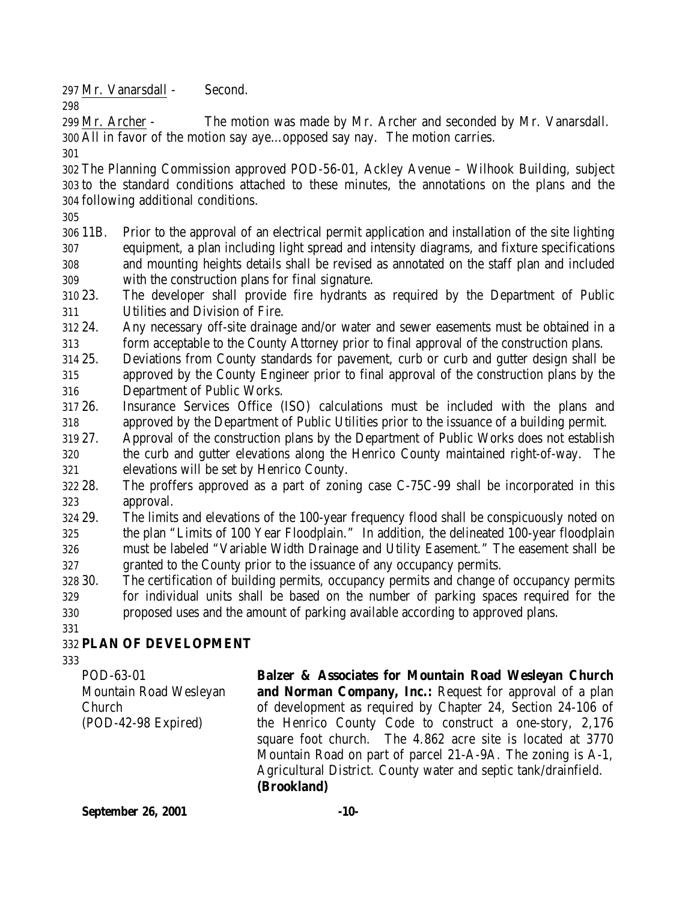Mr. Vanarsdall - Second.

 Mr. Archer - The motion was made by Mr. Archer and seconded by Mr. Vanarsdall. All in favor of the motion say aye…opposed say nay. The motion carries.

 The Planning Commission approved POD-56-01, Ackley Avenue – Wilhook Building, subject to the standard conditions attached to these minutes, the annotations on the plans and the following additional conditions.

- 11B. Prior to the approval of an electrical permit application and installation of the site lighting equipment, a plan including light spread and intensity diagrams, and fixture specifications and mounting heights details shall be revised as annotated on the staff plan and included with the construction plans for final signature.
- 23. The developer shall provide fire hydrants as required by the Department of Public Utilities and Division of Fire.
- 24. Any necessary off-site drainage and/or water and sewer easements must be obtained in a form acceptable to the County Attorney prior to final approval of the construction plans.
- 25. Deviations from County standards for pavement, curb or curb and gutter design shall be approved by the County Engineer prior to final approval of the construction plans by the Department of Public Works.
- 26. Insurance Services Office (ISO) calculations must be included with the plans and approved by the Department of Public Utilities prior to the issuance of a building permit.
- 27. Approval of the construction plans by the Department of Public Works does not establish
- the curb and gutter elevations along the Henrico County maintained right-of-way. The elevations will be set by Henrico County.
- 28. The proffers approved as a part of zoning case C-75C-99 shall be incorporated in this approval.
- 29. The limits and elevations of the 100-year frequency flood shall be conspicuously noted on the plan "Limits of 100 Year Floodplain." In addition, the delineated 100-year floodplain must be labeled "Variable Width Drainage and Utility Easement." The easement shall be granted to the County prior to the issuance of any occupancy permits.
- 30. The certification of building permits, occupancy permits and change of occupancy permits for individual units shall be based on the number of parking spaces required for the proposed uses and the amount of parking available according to approved plans.

# **PLAN OF DEVELOPMENT**

POD-63-01 Mountain Road Wesleyan Church (POD-42-98 Expired)

**Balzer & Associates for Mountain Road Wesleyan Church and Norman Company, Inc.:** Request for approval of a plan of development as required by Chapter 24, Section 24-106 of the Henrico County Code to construct a one-story, 2,176 square foot church. The 4.862 acre site is located at 3770 Mountain Road on part of parcel 21-A-9A. The zoning is A-1, Agricultural District. County water and septic tank/drainfield. **(Brookland)**

**September 26, 2001 -10-**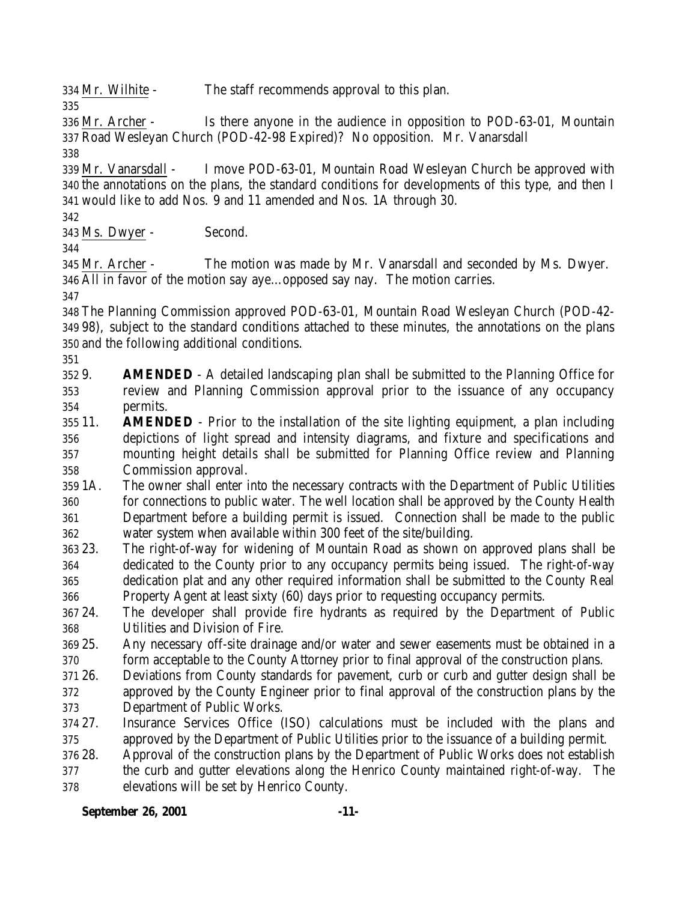Mr. Wilhite - The staff recommends approval to this plan.

 Mr. Archer - Is there anyone in the audience in opposition to POD-63-01, Mountain Road Wesleyan Church (POD-42-98 Expired)? No opposition. Mr. Vanarsdall

 Mr. Vanarsdall - I move POD-63-01, Mountain Road Wesleyan Church be approved with the annotations on the plans, the standard conditions for developments of this type, and then I would like to add Nos. 9 and 11 amended and Nos. 1A through 30.

Ms. Dwyer - Second.

 Mr. Archer - The motion was made by Mr. Vanarsdall and seconded by Ms. Dwyer. All in favor of the motion say aye…opposed say nay. The motion carries.

 The Planning Commission approved POD-63-01, Mountain Road Wesleyan Church (POD-42- 98), subject to the standard conditions attached to these minutes, the annotations on the plans and the following additional conditions.

 9. **AMENDED** - A detailed landscaping plan shall be submitted to the Planning Office for review and Planning Commission approval prior to the issuance of any occupancy permits.

- 11. **AMENDED** Prior to the installation of the site lighting equipment, a plan including depictions of light spread and intensity diagrams, and fixture and specifications and mounting height details shall be submitted for Planning Office review and Planning Commission approval.
- 1A. The owner shall enter into the necessary contracts with the Department of Public Utilities for connections to public water. The well location shall be approved by the County Health Department before a building permit is issued. Connection shall be made to the public water system when available within 300 feet of the site/building.
- 23. The right-of-way for widening of Mountain Road as shown on approved plans shall be dedicated to the County prior to any occupancy permits being issued. The right-of-way dedication plat and any other required information shall be submitted to the County Real Property Agent at least sixty (60) days prior to requesting occupancy permits.
- 24. The developer shall provide fire hydrants as required by the Department of Public Utilities and Division of Fire.
- 25. Any necessary off-site drainage and/or water and sewer easements must be obtained in a form acceptable to the County Attorney prior to final approval of the construction plans.
- 26. Deviations from County standards for pavement, curb or curb and gutter design shall be approved by the County Engineer prior to final approval of the construction plans by the Department of Public Works.
- 27. Insurance Services Office (ISO) calculations must be included with the plans and approved by the Department of Public Utilities prior to the issuance of a building permit.
- 28. Approval of the construction plans by the Department of Public Works does not establish
- the curb and gutter elevations along the Henrico County maintained right-of-way. The elevations will be set by Henrico County.

## **September 26, 2001 -11-**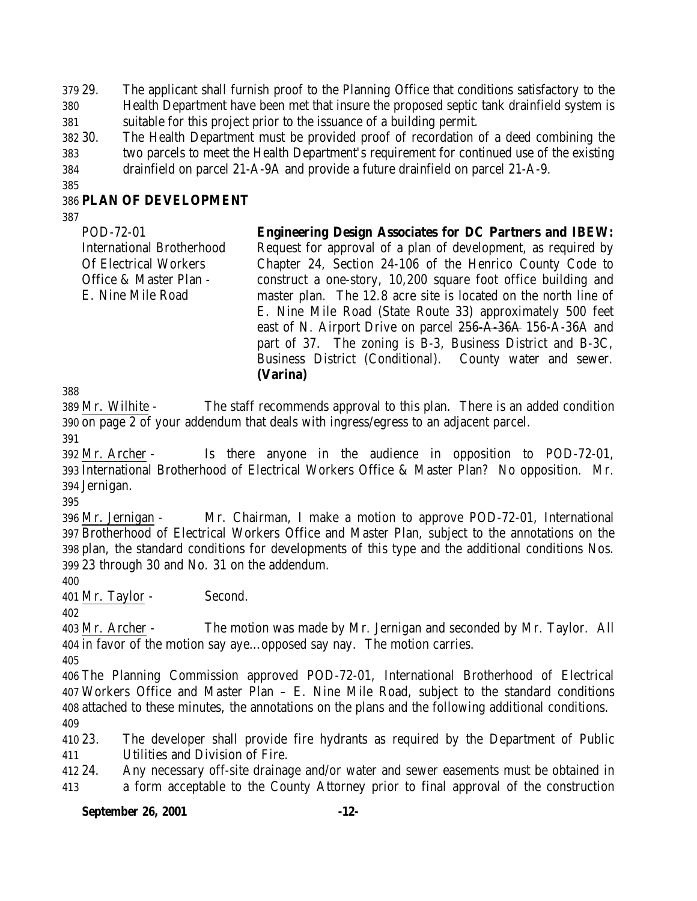29. The applicant shall furnish proof to the Planning Office that conditions satisfactory to the Health Department have been met that insure the proposed septic tank drainfield system is suitable for this project prior to the issuance of a building permit.

 30. The Health Department must be provided proof of recordation of a deed combining the two parcels to meet the Health Department's requirement for continued use of the existing drainfield on parcel 21-A-9A and provide a future drainfield on parcel 21-A-9.

### **PLAN OF DEVELOPMENT**

POD-72-01 International Brotherhood Of Electrical Workers Office & Master Plan - E. Nine Mile Road **Engineering Design Associates for DC Partners and IBEW:** Request for approval of a plan of development, as required by Chapter 24, Section 24-106 of the Henrico County Code to construct a one-story, 10,200 square foot office building and master plan. The 12.8 acre site is located on the north line of E. Nine Mile Road (State Route 33) approximately 500 feet east of N. Airport Drive on parcel 256-A-36A 156-A-36A and part of 37. The zoning is B-3, Business District and B-3C, Business District (Conditional). County water and sewer. **(Varina)**

 Mr. Wilhite - The staff recommends approval to this plan. There is an added condition on page 2 of your addendum that deals with ingress/egress to an adjacent parcel. 

 Mr. Archer - Is there anyone in the audience in opposition to POD-72-01, International Brotherhood of Electrical Workers Office & Master Plan? No opposition. Mr. Jernigan.

 Mr. Jernigan - Mr. Chairman, I make a motion to approve POD-72-01, International Brotherhood of Electrical Workers Office and Master Plan, subject to the annotations on the plan, the standard conditions for developments of this type and the additional conditions Nos. 23 through 30 and No. 31 on the addendum.

Mr. Taylor - Second.

 Mr. Archer - The motion was made by Mr. Jernigan and seconded by Mr. Taylor. All in favor of the motion say aye…opposed say nay. The motion carries.

 The Planning Commission approved POD-72-01, International Brotherhood of Electrical Workers Office and Master Plan – E. Nine Mile Road, subject to the standard conditions attached to these minutes, the annotations on the plans and the following additional conditions. 

 23. The developer shall provide fire hydrants as required by the Department of Public Utilities and Division of Fire.

 24. Any necessary off-site drainage and/or water and sewer easements must be obtained in a form acceptable to the County Attorney prior to final approval of the construction

### **September 26, 2001 -12-**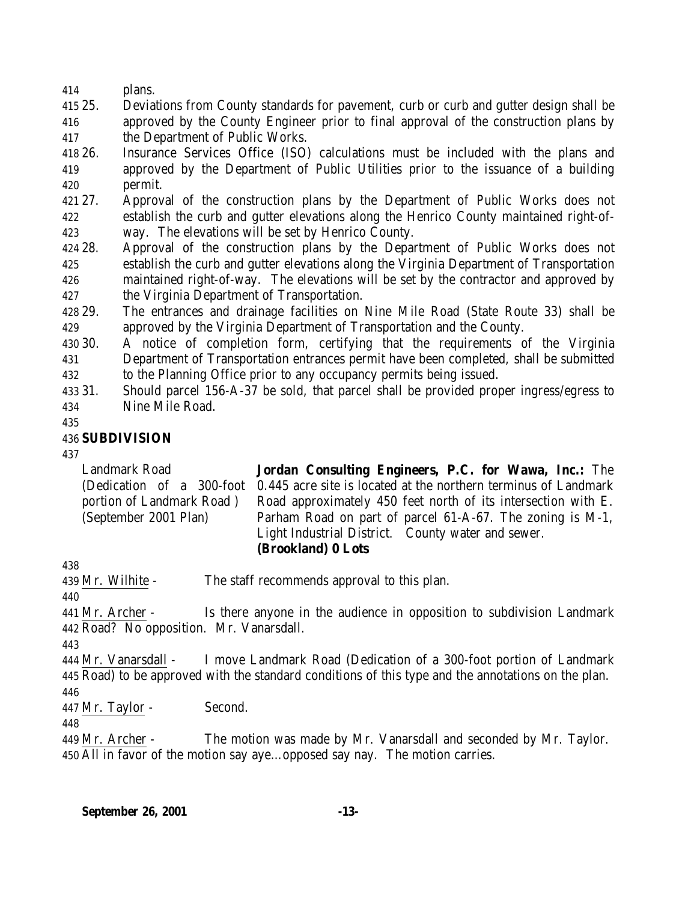plans.

 25. Deviations from County standards for pavement, curb or curb and gutter design shall be approved by the County Engineer prior to final approval of the construction plans by the Department of Public Works.

 26. Insurance Services Office (ISO) calculations must be included with the plans and approved by the Department of Public Utilities prior to the issuance of a building permit.

 27. Approval of the construction plans by the Department of Public Works does not establish the curb and gutter elevations along the Henrico County maintained right-of-way. The elevations will be set by Henrico County.

 28. Approval of the construction plans by the Department of Public Works does not establish the curb and gutter elevations along the Virginia Department of Transportation maintained right-of-way. The elevations will be set by the contractor and approved by the Virginia Department of Transportation.

 29. The entrances and drainage facilities on Nine Mile Road (State Route 33) shall be approved by the Virginia Department of Transportation and the County.

 30. A notice of completion form, certifying that the requirements of the Virginia Department of Transportation entrances permit have been completed, shall be submitted to the Planning Office prior to any occupancy permits being issued.

 31. Should parcel 156-A-37 be sold, that parcel shall be provided proper ingress/egress to Nine Mile Road.

## **SUBDIVISION**

Landmark Road (Dedication of a 300-foot portion of Landmark Road ) (September 2001 Plan) **Jordan Consulting Engineers, P.C. for Wawa, Inc.:** The 0.445 acre site is located at the northern terminus of Landmark Road approximately 450 feet north of its intersection with E. Parham Road on part of parcel 61-A-67. The zoning is M-1, Light Industrial District. County water and sewer. **(Brookland) 0 Lots**

Mr. Wilhite - The staff recommends approval to this plan.

 Mr. Archer - Is there anyone in the audience in opposition to subdivision Landmark Road? No opposition. Mr. Vanarsdall.

 Mr. Vanarsdall - I move Landmark Road (Dedication of a 300-foot portion of Landmark Road) to be approved with the standard conditions of this type and the annotations on the plan. 

Mr. Taylor - Second.

 Mr. Archer - The motion was made by Mr. Vanarsdall and seconded by Mr. Taylor. All in favor of the motion say aye…opposed say nay. The motion carries.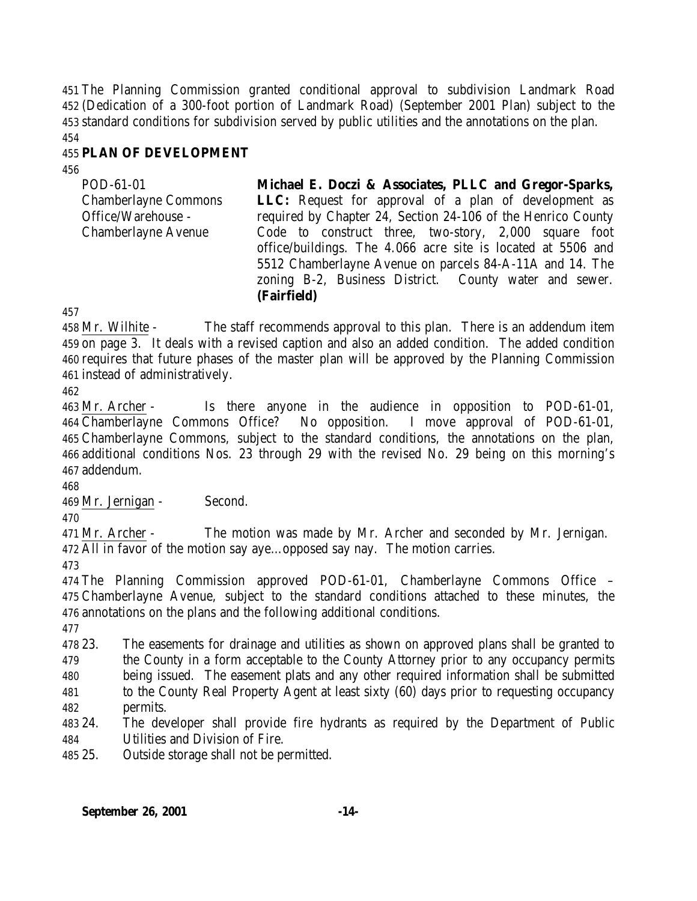The Planning Commission granted conditional approval to subdivision Landmark Road (Dedication of a 300-foot portion of Landmark Road) (September 2001 Plan) subject to the standard conditions for subdivision served by public utilities and the annotations on the plan.

## **PLAN OF DEVELOPMENT**

| POD-61-01                   | Michael E. Doczi & Associates, PLLC and Gregor-Sparks,       |
|-----------------------------|--------------------------------------------------------------|
| <b>Chamberlayne Commons</b> | <b>LLC:</b> Request for approval of a plan of development as |
| Office/Warehouse -          | required by Chapter 24, Section 24-106 of the Henrico County |
| <b>Chamberlayne Avenue</b>  | Code to construct three, two-story, 2,000 square foot        |
|                             | office/buildings. The 4.066 acre site is located at 5506 and |
|                             | 5512 Chamberlayne Avenue on parcels 84-A-11A and 14. The     |
|                             | zoning B-2, Business District. County water and sewer.       |
|                             | (Fairfield)                                                  |

 Mr. Wilhite - The staff recommends approval to this plan. There is an addendum item on page 3. It deals with a revised caption and also an added condition. The added condition requires that future phases of the master plan will be approved by the Planning Commission instead of administratively.

 Mr. Archer - Is there anyone in the audience in opposition to POD-61-01, Chamberlayne Commons Office? No opposition. I move approval of POD-61-01, Chamberlayne Commons, subject to the standard conditions, the annotations on the plan, additional conditions Nos. 23 through 29 with the revised No. 29 being on this morning's addendum.

Mr. Jernigan - Second.

 Mr. Archer - The motion was made by Mr. Archer and seconded by Mr. Jernigan. All in favor of the motion say aye…opposed say nay. The motion carries.

 The Planning Commission approved POD-61-01, Chamberlayne Commons Office – Chamberlayne Avenue, subject to the standard conditions attached to these minutes, the annotations on the plans and the following additional conditions.

 23. The easements for drainage and utilities as shown on approved plans shall be granted to the County in a form acceptable to the County Attorney prior to any occupancy permits being issued. The easement plats and any other required information shall be submitted

- to the County Real Property Agent at least sixty (60) days prior to requesting occupancy
- permits.
- 24. The developer shall provide fire hydrants as required by the Department of Public Utilities and Division of Fire.

25. Outside storage shall not be permitted.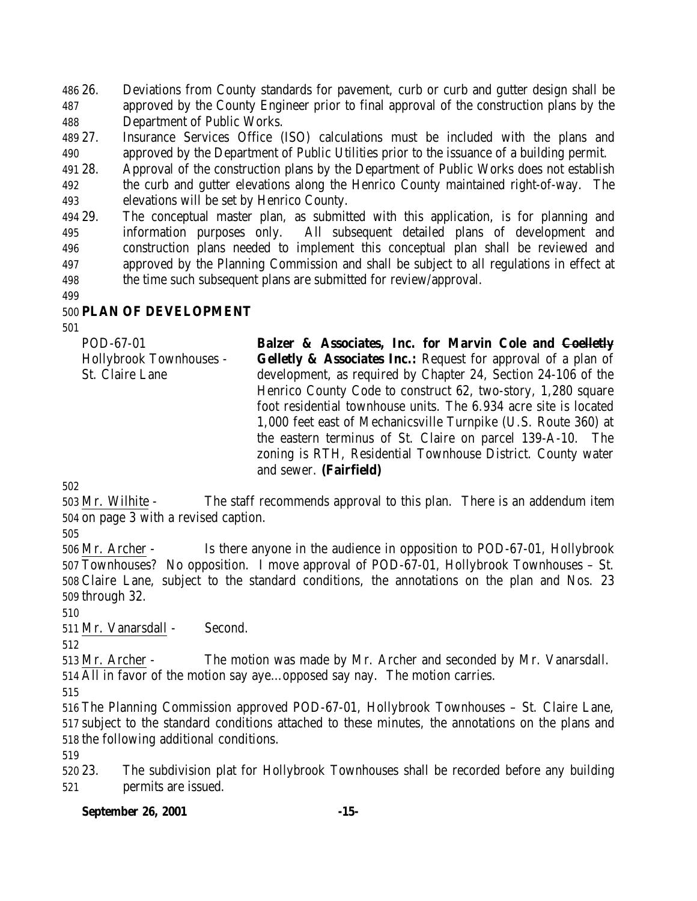26. Deviations from County standards for pavement, curb or curb and gutter design shall be approved by the County Engineer prior to final approval of the construction plans by the Department of Public Works.

 27. Insurance Services Office (ISO) calculations must be included with the plans and approved by the Department of Public Utilities prior to the issuance of a building permit.

 28. Approval of the construction plans by the Department of Public Works does not establish the curb and gutter elevations along the Henrico County maintained right-of-way. The elevations will be set by Henrico County.

 29. The conceptual master plan, as submitted with this application, is for planning and information purposes only. All subsequent detailed plans of development and construction plans needed to implement this conceptual plan shall be reviewed and approved by the Planning Commission and shall be subject to all regulations in effect at the time such subsequent plans are submitted for review/approval.

### **PLAN OF DEVELOPMENT**

POD-67-01 Hollybrook Townhouses - St. Claire Lane **Balzer & Associates, Inc. for Marvin Cole and Coelletly Gelletly & Associates Inc.:** Request for approval of a plan of development, as required by Chapter 24, Section 24-106 of the Henrico County Code to construct 62, two-story, 1,280 square foot residential townhouse units. The 6.934 acre site is located 1,000 feet east of Mechanicsville Turnpike (U.S. Route 360) at the eastern terminus of St. Claire on parcel 139-A-10. The zoning is RTH, Residential Townhouse District. County water and sewer. **(Fairfield)**

 Mr. Wilhite - The staff recommends approval to this plan. There is an addendum item on page 3 with a revised caption.

 Mr. Archer - Is there anyone in the audience in opposition to POD-67-01, Hollybrook Townhouses? No opposition. I move approval of POD-67-01, Hollybrook Townhouses – St. Claire Lane, subject to the standard conditions, the annotations on the plan and Nos. 23 through 32.

Mr. Vanarsdall - Second.

 Mr. Archer - The motion was made by Mr. Archer and seconded by Mr. Vanarsdall. All in favor of the motion say aye…opposed say nay. The motion carries.

 The Planning Commission approved POD-67-01, Hollybrook Townhouses – St. Claire Lane, subject to the standard conditions attached to these minutes, the annotations on the plans and the following additional conditions.

 23. The subdivision plat for Hollybrook Townhouses shall be recorded before any building permits are issued.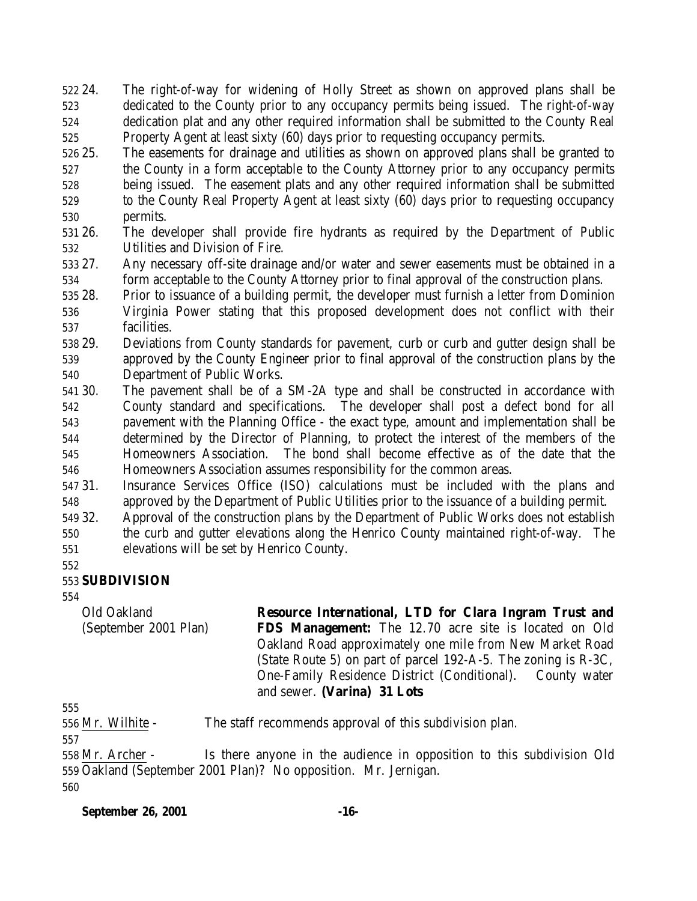24. The right-of-way for widening of Holly Street as shown on approved plans shall be dedicated to the County prior to any occupancy permits being issued. The right-of-way dedication plat and any other required information shall be submitted to the County Real Property Agent at least sixty (60) days prior to requesting occupancy permits.

 25. The easements for drainage and utilities as shown on approved plans shall be granted to the County in a form acceptable to the County Attorney prior to any occupancy permits being issued. The easement plats and any other required information shall be submitted to the County Real Property Agent at least sixty (60) days prior to requesting occupancy permits.

 26. The developer shall provide fire hydrants as required by the Department of Public Utilities and Division of Fire.

 27. Any necessary off-site drainage and/or water and sewer easements must be obtained in a form acceptable to the County Attorney prior to final approval of the construction plans.

- 28. Prior to issuance of a building permit, the developer must furnish a letter from Dominion
- Virginia Power stating that this proposed development does not conflict with their facilities.
- 29. Deviations from County standards for pavement, curb or curb and gutter design shall be approved by the County Engineer prior to final approval of the construction plans by the Department of Public Works.
- 30. The pavement shall be of a SM-2A type and shall be constructed in accordance with County standard and specifications. The developer shall post a defect bond for all pavement with the Planning Office - the exact type, amount and implementation shall be determined by the Director of Planning, to protect the interest of the members of the Homeowners Association. The bond shall become effective as of the date that the Homeowners Association assumes responsibility for the common areas.
- 31. Insurance Services Office (ISO) calculations must be included with the plans and approved by the Department of Public Utilities prior to the issuance of a building permit.
- 32. Approval of the construction plans by the Department of Public Works does not establish
- the curb and gutter elevations along the Henrico County maintained right-of-way. The elevations will be set by Henrico County.
- 

## **SUBDIVISION**

Old Oakland (September 2001 Plan) **Resource International, LTD for Clara Ingram Trust and FDS Management:** The 12.70 acre site is located on Old Oakland Road approximately one mile from New Market Road (State Route 5) on part of parcel 192-A-5. The zoning is R-3C, One-Family Residence District (Conditional). County water and sewer. **(Varina) 31 Lots**

Mr. Wilhite - The staff recommends approval of this subdivision plan.

 Mr. Archer - Is there anyone in the audience in opposition to this subdivision Old Oakland (September 2001 Plan)? No opposition. Mr. Jernigan.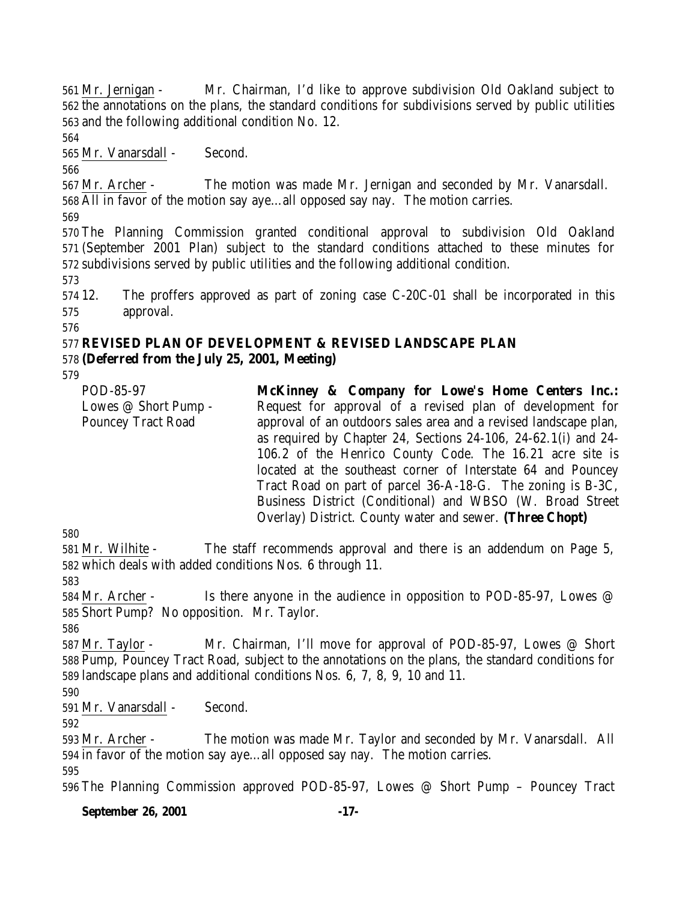Mr. Jernigan - Mr. Chairman, I'd like to approve subdivision Old Oakland subject to the annotations on the plans, the standard conditions for subdivisions served by public utilities and the following additional condition No. 12.

Mr. Vanarsdall - Second.

 Mr. Archer - The motion was made Mr. Jernigan and seconded by Mr. Vanarsdall. All in favor of the motion say aye…all opposed say nay. The motion carries.

 The Planning Commission granted conditional approval to subdivision Old Oakland (September 2001 Plan) subject to the standard conditions attached to these minutes for subdivisions served by public utilities and the following additional condition.

 12. The proffers approved as part of zoning case C-20C-01 shall be incorporated in this approval.

#### **REVISED PLAN OF DEVELOPMENT & REVISED LANDSCAPE PLAN (Deferred from the July 25, 2001, Meeting)**

| POD-85-97                 | McKinney & Company for Lowe's Home Centers Inc.:                 |
|---------------------------|------------------------------------------------------------------|
| Lowes @ Short Pump -      | Request for approval of a revised plan of development for        |
| <b>Pouncey Tract Road</b> | approval of an outdoors sales area and a revised landscape plan, |
|                           | as required by Chapter 24, Sections 24-106, 24-62.1(i) and 24-   |
|                           | 106.2 of the Henrico County Code. The 16.21 acre site is         |
|                           | located at the southeast corner of Interstate 64 and Pouncey     |
|                           | Tract Road on part of parcel 36-A-18-G. The zoning is B-3C,      |
|                           | Business District (Conditional) and WBSO (W. Broad Street        |
|                           | Overlay) District. County water and sewer. (Three Chopt)         |

 Mr. Wilhite - The staff recommends approval and there is an addendum on Page 5, which deals with added conditions Nos. 6 through 11.

 Mr. Archer - Is there anyone in the audience in opposition to POD-85-97, Lowes @ Short Pump? No opposition. Mr. Taylor.

 Mr. Taylor - Mr. Chairman, I'll move for approval of POD-85-97, Lowes @ Short Pump, Pouncey Tract Road, subject to the annotations on the plans, the standard conditions for landscape plans and additional conditions Nos. 6, 7, 8, 9, 10 and 11.

Mr. Vanarsdall - Second.

 Mr. Archer - The motion was made Mr. Taylor and seconded by Mr. Vanarsdall. All in favor of the motion say aye…all opposed say nay. The motion carries. 

The Planning Commission approved POD-85-97, Lowes @ Short Pump – Pouncey Tract

**September 26, 2001 -17-**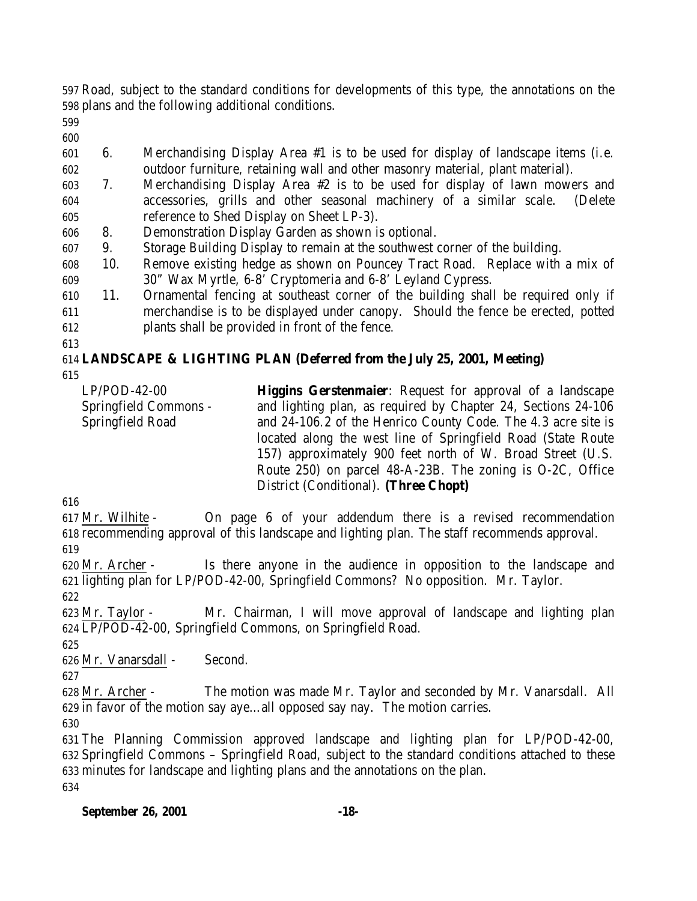Road, subject to the standard conditions for developments of this type, the annotations on the plans and the following additional conditions.

- 
- 6. Merchandising Display Area #1 is to be used for display of landscape items (i.e. outdoor furniture, retaining wall and other masonry material, plant material).
- 7. Merchandising Display Area #2 is to be used for display of lawn mowers and accessories, grills and other seasonal machinery of a similar scale. (Delete reference to Shed Display on Sheet LP-3).
- 8. Demonstration Display Garden as shown is optional.
- 9. Storage Building Display to remain at the southwest corner of the building.
- 10. Remove existing hedge as shown on Pouncey Tract Road. Replace with a mix of 30" Wax Myrtle, 6-8' Cryptomeria and 6-8' Leyland Cypress.
- 11. Ornamental fencing at southeast corner of the building shall be required only if merchandise is to be displayed under canopy. Should the fence be erected, potted plants shall be provided in front of the fence.

# **LANDSCAPE & LIGHTING PLAN (Deferred from the July 25, 2001, Meeting)**

| $LP/POD-42-00$        | <b>Higgins Gerstenmaier:</b> Request for approval of a landscape |
|-----------------------|------------------------------------------------------------------|
| Springfield Commons - | and lighting plan, as required by Chapter 24, Sections 24-106    |
| Springfield Road      | and 24-106.2 of the Henrico County Code. The 4.3 acre site is    |
|                       | located along the west line of Springfield Road (State Route     |
|                       | 157) approximately 900 feet north of W. Broad Street (U.S.       |
|                       | Route 250) on parcel 48-A-23B. The zoning is O-2C, Office        |
|                       | District (Conditional). (Three Chopt)                            |

 Mr. Wilhite - On page 6 of your addendum there is a revised recommendation recommending approval of this landscape and lighting plan. The staff recommends approval.

 Mr. Archer - Is there anyone in the audience in opposition to the landscape and lighting plan for LP/POD-42-00, Springfield Commons? No opposition. Mr. Taylor.

 Mr. Taylor - Mr. Chairman, I will move approval of landscape and lighting plan LP/POD-42-00, Springfield Commons, on Springfield Road.

Mr. Vanarsdall - Second.

 Mr. Archer - The motion was made Mr. Taylor and seconded by Mr. Vanarsdall. All in favor of the motion say aye…all opposed say nay. The motion carries.

 The Planning Commission approved landscape and lighting plan for LP/POD-42-00, Springfield Commons – Springfield Road, subject to the standard conditions attached to these minutes for landscape and lighting plans and the annotations on the plan.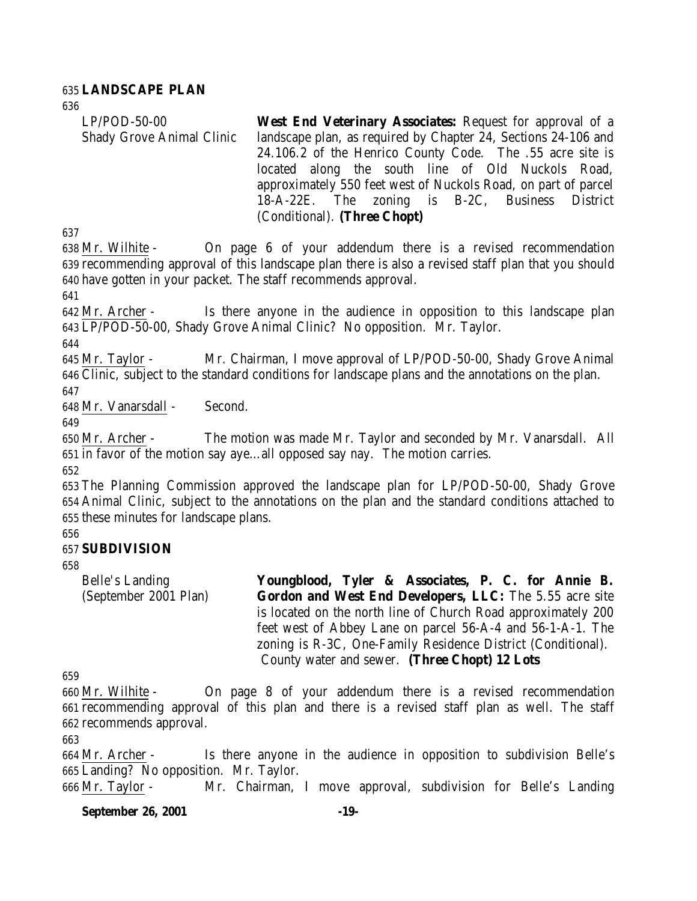#### **LANDSCAPE PLAN**

| $LP/POD-50-00$                   | West End Veterinary Associates: Request for approval of a      |  |  |  |  |  |  |
|----------------------------------|----------------------------------------------------------------|--|--|--|--|--|--|
|                                  |                                                                |  |  |  |  |  |  |
| <b>Shady Grove Animal Clinic</b> | landscape plan, as required by Chapter 24, Sections 24-106 and |  |  |  |  |  |  |
|                                  | 24.106.2 of the Henrico County Code. The .55 acre site is      |  |  |  |  |  |  |
|                                  | located along the south line of Old Nuckols Road,              |  |  |  |  |  |  |
|                                  | approximately 550 feet west of Nuckols Road, on part of parcel |  |  |  |  |  |  |
|                                  | 18-A-22E. The zoning is B-2C, Business District                |  |  |  |  |  |  |
|                                  | (Conditional). (Three Chopt)                                   |  |  |  |  |  |  |

 Mr. Wilhite - On page 6 of your addendum there is a revised recommendation recommending approval of this landscape plan there is also a revised staff plan that you should have gotten in your packet. The staff recommends approval.

 Mr. Archer - Is there anyone in the audience in opposition to this landscape plan LP/POD-50-00, Shady Grove Animal Clinic? No opposition. Mr. Taylor.

 Mr. Taylor - Mr. Chairman, I move approval of LP/POD-50-00, Shady Grove Animal Clinic, subject to the standard conditions for landscape plans and the annotations on the plan. 

Mr. Vanarsdall - Second.

 Mr. Archer - The motion was made Mr. Taylor and seconded by Mr. Vanarsdall. All in favor of the motion say aye…all opposed say nay. The motion carries.

 The Planning Commission approved the landscape plan for LP/POD-50-00, Shady Grove Animal Clinic, subject to the annotations on the plan and the standard conditions attached to these minutes for landscape plans.

### **SUBDIVISION**

Belle's Landing (September 2001 Plan) **Youngblood, Tyler & Associates, P. C. for Annie B. Gordon and West End Developers, LLC:** The 5.55 acre site is located on the north line of Church Road approximately 200 feet west of Abbey Lane on parcel 56-A-4 and 56-1-A-1. The zoning is R-3C, One-Family Residence District (Conditional). County water and sewer. **(Three Chopt) 12 Lots**

 Mr. Wilhite - On page 8 of your addendum there is a revised recommendation recommending approval of this plan and there is a revised staff plan as well. The staff recommends approval.

 Mr. Archer - Is there anyone in the audience in opposition to subdivision Belle's Landing? No opposition. Mr. Taylor.

Mr. Taylor - Mr. Chairman, I move approval, subdivision for Belle's Landing

#### **September 26, 2001 -19-**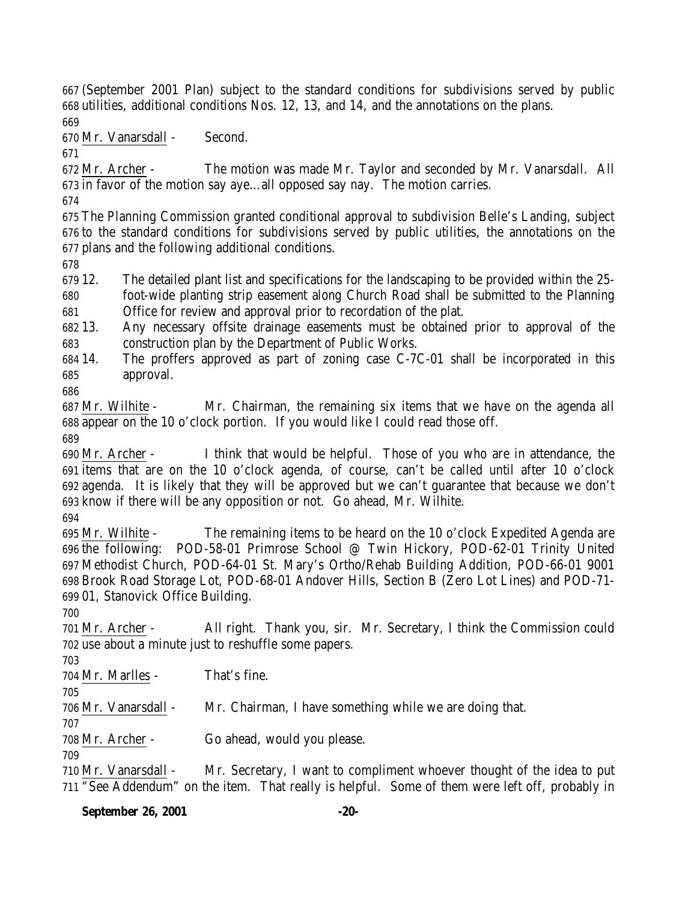(September 2001 Plan) subject to the standard conditions for subdivisions served by public utilities, additional conditions Nos. 12, 13, and 14, and the annotations on the plans. 

Mr. Vanarsdall - Second.

 Mr. Archer - The motion was made Mr. Taylor and seconded by Mr. Vanarsdall. All in favor of the motion say aye…all opposed say nay. The motion carries.

 The Planning Commission granted conditional approval to subdivision Belle's Landing, subject to the standard conditions for subdivisions served by public utilities, the annotations on the plans and the following additional conditions.

 12. The detailed plant list and specifications for the landscaping to be provided within the 25- foot-wide planting strip easement along Church Road shall be submitted to the Planning

Office for review and approval prior to recordation of the plat.

 13. Any necessary offsite drainage easements must be obtained prior to approval of the construction plan by the Department of Public Works.

 14. The proffers approved as part of zoning case C-7C-01 shall be incorporated in this approval.

 Mr. Wilhite - Mr. Chairman, the remaining six items that we have on the agenda all appear on the 10 o'clock portion. If you would like I could read those off. 

 Mr. Archer - I think that would be helpful. Those of you who are in attendance, the items that are on the 10 o'clock agenda, of course, can't be called until after 10 o'clock agenda. It is likely that they will be approved but we can't guarantee that because we don't know if there will be any opposition or not. Go ahead, Mr. Wilhite.

 Mr. Wilhite - The remaining items to be heard on the 10 o'clock Expedited Agenda are the following: POD-58-01 Primrose School @ Twin Hickory, POD-62-01 Trinity United Methodist Church, POD-64-01 St. Mary's Ortho/Rehab Building Addition, POD-66-01 9001 Brook Road Storage Lot, POD-68-01 Andover Hills, Section B (Zero Lot Lines) and POD-71- 01, Stanovick Office Building.

 Mr. Archer - All right. Thank you, sir. Mr. Secretary, I think the Commission could use about a minute just to reshuffle some papers.

Mr. Marlles - That's fine.

Mr. Vanarsdall - Mr. Chairman, I have something while we are doing that.

Mr. Archer - Go ahead, would you please.

 Mr. Vanarsdall - Mr. Secretary, I want to compliment whoever thought of the idea to put "See Addendum" on the item. That really is helpful. Some of them were left off, probably in

## **September 26, 2001 -20-**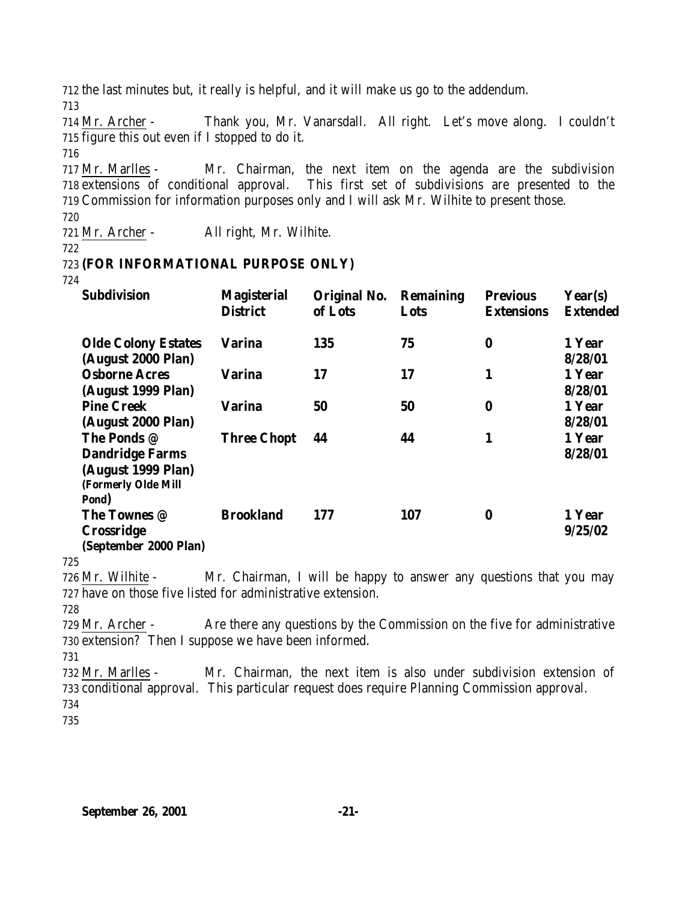712 the last minutes but, it really is helpful, and it will make us go to the addendum.

713

714 Mr. Archer - Thank you, Mr. Vanarsdall. All right. Let's move along. I couldn't 715 figure this out even if I stopped to do it.

716

717 Mr. Marlles - Mr. Chairman, the next item on the agenda are the subdivision 718 extensions of conditional approval. This first set of subdivisions are presented to the 719 Commission for information purposes only and I will ask Mr. Wilhite to present those.

720

721 Mr. Archer - All right, Mr. Wilhite.

722

## 723 **(FOR INFORMATIONAL PURPOSE ONLY)**

724

| <b>Subdivision</b>                                                                          | <b>Magisterial</b><br><b>District</b> | Original No.<br>of Lots | <b>Remaining</b><br>Lots | <b>Previous</b><br>Extensions | Year(s)<br><b>Extended</b> |
|---------------------------------------------------------------------------------------------|---------------------------------------|-------------------------|--------------------------|-------------------------------|----------------------------|
| <b>Olde Colony Estates</b><br>(August 2000 Plan)                                            | <b>Varina</b>                         | 135                     | 75                       | $\bf{0}$                      | 1 Year<br>8/28/01          |
| <b>Osborne Acres</b><br>(August 1999 Plan)                                                  | <b>Varina</b>                         | 17                      | 17                       | 1                             | 1 Year<br>8/28/01          |
| <b>Pine Creek</b><br>(August 2000 Plan)                                                     | <b>Varina</b>                         | 50                      | 50                       | 0                             | 1 Year<br>8/28/01          |
| The Ponds @<br><b>Dandridge Farms</b><br>(August 1999 Plan)<br>(Formerly Olde Mill<br>Pond) | <b>Three Chopt</b>                    | 44                      | 44                       | 1                             | 1 Year<br>8/28/01          |
| The Townes @<br><b>Crossridge</b><br>(September 2000 Plan)                                  | <b>Brookland</b>                      | 177                     | 107                      | 0                             | 1 Year<br>9/25/02          |

725

726 Mr. Wilhite - Mr. Chairman, I will be happy to answer any questions that you may 727 have on those five listed for administrative extension.

728

729 Mr. Archer - Are there any questions by the Commission on the five for administrative 730 extension? Then I suppose we have been informed.

731

732 Mr. Marlles - Mr. Chairman, the next item is also under subdivision extension of 733 conditional approval. This particular request does require Planning Commission approval. 734

735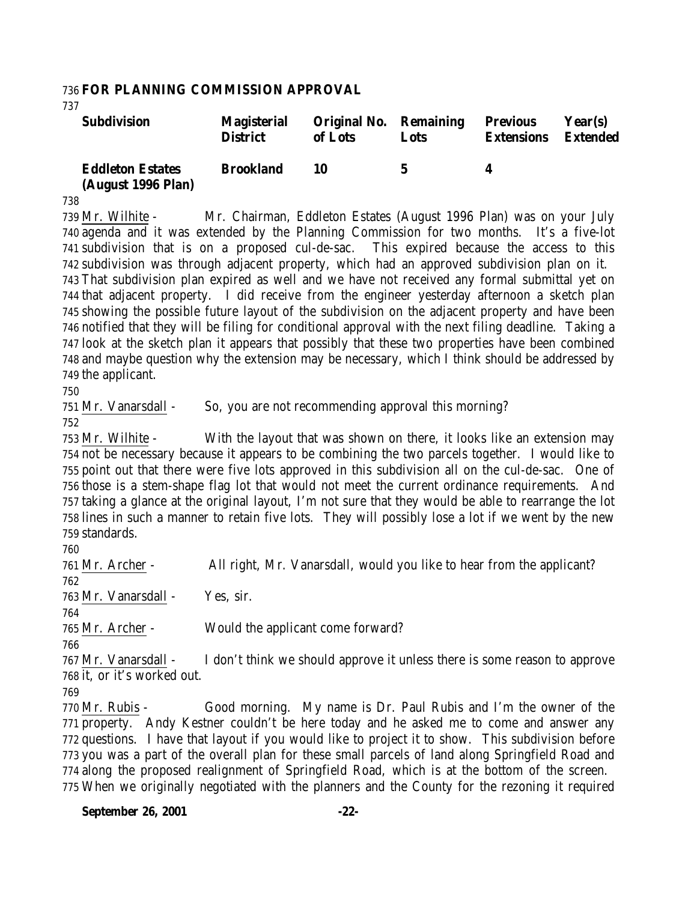#### **FOR PLANNING COMMISSION APPROVAL**

| <b>Subdivision</b>                            | <b>Magisterial</b><br><b>District</b> | <b>Original No. Remaining</b><br>of Lots | Lots | <b>Previous</b><br><b>Extensions</b> | Year(s)<br><b>Extended</b> |
|-----------------------------------------------|---------------------------------------|------------------------------------------|------|--------------------------------------|----------------------------|
| <b>Eddleton Estates</b><br>(August 1996 Plan) | <b>Brookland</b>                      | 10                                       | h.   | 4                                    |                            |

 Mr. Wilhite - Mr. Chairman, Eddleton Estates (August 1996 Plan) was on your July agenda and it was extended by the Planning Commission for two months. It's a five-lot subdivision that is on a proposed cul-de-sac. This expired because the access to this subdivision was through adjacent property, which had an approved subdivision plan on it. That subdivision plan expired as well and we have not received any formal submittal yet on that adjacent property. I did receive from the engineer yesterday afternoon a sketch plan showing the possible future layout of the subdivision on the adjacent property and have been notified that they will be filing for conditional approval with the next filing deadline. Taking a look at the sketch plan it appears that possibly that these two properties have been combined and maybe question why the extension may be necessary, which I think should be addressed by the applicant.

Mr. Vanarsdall - So, you are not recommending approval this morning?

 Mr. Wilhite - With the layout that was shown on there, it looks like an extension may not be necessary because it appears to be combining the two parcels together. I would like to point out that there were five lots approved in this subdivision all on the cul-de-sac. One of those is a stem-shape flag lot that would not meet the current ordinance requirements. And taking a glance at the original layout, I'm not sure that they would be able to rearrange the lot lines in such a manner to retain five lots. They will possibly lose a lot if we went by the new standards.

 Mr. Archer - All right, Mr. Vanarsdall, would you like to hear from the applicant? Mr. Vanarsdall - Yes, sir. Mr. Archer - Would the applicant come forward? 

 Mr. Vanarsdall - I don't think we should approve it unless there is some reason to approve it, or it's worked out.

 Mr. Rubis - Good morning. My name is Dr. Paul Rubis and I'm the owner of the property. Andy Kestner couldn't be here today and he asked me to come and answer any questions. I have that layout if you would like to project it to show. This subdivision before you was a part of the overall plan for these small parcels of land along Springfield Road and along the proposed realignment of Springfield Road, which is at the bottom of the screen. When we originally negotiated with the planners and the County for the rezoning it required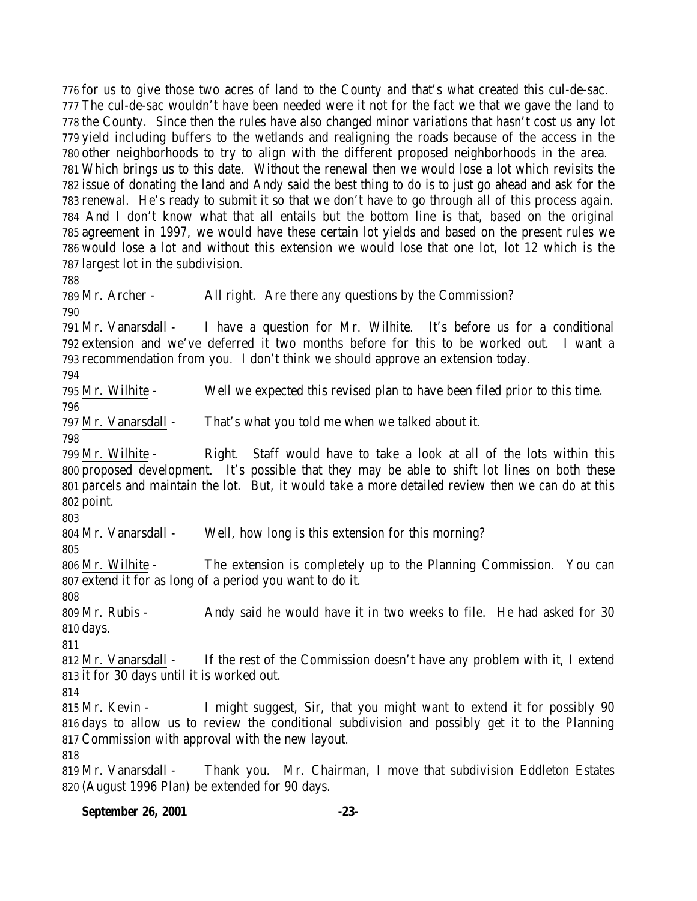for us to give those two acres of land to the County and that's what created this cul-de-sac. The cul-de-sac wouldn't have been needed were it not for the fact we that we gave the land to the County. Since then the rules have also changed minor variations that hasn't cost us any lot yield including buffers to the wetlands and realigning the roads because of the access in the other neighborhoods to try to align with the different proposed neighborhoods in the area. Which brings us to this date. Without the renewal then we would lose a lot which revisits the issue of donating the land and Andy said the best thing to do is to just go ahead and ask for the renewal. He's ready to submit it so that we don't have to go through all of this process again. And I don't know what that all entails but the bottom line is that, based on the original agreement in 1997, we would have these certain lot yields and based on the present rules we would lose a lot and without this extension we would lose that one lot, lot 12 which is the largest lot in the subdivision. Mr. Archer - All right. Are there any questions by the Commission?

 Mr. Vanarsdall - I have a question for Mr. Wilhite. It's before us for a conditional extension and we've deferred it two months before for this to be worked out. I want a recommendation from you. I don't think we should approve an extension today.

Mr. Wilhite - Well we expected this revised plan to have been filed prior to this time.

Mr. Vanarsdall - That's what you told me when we talked about it.

 Mr. Wilhite - Right. Staff would have to take a look at all of the lots within this proposed development. It's possible that they may be able to shift lot lines on both these parcels and maintain the lot. But, it would take a more detailed review then we can do at this point.

Mr. Vanarsdall - Well, how long is this extension for this morning?

 Mr. Wilhite - The extension is completely up to the Planning Commission. You can extend it for as long of a period you want to do it.

 Mr. Rubis - Andy said he would have it in two weeks to file. He had asked for 30 days.

812 Mr. Vanarsdall - If the rest of the Commission doesn't have any problem with it, I extend it for 30 days until it is worked out.

 Mr. Kevin - I might suggest, Sir, that you might want to extend it for possibly 90 days to allow us to review the conditional subdivision and possibly get it to the Planning Commission with approval with the new layout.

 Mr. Vanarsdall - Thank you. Mr. Chairman, I move that subdivision Eddleton Estates (August 1996 Plan) be extended for 90 days.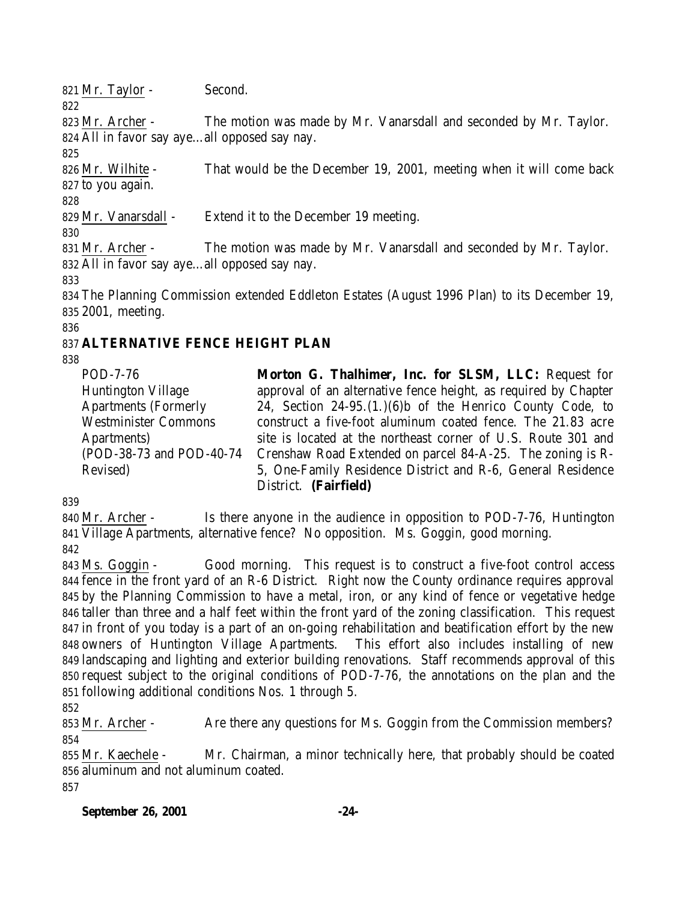Mr. Taylor - Second. Mr. Archer - The motion was made by Mr. Vanarsdall and seconded by Mr. Taylor. All in favor say aye…all opposed say nay. Mr. Wilhite - That would be the December 19, 2001, meeting when it will come back to you again. Mr. Vanarsdall - Extend it to the December 19 meeting. Mr. Archer - The motion was made by Mr. Vanarsdall and seconded by Mr. Taylor. All in favor say aye…all opposed say nay. 

 The Planning Commission extended Eddleton Estates (August 1996 Plan) to its December 19, 2001, meeting.

## **ALTERNATIVE FENCE HEIGHT PLAN**

POD-7-76 Huntington Village Apartments (Formerly Westminister Commons Apartments) (POD-38-73 and POD-40-74 Revised) **Morton G. Thalhimer, Inc. for SLSM, LLC:** Request for approval of an alternative fence height, as required by Chapter 24, Section 24-95.(1.)(6)b of the Henrico County Code, to construct a five-foot aluminum coated fence. The 21.83 acre site is located at the northeast corner of U.S. Route 301 and Crenshaw Road Extended on parcel 84-A-25. The zoning is R-5, One-Family Residence District and R-6, General Residence District. **(Fairfield)**

840 Mr. Archer - Is there anyone in the audience in opposition to POD-7-76, Huntington Village Apartments, alternative fence? No opposition. Ms. Goggin, good morning. 

 Ms. Goggin - Good morning. This request is to construct a five-foot control access fence in the front yard of an R-6 District. Right now the County ordinance requires approval by the Planning Commission to have a metal, iron, or any kind of fence or vegetative hedge taller than three and a half feet within the front yard of the zoning classification. This request in front of you today is a part of an on-going rehabilitation and beatification effort by the new owners of Huntington Village Apartments. This effort also includes installing of new landscaping and lighting and exterior building renovations. Staff recommends approval of this request subject to the original conditions of POD-7-76, the annotations on the plan and the following additional conditions Nos. 1 through 5.

853 Mr. Archer - Are there any questions for Ms. Goggin from the Commission members? 

 Mr. Kaechele - Mr. Chairman, a minor technically here, that probably should be coated aluminum and not aluminum coated. 

#### **September 26, 2001 -24-**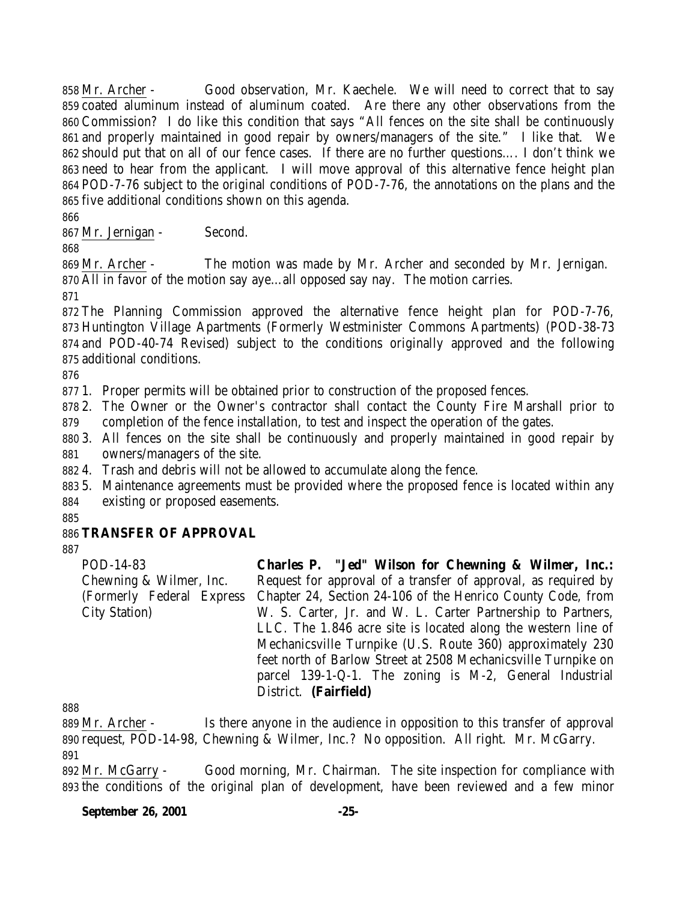Mr. Archer - Good observation, Mr. Kaechele. We will need to correct that to say coated aluminum instead of aluminum coated. Are there any other observations from the Commission? I do like this condition that says "All fences on the site shall be continuously and properly maintained in good repair by owners/managers of the site." I like that. We should put that on all of our fence cases. If there are no further questions…. I don't think we need to hear from the applicant. I will move approval of this alternative fence height plan POD-7-76 subject to the original conditions of POD-7-76, the annotations on the plans and the five additional conditions shown on this agenda.

Mr. Jernigan - Second.

 Mr. Archer - The motion was made by Mr. Archer and seconded by Mr. Jernigan. All in favor of the motion say aye…all opposed say nay. The motion carries.

 The Planning Commission approved the alternative fence height plan for POD-7-76, Huntington Village Apartments (Formerly Westminister Commons Apartments) (POD-38-73 and POD-40-74 Revised) subject to the conditions originally approved and the following additional conditions.

1. Proper permits will be obtained prior to construction of the proposed fences.

 2. The Owner or the Owner's contractor shall contact the County Fire Marshall prior to completion of the fence installation, to test and inspect the operation of the gates.

 3. All fences on the site shall be continuously and properly maintained in good repair by owners/managers of the site.

4. Trash and debris will not be allowed to accumulate along the fence.

 5. Maintenance agreements must be provided where the proposed fence is located within any existing or proposed easements.

## **TRANSFER OF APPROVAL**

POD-14-83 Chewning & Wilmer, Inc. (Formerly Federal Express City Station) **Charles P. "Jed" Wilson for Chewning & Wilmer, Inc.:** Request for approval of a transfer of approval, as required by Chapter 24, Section 24-106 of the Henrico County Code, from W. S. Carter, Jr. and W. L. Carter Partnership to Partners, LLC. The 1.846 acre site is located along the western line of Mechanicsville Turnpike (U.S. Route 360) approximately 230 feet north of Barlow Street at 2508 Mechanicsville Turnpike on parcel 139-1-Q-1. The zoning is M-2, General Industrial District. **(Fairfield)**

 Mr. Archer - Is there anyone in the audience in opposition to this transfer of approval request, POD-14-98, Chewning & Wilmer, Inc.? No opposition. All right. Mr. McGarry. 

 Mr. McGarry - Good morning, Mr. Chairman. The site inspection for compliance with the conditions of the original plan of development, have been reviewed and a few minor

**September 26, 2001 -25-**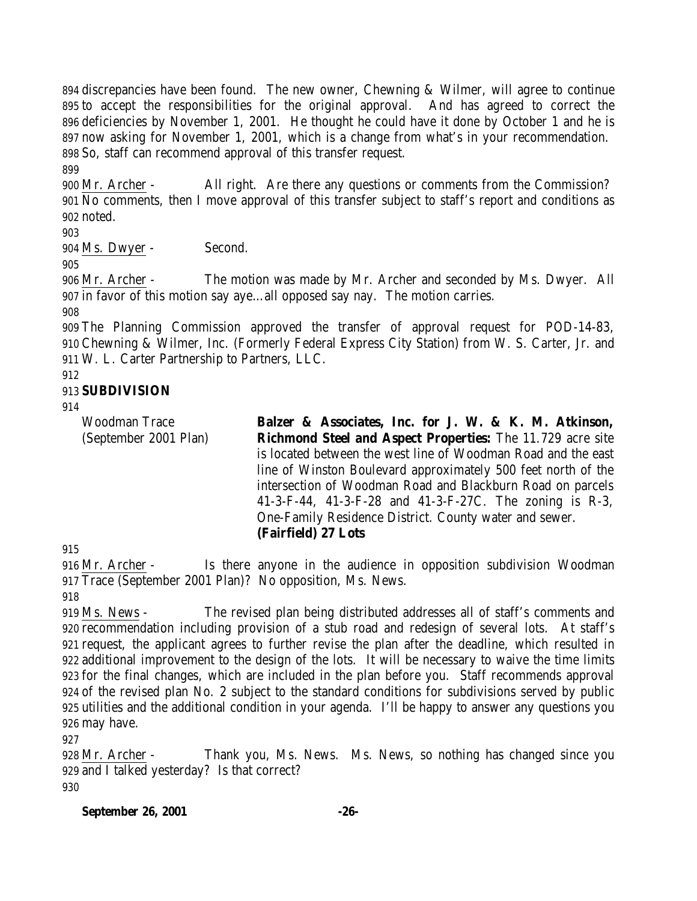discrepancies have been found. The new owner, Chewning & Wilmer, will agree to continue to accept the responsibilities for the original approval. And has agreed to correct the deficiencies by November 1, 2001. He thought he could have it done by October 1 and he is now asking for November 1, 2001, which is a change from what's in your recommendation. So, staff can recommend approval of this transfer request.

 Mr. Archer - All right. Are there any questions or comments from the Commission? 901 No comments, then I move approval of this transfer subject to staff's report and conditions as noted.

Ms. Dwyer - Second.

 Mr. Archer - The motion was made by Mr. Archer and seconded by Ms. Dwyer. All in favor of this motion say aye…all opposed say nay. The motion carries.

 The Planning Commission approved the transfer of approval request for POD-14-83, Chewning & Wilmer, Inc. (Formerly Federal Express City Station) from W. S. Carter, Jr. and W. L. Carter Partnership to Partners, LLC.

### **SUBDIVISION**

Woodman Trace (September 2001 Plan) **Balzer & Associates, Inc. for J. W. & K. M. Atkinson, Richmond Steel and Aspect Properties:** The 11.729 acre site is located between the west line of Woodman Road and the east line of Winston Boulevard approximately 500 feet north of the intersection of Woodman Road and Blackburn Road on parcels 41-3-F-44, 41-3-F-28 and 41-3-F-27C. The zoning is R-3, One-Family Residence District. County water and sewer. **(Fairfield) 27 Lots**

 Mr. Archer - Is there anyone in the audience in opposition subdivision Woodman Trace (September 2001 Plan)? No opposition, Ms. News.

 Ms. News - The revised plan being distributed addresses all of staff's comments and recommendation including provision of a stub road and redesign of several lots. At staff's request, the applicant agrees to further revise the plan after the deadline, which resulted in additional improvement to the design of the lots. It will be necessary to waive the time limits for the final changes, which are included in the plan before you. Staff recommends approval of the revised plan No. 2 subject to the standard conditions for subdivisions served by public utilities and the additional condition in your agenda. I'll be happy to answer any questions you may have.

 Mr. Archer - Thank you, Ms. News. Ms. News, so nothing has changed since you and I talked yesterday? Is that correct? 

#### **September 26, 2001 -26-**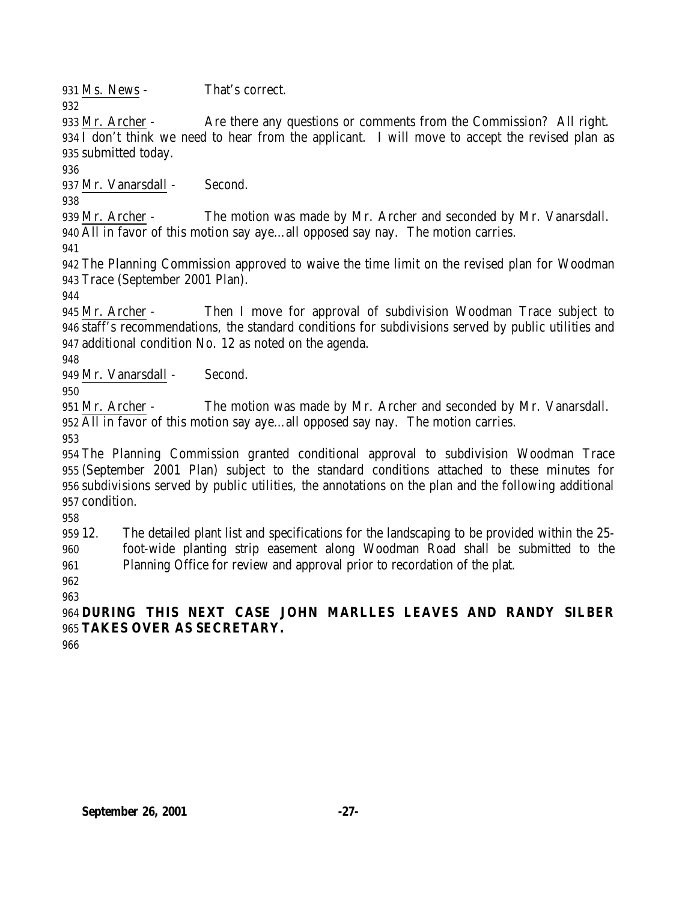Ms. News - That's correct.

 Mr. Archer - Are there any questions or comments from the Commission? All right. I don't think we need to hear from the applicant. I will move to accept the revised plan as

submitted today.

Mr. Vanarsdall - Second.

 Mr. Archer - The motion was made by Mr. Archer and seconded by Mr. Vanarsdall. All in favor of this motion say aye…all opposed say nay. The motion carries.

 The Planning Commission approved to waive the time limit on the revised plan for Woodman Trace (September 2001 Plan).

 Mr. Archer - Then I move for approval of subdivision Woodman Trace subject to staff's recommendations, the standard conditions for subdivisions served by public utilities and additional condition No. 12 as noted on the agenda.

949 Mr. Vanarsdall - Second.

 Mr. Archer - The motion was made by Mr. Archer and seconded by Mr. Vanarsdall. All in favor of this motion say aye…all opposed say nay. The motion carries.

 The Planning Commission granted conditional approval to subdivision Woodman Trace (September 2001 Plan) subject to the standard conditions attached to these minutes for subdivisions served by public utilities, the annotations on the plan and the following additional condition.

 12. The detailed plant list and specifications for the landscaping to be provided within the 25- foot-wide planting strip easement along Woodman Road shall be submitted to the Planning Office for review and approval prior to recordation of the plat.

 

 **DURING THIS NEXT CASE JOHN MARLLES LEAVES AND RANDY SILBER TAKES OVER AS SECRETARY.**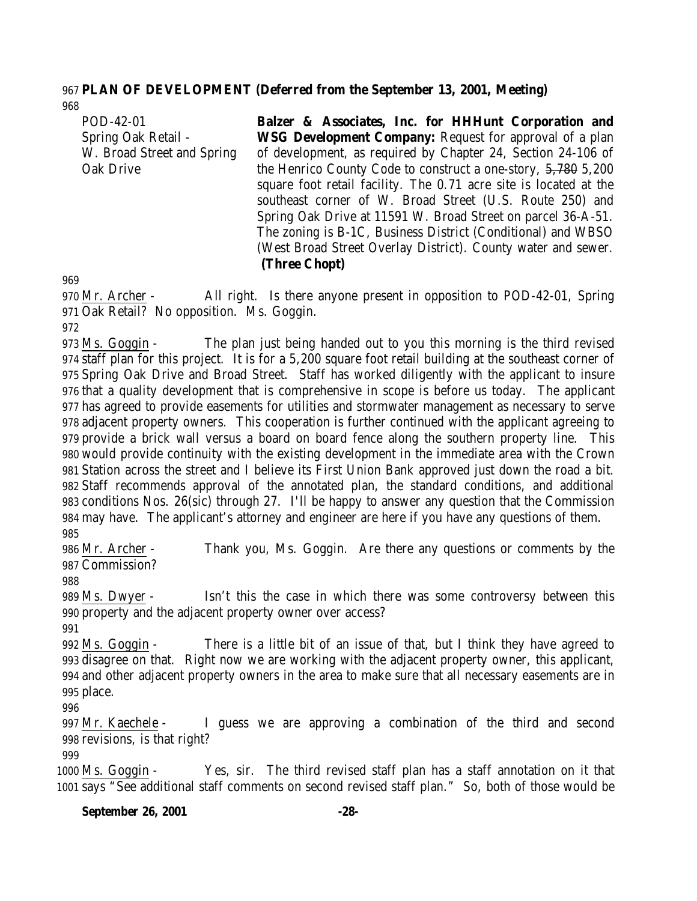#### **PLAN OF DEVELOPMENT** *(***Deferred from the September 13, 2001, Meeting***)*

POD-42-01 Spring Oak Retail - W. Broad Street and Spring Oak Drive **Balzer & Associates, Inc. for HHHunt Corporation and WSG Development Company:** Request for approval of a plan of development, as required by Chapter 24, Section 24-106 of the Henrico County Code to construct a one-story, 5,780 5,200 square foot retail facility. The 0.71 acre site is located at the southeast corner of W. Broad Street (U.S. Route 250) and Spring Oak Drive at 11591 W. Broad Street on parcel 36-A-51. The zoning is B-1C, Business District (Conditional) and WBSO (West Broad Street Overlay District). County water and sewer.

#### **(Three Chopt)**

 Mr. Archer - All right. Is there anyone present in opposition to POD-42-01, Spring Oak Retail? No opposition. Ms. Goggin.

 Ms. Goggin - The plan just being handed out to you this morning is the third revised staff plan for this project. It is for a 5,200 square foot retail building at the southeast corner of Spring Oak Drive and Broad Street. Staff has worked diligently with the applicant to insure that a quality development that is comprehensive in scope is before us today. The applicant has agreed to provide easements for utilities and stormwater management as necessary to serve adjacent property owners. This cooperation is further continued with the applicant agreeing to provide a brick wall versus a board on board fence along the southern property line. This would provide continuity with the existing development in the immediate area with the Crown Station across the street and I believe its First Union Bank approved just down the road a bit. Staff recommends approval of the annotated plan, the standard conditions, and additional conditions Nos. 26(sic) through 27. I'll be happy to answer any question that the Commission may have. The applicant's attorney and engineer are here if you have any questions of them. 

 Mr. Archer - Thank you, Ms. Goggin. Are there any questions or comments by the Commission?

 Ms. Dwyer - Isn't this the case in which there was some controversy between this property and the adjacent property owner over access?

 Ms. Goggin - There is a little bit of an issue of that, but I think they have agreed to disagree on that. Right now we are working with the adjacent property owner, this applicant, and other adjacent property owners in the area to make sure that all necessary easements are in place.

 Mr. Kaechele - I guess we are approving a combination of the third and second revisions, is that right?

 Ms. Goggin - Yes, sir. The third revised staff plan has a staff annotation on it that says "See additional staff comments on second revised staff plan." So, both of those would be

#### **September 26, 2001 -28-**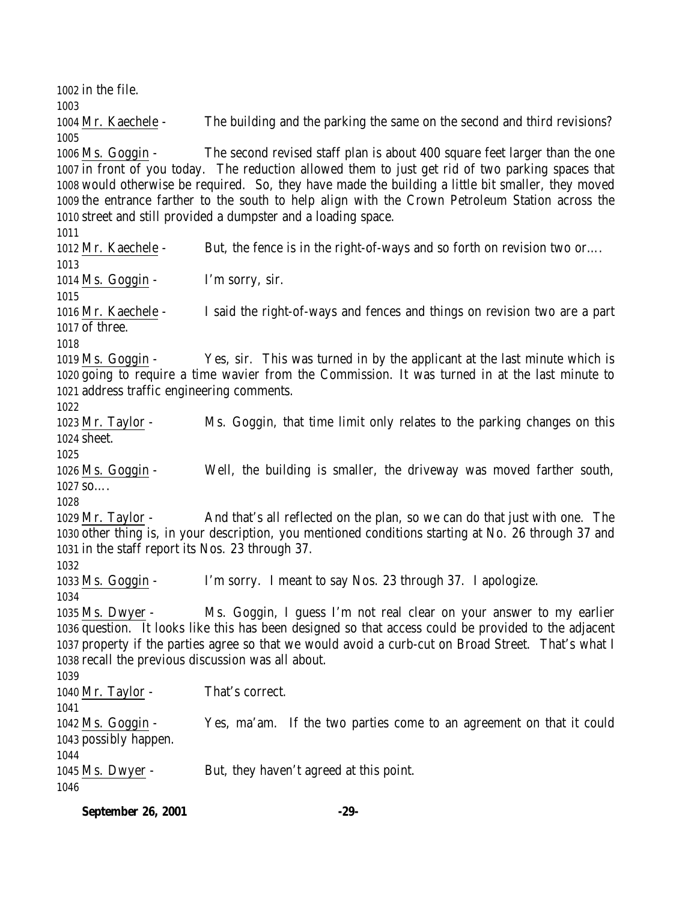in the file. Mr. Kaechele - The building and the parking the same on the second and third revisions? Ms. Goggin - The second revised staff plan is about 400 square feet larger than the one in front of you today. The reduction allowed them to just get rid of two parking spaces that would otherwise be required. So, they have made the building a little bit smaller, they moved the entrance farther to the south to help align with the Crown Petroleum Station across the street and still provided a dumpster and a loading space. 1012 Mr. Kaechele - But, the fence is in the right-of-ways and so forth on revision two or... Ms. Goggin - I'm sorry, sir. Mr. Kaechele - I said the right-of-ways and fences and things on revision two are a part of three. Ms. Goggin - Yes, sir. This was turned in by the applicant at the last minute which is going to require a time wavier from the Commission. It was turned in at the last minute to address traffic engineering comments. Mr. Taylor - Ms. Goggin, that time limit only relates to the parking changes on this sheet. Ms. Goggin - Well, the building is smaller, the driveway was moved farther south, so…. Mr. Taylor - And that's all reflected on the plan, so we can do that just with one. The other thing is, in your description, you mentioned conditions starting at No. 26 through 37 and in the staff report its Nos. 23 through 37. Ms. Goggin - I'm sorry. I meant to say Nos. 23 through 37. I apologize. Ms. Dwyer - Ms. Goggin, I guess I'm not real clear on your answer to my earlier question. It looks like this has been designed so that access could be provided to the adjacent property if the parties agree so that we would avoid a curb-cut on Broad Street. That's what I recall the previous discussion was all about. 1040 Mr. Taylor - That's correct. Ms. Goggin - Yes, ma'am. If the two parties come to an agreement on that it could possibly happen. Ms. Dwyer - But, they haven't agreed at this point.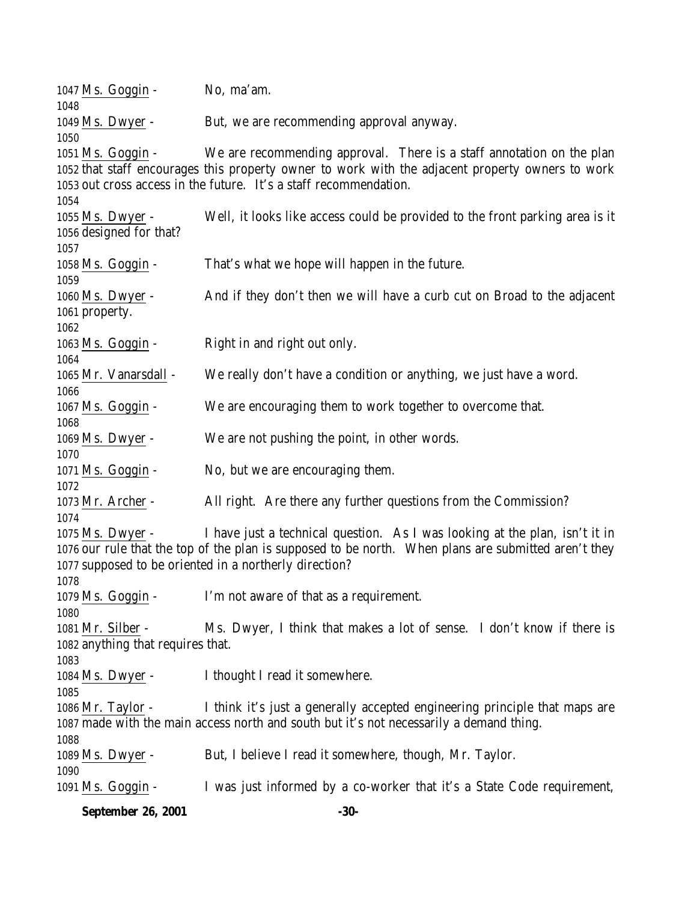1047 Ms. Goggin - No, ma'am. 1049 Ms. Dwyer - But, we are recommending approval anyway. Ms. Goggin - We are recommending approval. There is a staff annotation on the plan that staff encourages this property owner to work with the adjacent property owners to work out cross access in the future. It's a staff recommendation. Ms. Dwyer - Well, it looks like access could be provided to the front parking area is it designed for that? Ms. Goggin - That's what we hope will happen in the future. Ms. Dwyer - And if they don't then we will have a curb cut on Broad to the adjacent property. Ms. Goggin - Right in and right out only. Mr. Vanarsdall - We really don't have a condition or anything, we just have a word. Ms. Goggin - We are encouraging them to work together to overcome that. Ms. Dwyer - We are not pushing the point, in other words. 1071 Ms. Goggin - No, but we are encouraging them. Mr. Archer - All right. Are there any further questions from the Commission? Ms. Dwyer - I have just a technical question. As I was looking at the plan, isn't it in our rule that the top of the plan is supposed to be north. When plans are submitted aren't they supposed to be oriented in a northerly direction? Ms. Goggin - I'm not aware of that as a requirement. Mr. Silber - Ms. Dwyer, I think that makes a lot of sense. I don't know if there is anything that requires that. Ms. Dwyer - I thought I read it somewhere. Mr. Taylor - I think it's just a generally accepted engineering principle that maps are made with the main access north and south but it's not necessarily a demand thing. Ms. Dwyer - But, I believe I read it somewhere, though, Mr. Taylor. Ms. Goggin - I was just informed by a co-worker that it's a State Code requirement,

**September 26, 2001 -30-**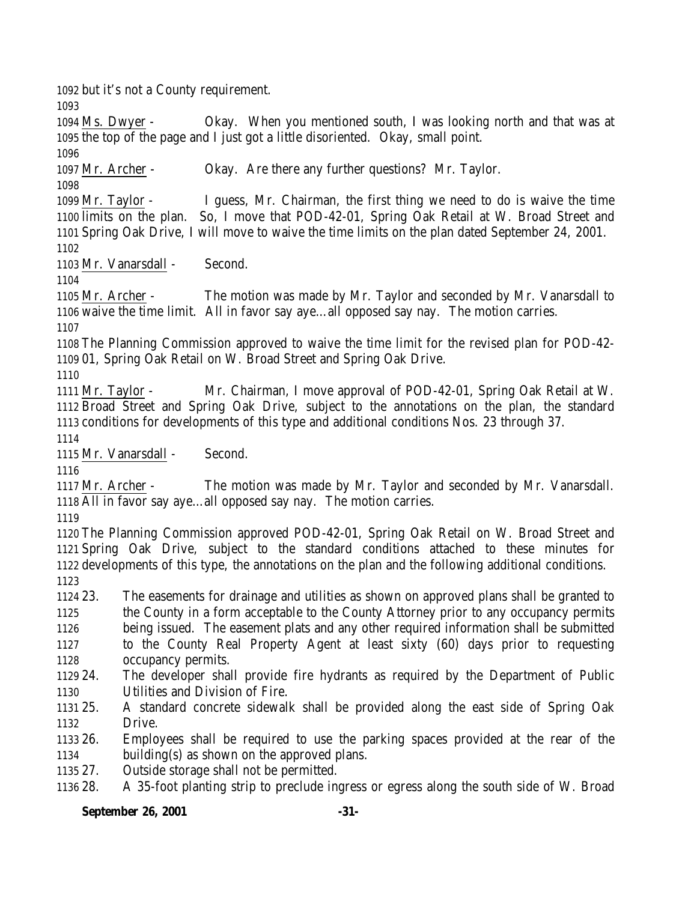but it's not a County requirement.

**September 26, 2001 -31-** the top of the page and I just got a little disoriented. Okay, small point. Mr. Archer - Okay. Are there any further questions? Mr. Taylor. Mr. Taylor - I guess, Mr. Chairman, the first thing we need to do is waive the time limits on the plan. So, I move that POD-42-01, Spring Oak Retail at W. Broad Street and Spring Oak Drive, I will move to waive the time limits on the plan dated September 24, 2001. Mr. Vanarsdall - Second. Mr. Archer - The motion was made by Mr. Taylor and seconded by Mr. Vanarsdall to waive the time limit. All in favor say aye…all opposed say nay. The motion carries. The Planning Commission approved to waive the time limit for the revised plan for POD-42- 01, Spring Oak Retail on W. Broad Street and Spring Oak Drive. Mr. Taylor - Mr. Chairman, I move approval of POD-42-01, Spring Oak Retail at W. Broad Street and Spring Oak Drive, subject to the annotations on the plan, the standard conditions for developments of this type and additional conditions Nos. 23 through 37. Mr. Vanarsdall - Second. Mr. Archer - The motion was made by Mr. Taylor and seconded by Mr. Vanarsdall. All in favor say aye…all opposed say nay. The motion carries. The Planning Commission approved POD-42-01, Spring Oak Retail on W. Broad Street and Spring Oak Drive, subject to the standard conditions attached to these minutes for developments of this type, the annotations on the plan and the following additional conditions. 23. The easements for drainage and utilities as shown on approved plans shall be granted to the County in a form acceptable to the County Attorney prior to any occupancy permits being issued. The easement plats and any other required information shall be submitted to the County Real Property Agent at least sixty (60) days prior to requesting occupancy permits. 24. The developer shall provide fire hydrants as required by the Department of Public Utilities and Division of Fire. 25. A standard concrete sidewalk shall be provided along the east side of Spring Oak Drive. 26. Employees shall be required to use the parking spaces provided at the rear of the building(s) as shown on the approved plans. 27. Outside storage shall not be permitted. 28. A 35-foot planting strip to preclude ingress or egress along the south side of W. Broad

Ms. Dwyer - Okay. When you mentioned south, I was looking north and that was at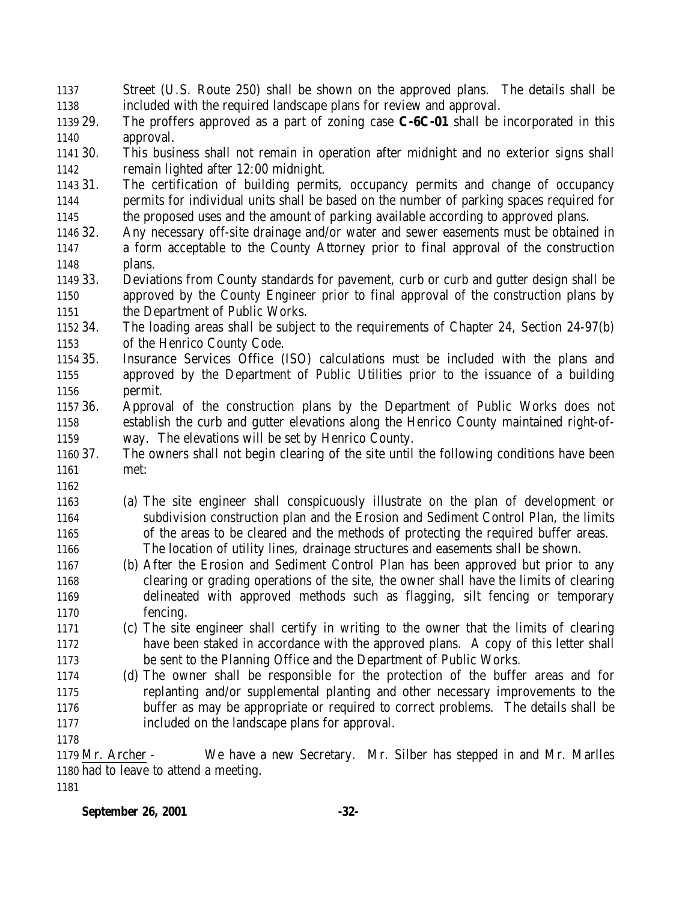| Street (U.S. Route 250) shall be shown on the approved plans. The details shall be             |
|------------------------------------------------------------------------------------------------|
| included with the required landscape plans for review and approval.                            |
| The proffers approved as a part of zoning case $C$ - $6C$ - $01$ shall be incorporated in this |
| approval.                                                                                      |
| This business shall not remain in operation after midnight and no exterior signs shall         |
| remain lighted after 12:00 midnight.                                                           |
| The certification of building permits, occupancy permits and change of occupancy               |
| permits for individual units shall be based on the number of parking spaces required for       |
| the proposed uses and the amount of parking available according to approved plans.             |
| Any necessary off-site drainage and/or water and sewer easements must be obtained in           |
| a form acceptable to the County Attorney prior to final approval of the construction           |
| plans.                                                                                         |
| Deviations from County standards for pavement, curb or curb and gutter design shall be         |
| approved by the County Engineer prior to final approval of the construction plans by           |
| the Department of Public Works.                                                                |
| The loading areas shall be subject to the requirements of Chapter 24, Section 24-97(b)         |
| of the Henrico County Code.                                                                    |
| Insurance Services Office (ISO) calculations must be included with the plans and               |
| approved by the Department of Public Utilities prior to the issuance of a building             |
| permit.                                                                                        |
| Approval of the construction plans by the Department of Public Works does not                  |
| establish the curb and gutter elevations along the Henrico County maintained right-of-         |
| way. The elevations will be set by Henrico County.                                             |
| The owners shall not begin clearing of the site until the following conditions have been       |
| met:                                                                                           |
|                                                                                                |
| (a) The site engineer shall conspicuously illustrate on the plan of development or             |
| subdivision construction plan and the Erosion and Sediment Control Plan, the limits            |
| of the areas to be cleared and the methods of protecting the required buffer areas.            |
| The location of utility lines, drainage structures and easements shall be shown.               |
| (b) After the Erosion and Sediment Control Plan has been approved but prior to any             |
| clearing or grading operations of the site, the owner shall have the limits of clearing        |
| delineated with approved methods such as flagging, silt fencing or temporary                   |
| fencing.                                                                                       |
| (c) The site engineer shall certify in writing to the owner that the limits of clearing        |
| have been staked in accordance with the approved plans. A copy of this letter shall            |
| be sent to the Planning Office and the Department of Public Works.                             |
| (d) The owner shall be responsible for the protection of the buffer areas and for              |
| replanting and/or supplemental planting and other necessary improvements to the                |
| buffer as may be appropriate or required to correct problems. The details shall be             |
| included on the landscape plans for approval.                                                  |
|                                                                                                |
| We have a new Secretary. Mr. Silber has stepped in and Mr. Marlles<br>1179 Mr. Archer -        |
| 1180 had to leave to attend a meeting.                                                         |
|                                                                                                |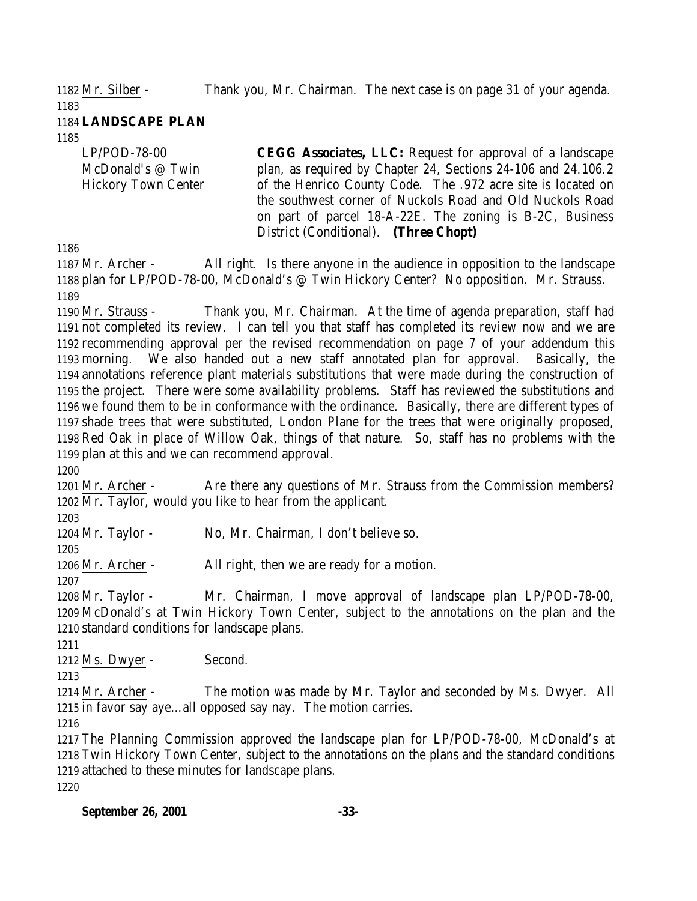Mr. Silber - Thank you, Mr. Chairman. The next case is on page 31 of your agenda.

 **LANDSCAPE PLAN**

LP/POD-78-00 McDonald's @ Twin Hickory Town Center **CEGG Associates, LLC:** Request for approval of a landscape plan, as required by Chapter 24, Sections 24-106 and 24.106.2 of the Henrico County Code. The .972 acre site is located on the southwest corner of Nuckols Road and Old Nuckols Road on part of parcel 18-A-22E. The zoning is B-2C, Business District (Conditional). **(Three Chopt)**

 Mr. Archer - All right. Is there anyone in the audience in opposition to the landscape plan for LP/POD-78-00, McDonald's @ Twin Hickory Center? No opposition. Mr. Strauss. 

1190 Mr. Strauss - Thank you, Mr. Chairman. At the time of agenda preparation, staff had not completed its review. I can tell you that staff has completed its review now and we are recommending approval per the revised recommendation on page 7 of your addendum this morning. We also handed out a new staff annotated plan for approval. Basically, the annotations reference plant materials substitutions that were made during the construction of the project. There were some availability problems. Staff has reviewed the substitutions and we found them to be in conformance with the ordinance. Basically, there are different types of shade trees that were substituted, London Plane for the trees that were originally proposed, Red Oak in place of Willow Oak, things of that nature. So, staff has no problems with the plan at this and we can recommend approval.

1201 Mr. Archer - Are there any questions of Mr. Strauss from the Commission members? Mr. Taylor, would you like to hear from the applicant.

Mr. Taylor - No, Mr. Chairman, I don't believe so.

Mr. Archer - All right, then we are ready for a motion.

 Mr. Taylor - Mr. Chairman, I move approval of landscape plan LP/POD-78-00, McDonald's at Twin Hickory Town Center, subject to the annotations on the plan and the standard conditions for landscape plans.

1212 Ms. Dwyer - Second.

 Mr. Archer - The motion was made by Mr. Taylor and seconded by Ms. Dwyer. All in favor say aye…all opposed say nay. The motion carries.

 The Planning Commission approved the landscape plan for LP/POD-78-00, McDonald's at Twin Hickory Town Center, subject to the annotations on the plans and the standard conditions attached to these minutes for landscape plans. 

**September 26, 2001 -33-**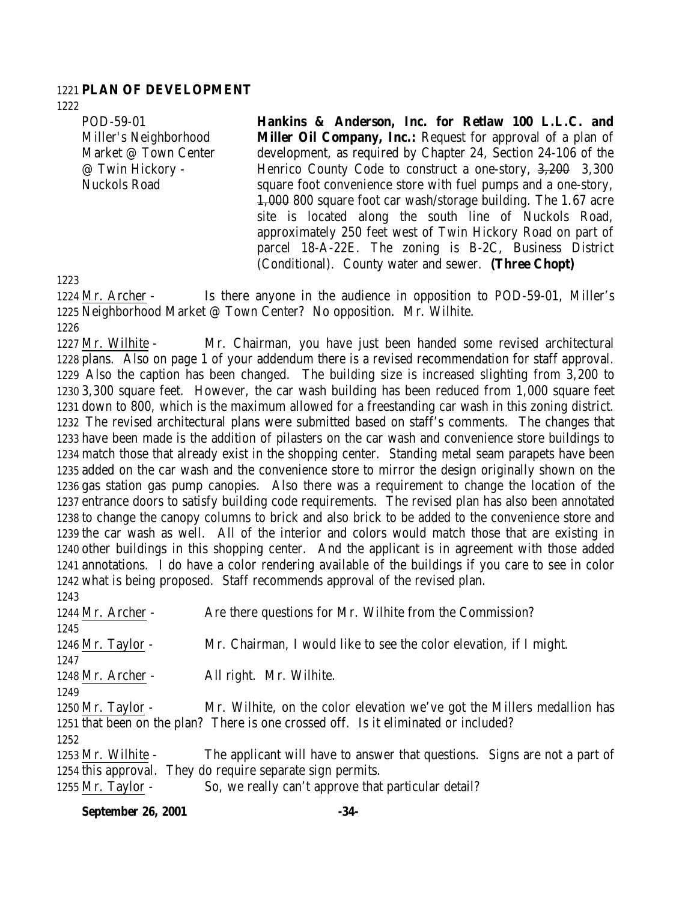#### **PLAN OF DEVELOPMENT**

POD-59-01 Miller's Neighborhood Market @ Town Center @ Twin Hickory - Nuckols Road

**Hankins & Anderson, Inc. for Retlaw 100 L.L.C. and Miller Oil Company, Inc.:** Request for approval of a plan of development, as required by Chapter 24, Section 24-106 of the Henrico County Code to construct a one-story, 3,200 3,300 square foot convenience store with fuel pumps and a one-story, 1,000 800 square foot car wash/storage building. The 1.67 acre site is located along the south line of Nuckols Road, approximately 250 feet west of Twin Hickory Road on part of parcel 18-A-22E. The zoning is B-2C, Business District (Conditional). County water and sewer. **(Three Chopt)**

 Mr. Archer - Is there anyone in the audience in opposition to POD-59-01, Miller's Neighborhood Market @ Town Center? No opposition. Mr. Wilhite. 

 Mr. Wilhite - Mr. Chairman, you have just been handed some revised architectural plans. Also on page 1 of your addendum there is a revised recommendation for staff approval. Also the caption has been changed. The building size is increased slighting from 3,200 to 3,300 square feet. However, the car wash building has been reduced from 1,000 square feet down to 800, which is the maximum allowed for a freestanding car wash in this zoning district. The revised architectural plans were submitted based on staff's comments. The changes that have been made is the addition of pilasters on the car wash and convenience store buildings to match those that already exist in the shopping center. Standing metal seam parapets have been added on the car wash and the convenience store to mirror the design originally shown on the gas station gas pump canopies. Also there was a requirement to change the location of the entrance doors to satisfy building code requirements. The revised plan has also been annotated to change the canopy columns to brick and also brick to be added to the convenience store and the car wash as well. All of the interior and colors would match those that are existing in other buildings in this shopping center. And the applicant is in agreement with those added annotations. I do have a color rendering available of the buildings if you care to see in color what is being proposed. Staff recommends approval of the revised plan. 

1244 Mr. Archer - Are there questions for Mr. Wilhite from the Commission? Mr. Taylor - Mr. Chairman, I would like to see the color elevation, if I might. Mr. Archer - All right. Mr. Wilhite. Mr. Taylor - Mr. Wilhite, on the color elevation we've got the Millers medallion has that been on the plan? There is one crossed off. Is it eliminated or included? Mr. Wilhite - The applicant will have to answer that questions. Signs are not a part of this approval. They do require separate sign permits. 1255 Mr. Taylor - So, we really can't approve that particular detail?

**September 26, 2001 -34-**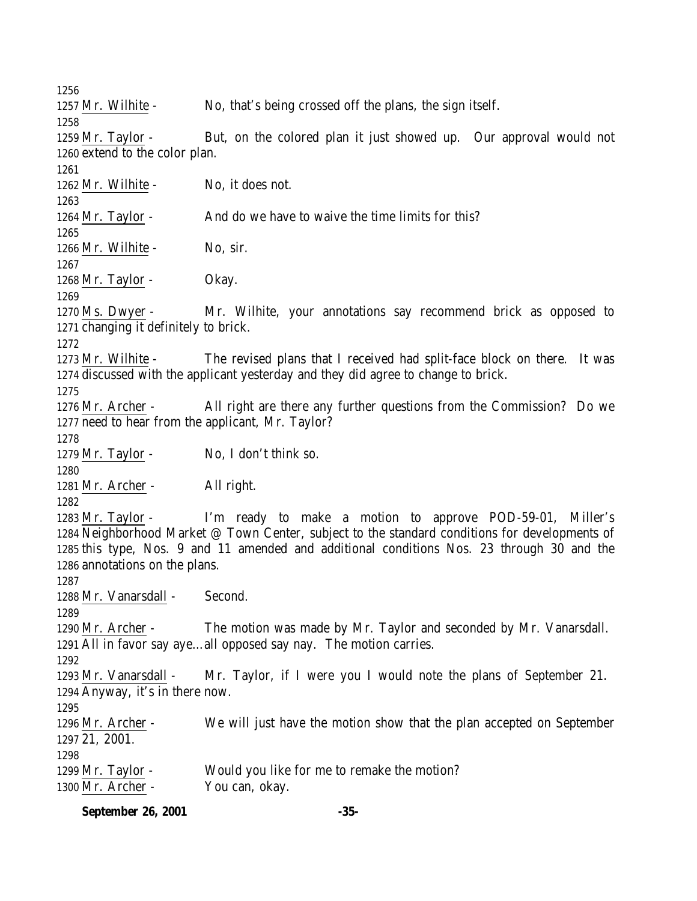Mr. Wilhite - No, that's being crossed off the plans, the sign itself. Mr. Taylor - But, on the colored plan it just showed up. Our approval would not extend to the color plan. 1262 Mr. Wilhite - No, it does not. 1264 Mr. Taylor - And do we have to waive the time limits for this? 1266 Mr. Wilhite - No, sir. 1268 Mr. Taylor - Okay. 1270 Ms. Dwyer - Mr. Wilhite, your annotations say recommend brick as opposed to changing it definitely to brick. Mr. Wilhite - The revised plans that I received had split-face block on there. It was discussed with the applicant yesterday and they did agree to change to brick. Mr. Archer - All right are there any further questions from the Commission? Do we need to hear from the applicant, Mr. Taylor? 1279 Mr. Taylor - No, I don't think so. Mr. Archer - All right. Mr. Taylor - I'm ready to make a motion to approve POD-59-01, Miller's Neighborhood Market @ Town Center, subject to the standard conditions for developments of this type, Nos. 9 and 11 amended and additional conditions Nos. 23 through 30 and the annotations on the plans. Mr. Vanarsdall - Second. Mr. Archer - The motion was made by Mr. Taylor and seconded by Mr. Vanarsdall. All in favor say aye…all opposed say nay. The motion carries. Mr. Vanarsdall - Mr. Taylor, if I were you I would note the plans of September 21. Anyway, it's in there now. Mr. Archer - We will just have the motion show that the plan accepted on September 21, 2001. Mr. Taylor - Would you like for me to remake the motion? Mr. Archer - You can, okay.

**September 26, 2001 -35-**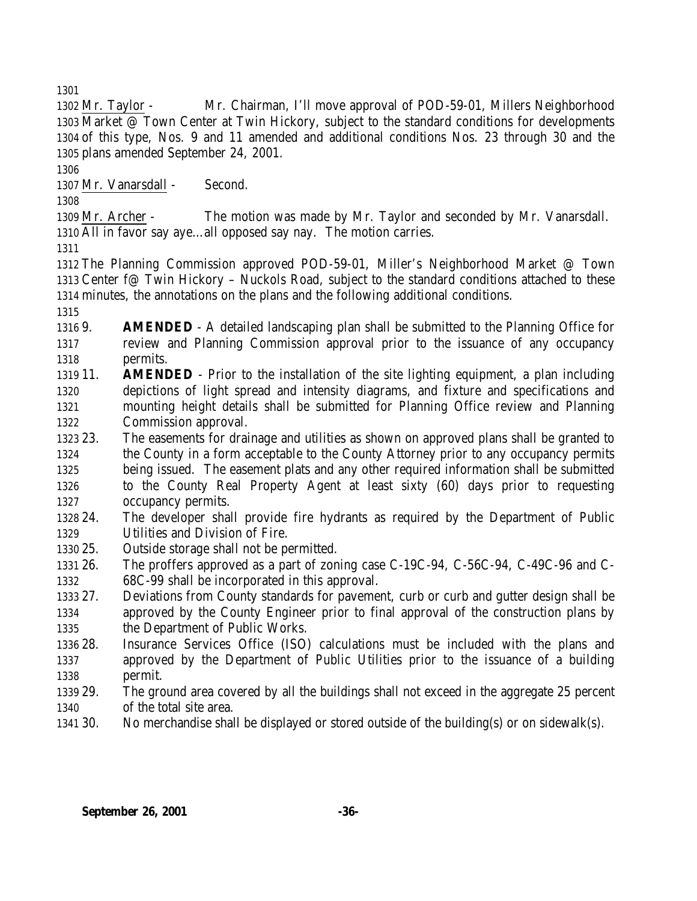Mr. Taylor - Mr. Chairman, I'll move approval of POD-59-01, Millers Neighborhood Market @ Town Center at Twin Hickory, subject to the standard conditions for developments of this type, Nos. 9 and 11 amended and additional conditions Nos. 23 through 30 and the plans amended September 24, 2001.

Mr. Vanarsdall - Second.

 Mr. Archer - The motion was made by Mr. Taylor and seconded by Mr. Vanarsdall. All in favor say aye…all opposed say nay. The motion carries.

 The Planning Commission approved POD-59-01, Miller's Neighborhood Market @ Town Center f@ Twin Hickory – Nuckols Road, subject to the standard conditions attached to these minutes, the annotations on the plans and the following additional conditions.

- 9. **AMENDED** A detailed landscaping plan shall be submitted to the Planning Office for review and Planning Commission approval prior to the issuance of any occupancy permits.
- 11. **AMENDED** Prior to the installation of the site lighting equipment, a plan including depictions of light spread and intensity diagrams, and fixture and specifications and mounting height details shall be submitted for Planning Office review and Planning Commission approval.
- 23. The easements for drainage and utilities as shown on approved plans shall be granted to the County in a form acceptable to the County Attorney prior to any occupancy permits being issued. The easement plats and any other required information shall be submitted to the County Real Property Agent at least sixty (60) days prior to requesting occupancy permits.
- 24. The developer shall provide fire hydrants as required by the Department of Public Utilities and Division of Fire.
- 25. Outside storage shall not be permitted.
- 26. The proffers approved as a part of zoning case C-19C-94, C-56C-94, C-49C-96 and C-68C-99 shall be incorporated in this approval.
- 27. Deviations from County standards for pavement, curb or curb and gutter design shall be approved by the County Engineer prior to final approval of the construction plans by the Department of Public Works.
- 28. Insurance Services Office (ISO) calculations must be included with the plans and approved by the Department of Public Utilities prior to the issuance of a building permit.
- 29. The ground area covered by all the buildings shall not exceed in the aggregate 25 percent of the total site area.
- 30. No merchandise shall be displayed or stored outside of the building(s) or on sidewalk(s).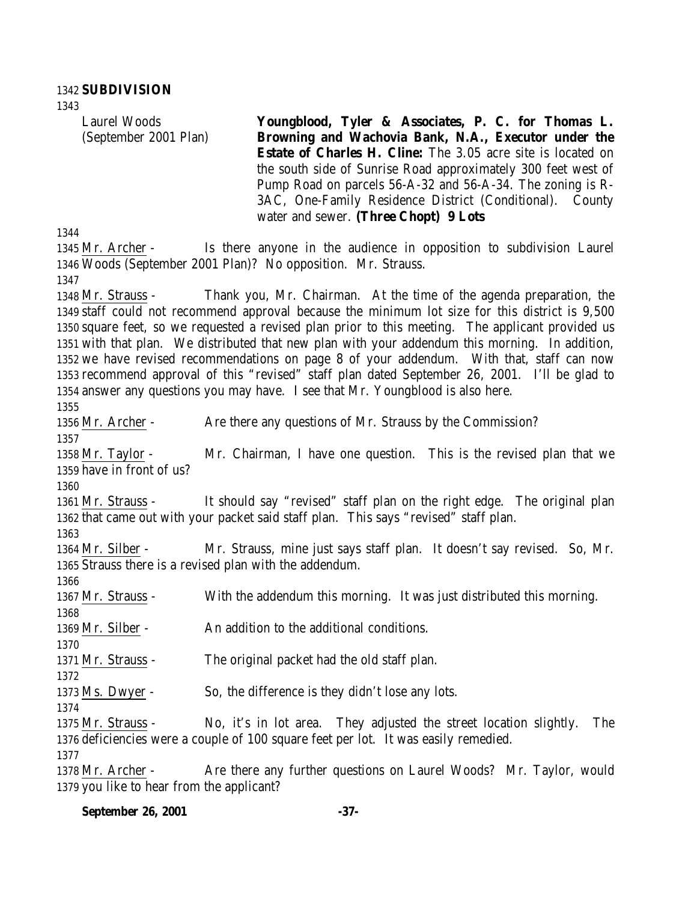Laurel Woods (September 2001 Plan) **Youngblood, Tyler & Associates, P. C. for Thomas L. Browning and Wachovia Bank, N.A., Executor under the Estate of Charles H. Cline:** The 3.05 acre site is located on the south side of Sunrise Road approximately 300 feet west of Pump Road on parcels 56-A-32 and 56-A-34. The zoning is R-3AC, One-Family Residence District (Conditional). County water and sewer. **(Three Chopt) 9 Lots**

 Mr. Archer - Is there anyone in the audience in opposition to subdivision Laurel Woods (September 2001 Plan)? No opposition. Mr. Strauss. Mr. Strauss - Thank you, Mr. Chairman. At the time of the agenda preparation, the staff could not recommend approval because the minimum lot size for this district is 9,500 square feet, so we requested a revised plan prior to this meeting. The applicant provided us with that plan. We distributed that new plan with your addendum this morning. In addition, we have revised recommendations on page 8 of your addendum. With that, staff can now recommend approval of this "revised" staff plan dated September 26, 2001. I'll be glad to answer any questions you may have. I see that Mr. Youngblood is also here. 1356 Mr. Archer - Are there any questions of Mr. Strauss by the Commission? Mr. Taylor - Mr. Chairman, I have one question. This is the revised plan that we have in front of us? Mr. Strauss - It should say "revised" staff plan on the right edge. The original plan that came out with your packet said staff plan. This says "revised" staff plan. Mr. Silber - Mr. Strauss, mine just says staff plan. It doesn't say revised. So, Mr. Strauss there is a revised plan with the addendum. Mr. Strauss - With the addendum this morning. It was just distributed this morning. Mr. Silber - An addition to the additional conditions. Mr. Strauss - The original packet had the old staff plan. Ms. Dwyer - So, the difference is they didn't lose any lots. 

 Mr. Strauss - No, it's in lot area. They adjusted the street location slightly. The deficiencies were a couple of 100 square feet per lot. It was easily remedied.

 Mr. Archer - Are there any further questions on Laurel Woods? Mr. Taylor, would you like to hear from the applicant?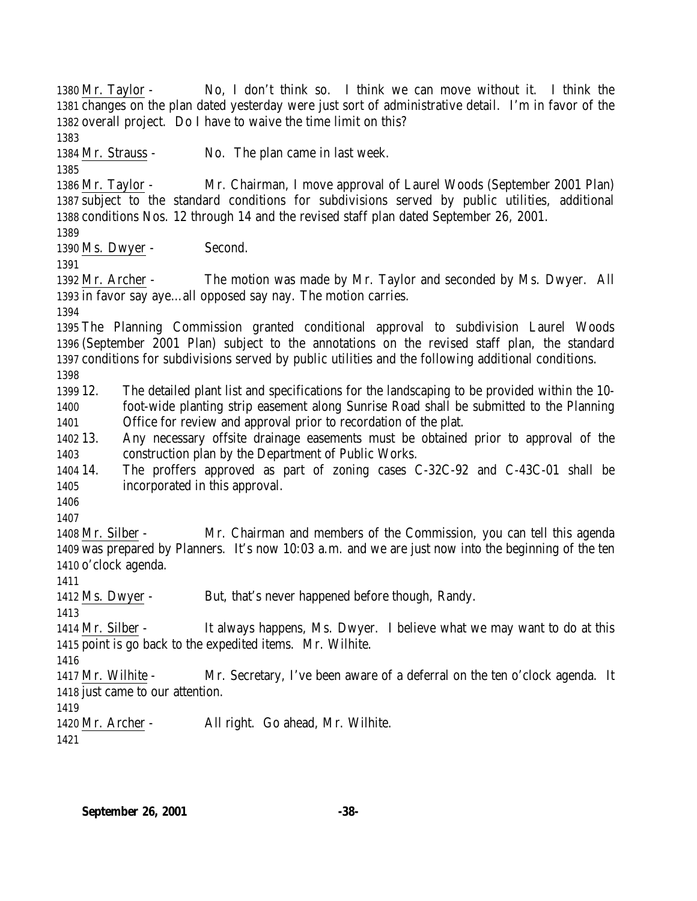Mr. Taylor - No, I don't think so. I think we can move without it. I think the changes on the plan dated yesterday were just sort of administrative detail. I'm in favor of the overall project. Do I have to waive the time limit on this? Mr. Strauss - No. The plan came in last week. Mr. Taylor - Mr. Chairman, I move approval of Laurel Woods (September 2001 Plan) subject to the standard conditions for subdivisions served by public utilities, additional conditions Nos. 12 through 14 and the revised staff plan dated September 26, 2001. 1390 Ms. Dwyer - Second. Mr. Archer - The motion was made by Mr. Taylor and seconded by Ms. Dwyer. All in favor say aye…all opposed say nay. The motion carries. The Planning Commission granted conditional approval to subdivision Laurel Woods (September 2001 Plan) subject to the annotations on the revised staff plan, the standard conditions for subdivisions served by public utilities and the following additional conditions. 12. The detailed plant list and specifications for the landscaping to be provided within the 10- foot-wide planting strip easement along Sunrise Road shall be submitted to the Planning Office for review and approval prior to recordation of the plat. 13. Any necessary offsite drainage easements must be obtained prior to approval of the construction plan by the Department of Public Works. 14. The proffers approved as part of zoning cases C-32C-92 and C-43C-01 shall be incorporated in this approval. Mr. Silber - Mr. Chairman and members of the Commission, you can tell this agenda was prepared by Planners. It's now 10:03 a.m. and we are just now into the beginning of the ten o'clock agenda. Ms. Dwyer - But, that's never happened before though, Randy. Mr. Silber - It always happens, Ms. Dwyer. I believe what we may want to do at this point is go back to the expedited items. Mr. Wilhite. Mr. Wilhite - Mr. Secretary, I've been aware of a deferral on the ten o'clock agenda. It just came to our attention. Mr. Archer - All right. Go ahead, Mr. Wilhite.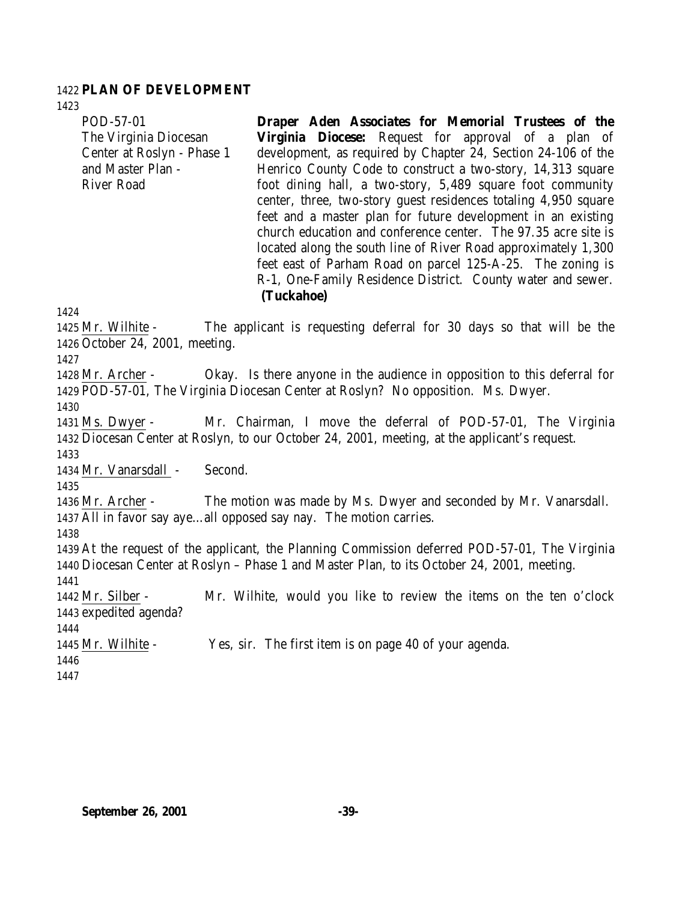#### 1422 **PLAN OF DEVELOPMENT**

POD-57-01

1423

1424

1427

1430

1433

1435

1438

1441

The Virginia Diocesan Center at Roslyn - Phase 1 and Master Plan - River Road **Virginia Diocese:** Request for approval of a plan of development, as required by Chapter 24, Section 24-106 of the Henrico County Code to construct a two-story, 14,313 square foot dining hall, a two-story, 5,489 square foot community center, three, two-story guest residences totaling 4,950 square feet and a master plan for future development in an existing church education and conference center. The 97.35 acre site is located along the south line of River Road approximately 1,300 feet east of Parham Road on parcel 125-A-25. The zoning is R-1, One-Family Residence District. County water and sewer. **(Tuckahoe)** 1425 Mr. Wilhite - The applicant is requesting deferral for 30 days so that will be the 1426 October 24, 2001, meeting. 1428 Mr. Archer - Okay. Is there anyone in the audience in opposition to this deferral for 1429 POD-57-01, The Virginia Diocesan Center at Roslyn? No opposition. Ms. Dwyer. 1431 Ms. Dwyer - Mr. Chairman, I move the deferral of POD-57-01, The Virginia 1432 Diocesan Center at Roslyn, to our October 24, 2001, meeting, at the applicant's request. 1434 Mr. Vanarsdall - Second. 1436 Mr. Archer - The motion was made by Ms. Dwyer and seconded by Mr. Vanarsdall. 1437 All in favor say aye…all opposed say nay. The motion carries. 1439 At the request of the applicant, the Planning Commission deferred POD-57-01, The Virginia 1440 Diocesan Center at Roslyn – Phase 1 and Master Plan, to its October 24, 2001, meeting. 1442 Mr. Silber - Mr. Wilhite, would you like to review the items on the ten o'clock 1443 expedited agenda? 1445 Mr. Wilhite - Yes, sir. The first item is on page 40 of your agenda.

**Draper Aden Associates for Memorial Trustees of the**

1446

1444

1447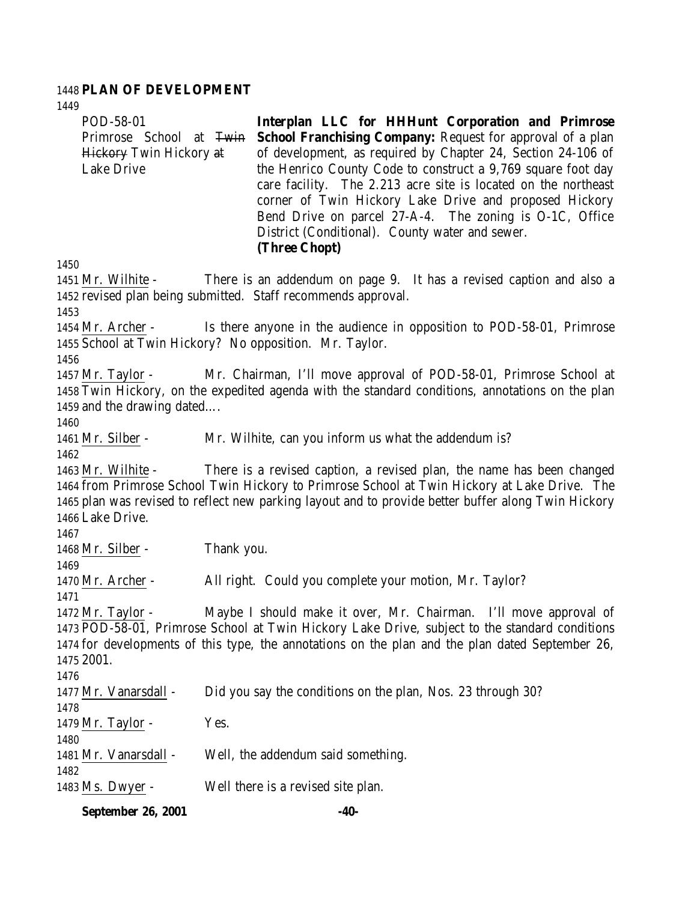# **PLAN OF DEVELOPMENT**

| 1449<br>POD-58-01<br>Primrose School at Twin<br><b>Hickory Twin Hickory at</b><br><b>Lake Drive</b>                                                                                                                                                                                                       | Interplan LLC for HHHunt Corporation and Primrose<br><b>School Franchising Company: Request for approval of a plan</b><br>of development, as required by Chapter 24, Section 24-106 of<br>the Henrico County Code to construct a 9,769 square foot day<br>care facility. The 2.213 acre site is located on the northeast<br>corner of Twin Hickory Lake Drive and proposed Hickory<br>Bend Drive on parcel 27-A-4. The zoning is O-1C, Office<br>District (Conditional). County water and sewer.<br>(Three Chopt) |  |
|-----------------------------------------------------------------------------------------------------------------------------------------------------------------------------------------------------------------------------------------------------------------------------------------------------------|-------------------------------------------------------------------------------------------------------------------------------------------------------------------------------------------------------------------------------------------------------------------------------------------------------------------------------------------------------------------------------------------------------------------------------------------------------------------------------------------------------------------|--|
| 1450<br>1451 Mr. Wilhite -                                                                                                                                                                                                                                                                                | There is an addendum on page 9. It has a revised caption and also a                                                                                                                                                                                                                                                                                                                                                                                                                                               |  |
| 1453                                                                                                                                                                                                                                                                                                      | 1452 revised plan being submitted. Staff recommends approval.                                                                                                                                                                                                                                                                                                                                                                                                                                                     |  |
|                                                                                                                                                                                                                                                                                                           | 1454 Mr. Archer - Is there anyone in the audience in opposition to POD-58-01, Primrose<br>1455 School at Twin Hickory? No opposition. Mr. Taylor.                                                                                                                                                                                                                                                                                                                                                                 |  |
| 1456<br>1457 Mr. Taylor -<br>1459 and the drawing dated<br>1460                                                                                                                                                                                                                                           | Mr. Chairman, I'll move approval of POD-58-01, Primrose School at<br>1458 Twin Hickory, on the expedited agenda with the standard conditions, annotations on the plan                                                                                                                                                                                                                                                                                                                                             |  |
| 1461 Mr. Silber -                                                                                                                                                                                                                                                                                         | Mr. Wilhite, can you inform us what the addendum is?                                                                                                                                                                                                                                                                                                                                                                                                                                                              |  |
| 1462<br>1463 Mr. Wilhite -<br>1466 Lake Drive.                                                                                                                                                                                                                                                            | There is a revised caption, a revised plan, the name has been changed<br>1464 from Primrose School Twin Hickory to Primrose School at Twin Hickory at Lake Drive. The<br>1465 plan was revised to reflect new parking layout and to provide better buffer along Twin Hickory                                                                                                                                                                                                                                      |  |
| 1467<br>1468 Mr. Silber -                                                                                                                                                                                                                                                                                 | Thank you.                                                                                                                                                                                                                                                                                                                                                                                                                                                                                                        |  |
| 1469<br>1470 Mr. Archer -<br>1471                                                                                                                                                                                                                                                                         | All right. Could you complete your motion, Mr. Taylor?                                                                                                                                                                                                                                                                                                                                                                                                                                                            |  |
| Maybe I should make it over, Mr. Chairman. I'll move approval of<br>1472 Mr. Taylor -<br>1473 POD-58-01, Primrose School at Twin Hickory Lake Drive, subject to the standard conditions<br>1474 for developments of this type, the annotations on the plan and the plan dated September 26,<br>1475 2001. |                                                                                                                                                                                                                                                                                                                                                                                                                                                                                                                   |  |
| 1476<br>1477 Mr. Vanarsdall -<br>1478                                                                                                                                                                                                                                                                     | Did you say the conditions on the plan, Nos. 23 through 30?                                                                                                                                                                                                                                                                                                                                                                                                                                                       |  |
| 1479 Mr. Taylor -<br>1480                                                                                                                                                                                                                                                                                 | Yes.                                                                                                                                                                                                                                                                                                                                                                                                                                                                                                              |  |
| 1481 Mr. Vanarsdall -                                                                                                                                                                                                                                                                                     | Well, the addendum said something.                                                                                                                                                                                                                                                                                                                                                                                                                                                                                |  |
| 1482<br>1483 Ms. Dwyer -                                                                                                                                                                                                                                                                                  | Well there is a revised site plan.                                                                                                                                                                                                                                                                                                                                                                                                                                                                                |  |

**September 26, 2001 -40-**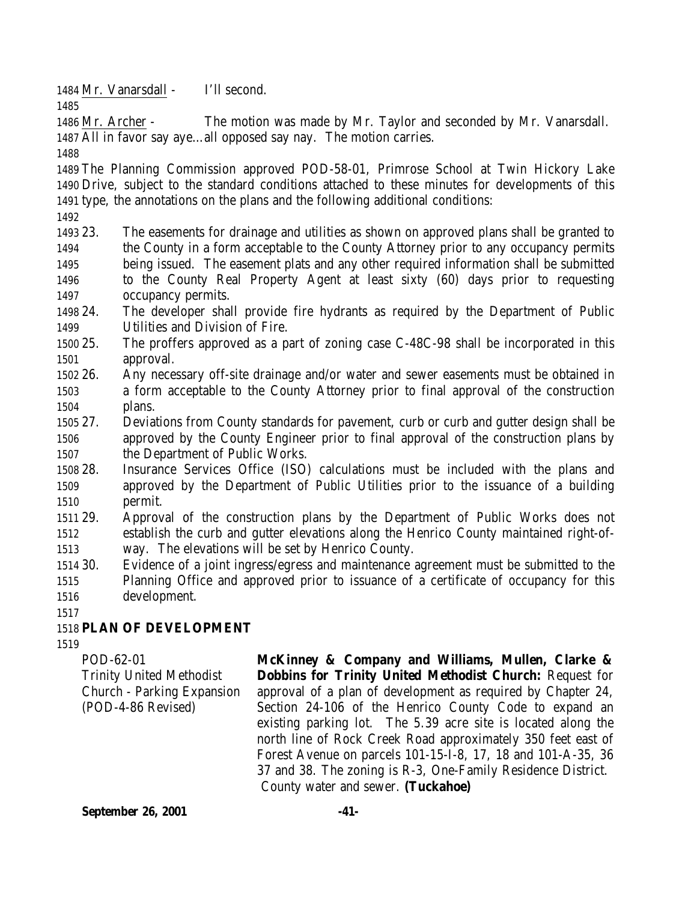Mr. Vanarsdall - I'll second.

 Mr. Archer - The motion was made by Mr. Taylor and seconded by Mr. Vanarsdall. All in favor say aye…all opposed say nay. The motion carries.

 The Planning Commission approved POD-58-01, Primrose School at Twin Hickory Lake Drive, subject to the standard conditions attached to these minutes for developments of this type, the annotations on the plans and the following additional conditions:

 23. The easements for drainage and utilities as shown on approved plans shall be granted to the County in a form acceptable to the County Attorney prior to any occupancy permits being issued. The easement plats and any other required information shall be submitted to the County Real Property Agent at least sixty (60) days prior to requesting occupancy permits.

 24. The developer shall provide fire hydrants as required by the Department of Public Utilities and Division of Fire.

 25. The proffers approved as a part of zoning case C-48C-98 shall be incorporated in this approval.

- 26. Any necessary off-site drainage and/or water and sewer easements must be obtained in a form acceptable to the County Attorney prior to final approval of the construction plans.
- 27. Deviations from County standards for pavement, curb or curb and gutter design shall be approved by the County Engineer prior to final approval of the construction plans by the Department of Public Works.
- 28. Insurance Services Office (ISO) calculations must be included with the plans and approved by the Department of Public Utilities prior to the issuance of a building permit.
- 29. Approval of the construction plans by the Department of Public Works does not establish the curb and gutter elevations along the Henrico County maintained right-of-way. The elevations will be set by Henrico County.
- 30. Evidence of a joint ingress/egress and maintenance agreement must be submitted to the Planning Office and approved prior to issuance of a certificate of occupancy for this development.
- 

# **PLAN OF DEVELOPMENT**

POD-62-01 Trinity United Methodist Church - Parking Expansion (POD-4-86 Revised)

**McKinney & Company and Williams, Mullen, Clarke & Dobbins for Trinity United Methodist Church:** Request for approval of a plan of development as required by Chapter 24, Section 24-106 of the Henrico County Code to expand an existing parking lot. The 5.39 acre site is located along the north line of Rock Creek Road approximately 350 feet east of Forest Avenue on parcels 101-15-I-8, 17, 18 and 101-A-35, 36 37 and 38. The zoning is R-3, One-Family Residence District. County water and sewer. **(Tuckahoe)**

**September 26, 2001 -41-**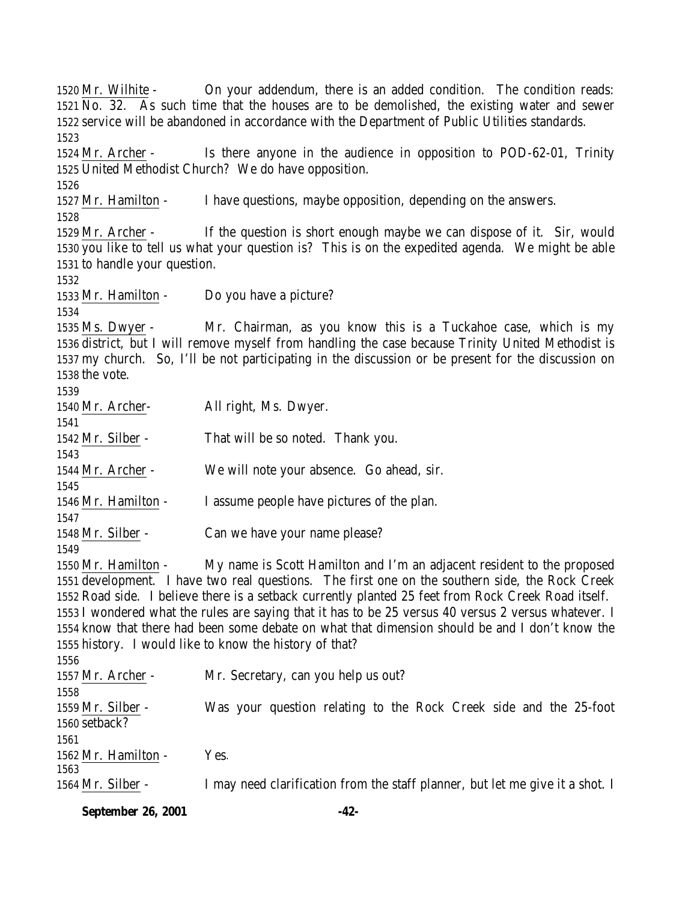Mr. Wilhite - On your addendum, there is an added condition. The condition reads: No. 32. As such time that the houses are to be demolished, the existing water and sewer service will be abandoned in accordance with the Department of Public Utilities standards. Mr. Archer - Is there anyone in the audience in opposition to POD-62-01, Trinity United Methodist Church? We do have opposition. Mr. Hamilton - I have questions, maybe opposition, depending on the answers. Mr. Archer - If the question is short enough maybe we can dispose of it. Sir, would you like to tell us what your question is? This is on the expedited agenda. We might be able to handle your question. Mr. Hamilton - Do you have a picture? Ms. Dwyer - Mr. Chairman, as you know this is a Tuckahoe case, which is my district, but I will remove myself from handling the case because Trinity United Methodist is my church. So, I'll be not participating in the discussion or be present for the discussion on the vote. Mr. Archer- All right, Ms. Dwyer. Mr. Silber - That will be so noted. Thank you. Mr. Archer - We will note your absence. Go ahead, sir. Mr. Hamilton - I assume people have pictures of the plan. Mr. Silber - Can we have your name please? Mr. Hamilton - My name is Scott Hamilton and I'm an adjacent resident to the proposed development. I have two real questions. The first one on the southern side, the Rock Creek Road side. I believe there is a setback currently planted 25 feet from Rock Creek Road itself. I wondered what the rules are saying that it has to be 25 versus 40 versus 2 versus whatever. I know that there had been some debate on what that dimension should be and I don't know the history. I would like to know the history of that? Mr. Archer - Mr. Secretary, can you help us out? Mr. Silber - Was your question relating to the Rock Creek side and the 25-foot setback? 1562 Mr. Hamilton - Yes. Mr. Silber - I may need clarification from the staff planner, but let me give it a shot. I

**September 26, 2001 -42-**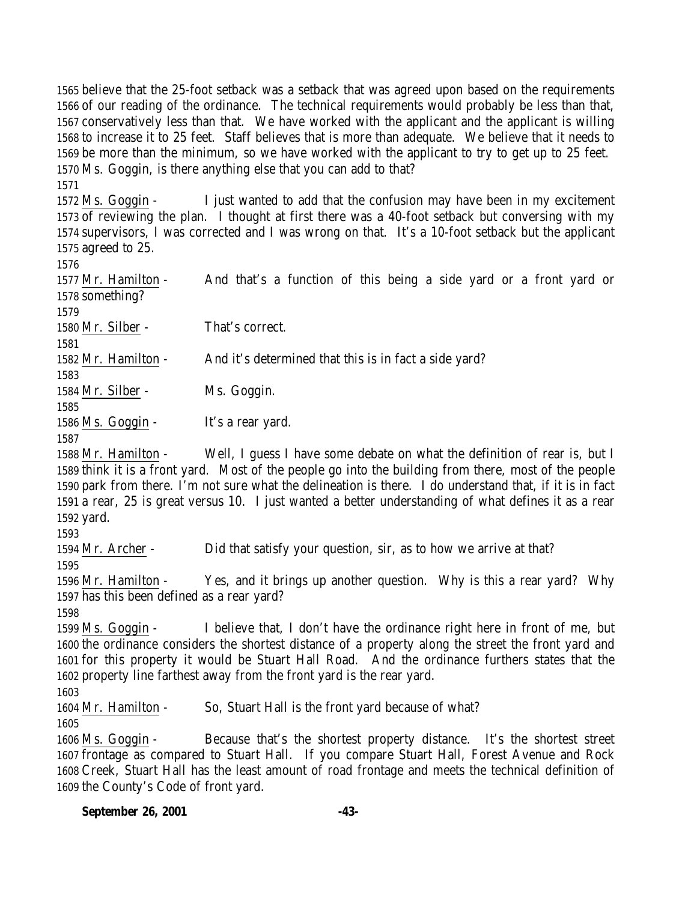believe that the 25-foot setback was a setback that was agreed upon based on the requirements of our reading of the ordinance. The technical requirements would probably be less than that, conservatively less than that. We have worked with the applicant and the applicant is willing to increase it to 25 feet. Staff believes that is more than adequate. We believe that it needs to be more than the minimum, so we have worked with the applicant to try to get up to 25 feet. Ms. Goggin, is there anything else that you can add to that?

 Ms. Goggin - I just wanted to add that the confusion may have been in my excitement of reviewing the plan. I thought at first there was a 40-foot setback but conversing with my supervisors, I was corrected and I was wrong on that. It's a 10-foot setback but the applicant agreed to 25.

 Mr. Hamilton - And that's a function of this being a side yard or a front yard or something?

Mr. Silber - That's correct.

 Mr. Hamilton - And it's determined that this is in fact a side yard?

Mr. Silber - Ms. Goggin.

1586 Ms. Goggin - It's a rear yard.

 Mr. Hamilton - Well, I guess I have some debate on what the definition of rear is, but I think it is a front yard. Most of the people go into the building from there, most of the people park from there. I'm not sure what the delineation is there. I do understand that, if it is in fact a rear, 25 is great versus 10. I just wanted a better understanding of what defines it as a rear yard.

Mr. Archer - Did that satisfy your question, sir, as to how we arrive at that?

 Mr. Hamilton - Yes, and it brings up another question. Why is this a rear yard? Why has this been defined as a rear yard?

 Ms. Goggin - I believe that, I don't have the ordinance right here in front of me, but the ordinance considers the shortest distance of a property along the street the front yard and for this property it would be Stuart Hall Road. And the ordinance furthers states that the property line farthest away from the front yard is the rear yard.

Mr. Hamilton - So, Stuart Hall is the front yard because of what?

 Ms. Goggin - Because that's the shortest property distance. It's the shortest street frontage as compared to Stuart Hall. If you compare Stuart Hall, Forest Avenue and Rock Creek, Stuart Hall has the least amount of road frontage and meets the technical definition of the County's Code of front yard.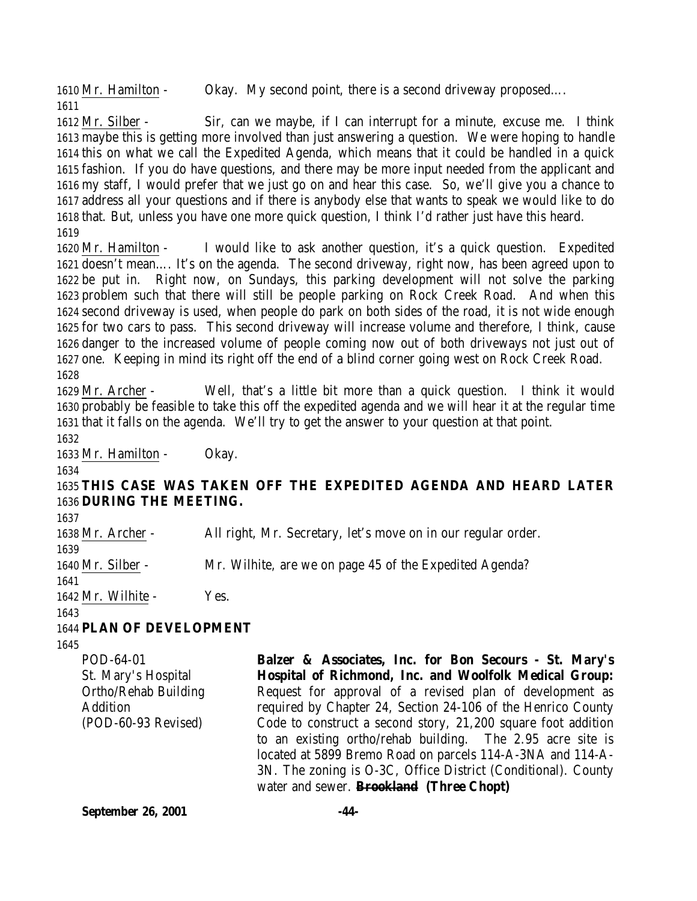Mr. Hamilton - Okay. My second point, there is a second driveway proposed…. 

 Mr. Silber - Sir, can we maybe, if I can interrupt for a minute, excuse me. I think maybe this is getting more involved than just answering a question. We were hoping to handle this on what we call the Expedited Agenda, which means that it could be handled in a quick fashion. If you do have questions, and there may be more input needed from the applicant and my staff, I would prefer that we just go on and hear this case. So, we'll give you a chance to address all your questions and if there is anybody else that wants to speak we would like to do that. But, unless you have one more quick question, I think I'd rather just have this heard. 

 Mr. Hamilton - I would like to ask another question, it's a quick question. Expedited doesn't mean…. It's on the agenda. The second driveway, right now, has been agreed upon to be put in. Right now, on Sundays, this parking development will not solve the parking problem such that there will still be people parking on Rock Creek Road. And when this second driveway is used, when people do park on both sides of the road, it is not wide enough for two cars to pass. This second driveway will increase volume and therefore, I think, cause danger to the increased volume of people coming now out of both driveways not just out of one. Keeping in mind its right off the end of a blind corner going west on Rock Creek Road. 

 Mr. Archer - Well, that's a little bit more than a quick question. I think it would probably be feasible to take this off the expedited agenda and we will hear it at the regular time that it falls on the agenda. We'll try to get the answer to your question at that point.

Mr. Hamilton - Okay.

 **THIS CASE WAS TAKEN OFF THE EXPEDITED AGENDA AND HEARD LATER DURING THE MEETING.**

 Mr. Archer - All right, Mr. Secretary, let's move on in our regular order. Mr. Silber - Mr. Wilhite, are we on page 45 of the Expedited Agenda? 1642 Mr. Wilhite - Yes. 

**PLAN OF DEVELOPMENT**

POD-64-01 St. Mary's Hospital Ortho/Rehab Building Addition (POD-60-93 Revised) **Balzer & Associates, Inc. for Bon Secours - St. Mary's Hospital of Richmond, Inc. and Woolfolk Medical Group:** Request for approval of a revised plan of development as required by Chapter 24, Section 24-106 of the Henrico County Code to construct a second story, 21,200 square foot addition to an existing ortho/rehab building. The 2.95 acre site is located at 5899 Bremo Road on parcels 114-A-3NA and 114-A-3N. The zoning is O-3C, Office District (Conditional). County water and sewer. **Brookland (Three Chopt)**

**September 26, 2001 -44-**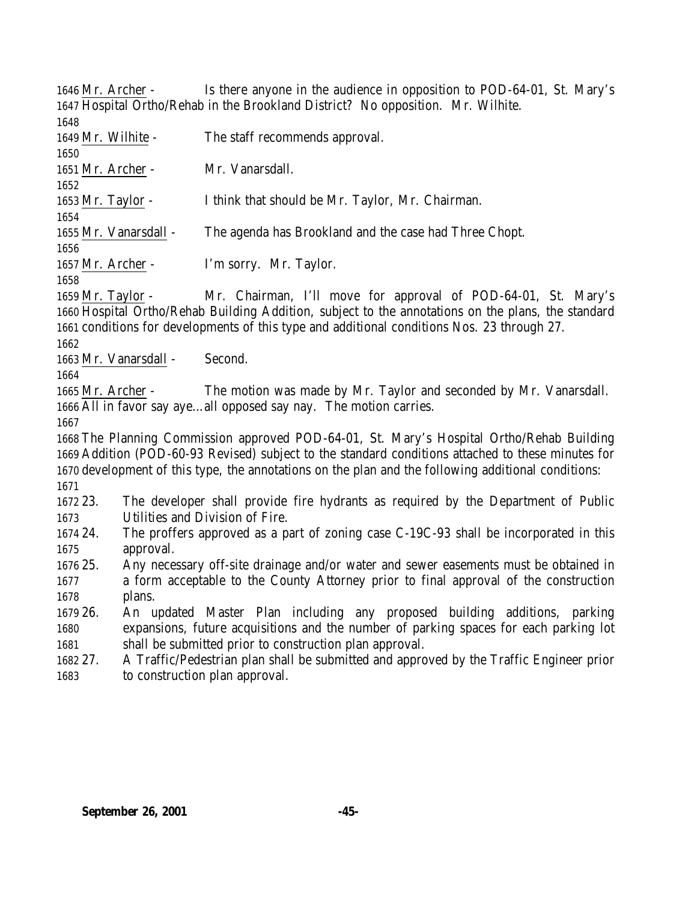Mr. Archer - Is there anyone in the audience in opposition to POD-64-01, St. Mary's Hospital Ortho/Rehab in the Brookland District? No opposition. Mr. Wilhite.

Mr. Wilhite - The staff recommends approval.

Mr. Archer - Mr. Vanarsdall.

Mr. Taylor - I think that should be Mr. Taylor, Mr. Chairman.

Mr. Vanarsdall - The agenda has Brookland and the case had Three Chopt.

Mr. Archer - I'm sorry. Mr. Taylor.

 Mr. Taylor - Mr. Chairman, I'll move for approval of POD-64-01, St. Mary's Hospital Ortho/Rehab Building Addition, subject to the annotations on the plans, the standard conditions for developments of this type and additional conditions Nos. 23 through 27.

Mr. Vanarsdall - Second.

 Mr. Archer - The motion was made by Mr. Taylor and seconded by Mr. Vanarsdall. All in favor say aye…all opposed say nay. The motion carries.

 The Planning Commission approved POD-64-01, St. Mary's Hospital Ortho/Rehab Building Addition (POD-60-93 Revised) subject to the standard conditions attached to these minutes for development of this type, the annotations on the plan and the following additional conditions: 

 23. The developer shall provide fire hydrants as required by the Department of Public Utilities and Division of Fire.

 24. The proffers approved as a part of zoning case C-19C-93 shall be incorporated in this approval.

 25. Any necessary off-site drainage and/or water and sewer easements must be obtained in a form acceptable to the County Attorney prior to final approval of the construction plans.

 26. An updated Master Plan including any proposed building additions, parking expansions, future acquisitions and the number of parking spaces for each parking lot 1681 shall be submitted prior to construction plan approval.

 27. A Traffic/Pedestrian plan shall be submitted and approved by the Traffic Engineer prior to construction plan approval.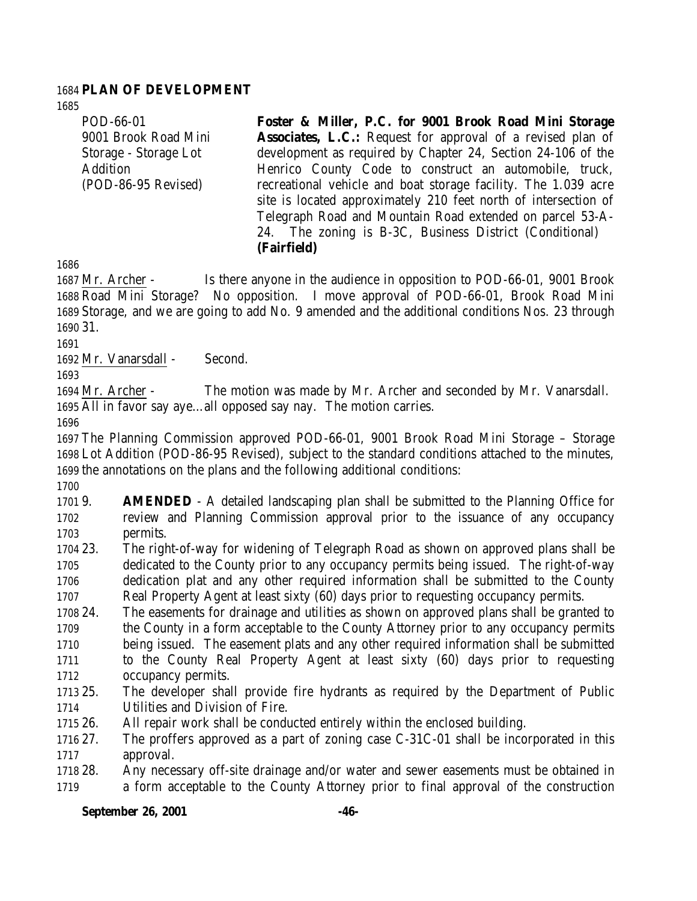## **PLAN OF DEVELOPMENT**

POD-66-01 9001 Brook Road Mini Storage - Storage Lot Addition (POD-86-95 Revised)

**Foster & Miller, P.C. for 9001 Brook Road Mini Storage Associates, L.C.:** Request for approval of a revised plan of development as required by Chapter 24, Section 24-106 of the Henrico County Code to construct an automobile, truck, recreational vehicle and boat storage facility. The 1.039 acre site is located approximately 210 feet north of intersection of Telegraph Road and Mountain Road extended on parcel 53-A-24. The zoning is B-3C, Business District (Conditional) **(Fairfield)**

 Mr. Archer - Is there anyone in the audience in opposition to POD-66-01, 9001 Brook Road Mini Storage? No opposition. I move approval of POD-66-01, Brook Road Mini Storage, and we are going to add No. 9 amended and the additional conditions Nos. 23 through 31.

Mr. Vanarsdall - Second.

 Mr. Archer - The motion was made by Mr. Archer and seconded by Mr. Vanarsdall. All in favor say aye…all opposed say nay. The motion carries.

 The Planning Commission approved POD-66-01, 9001 Brook Road Mini Storage – Storage Lot Addition (POD-86-95 Revised), subject to the standard conditions attached to the minutes, the annotations on the plans and the following additional conditions:

 9. **AMENDED** - A detailed landscaping plan shall be submitted to the Planning Office for review and Planning Commission approval prior to the issuance of any occupancy permits.

 23. The right-of-way for widening of Telegraph Road as shown on approved plans shall be dedicated to the County prior to any occupancy permits being issued. The right-of-way dedication plat and any other required information shall be submitted to the County Real Property Agent at least sixty (60) days prior to requesting occupancy permits.

 24. The easements for drainage and utilities as shown on approved plans shall be granted to the County in a form acceptable to the County Attorney prior to any occupancy permits being issued. The easement plats and any other required information shall be submitted to the County Real Property Agent at least sixty (60) days prior to requesting occupancy permits.

 25. The developer shall provide fire hydrants as required by the Department of Public Utilities and Division of Fire.

26. All repair work shall be conducted entirely within the enclosed building.

 27. The proffers approved as a part of zoning case C-31C-01 shall be incorporated in this approval.

 28. Any necessary off-site drainage and/or water and sewer easements must be obtained in a form acceptable to the County Attorney prior to final approval of the construction

## **September 26, 2001 -46-**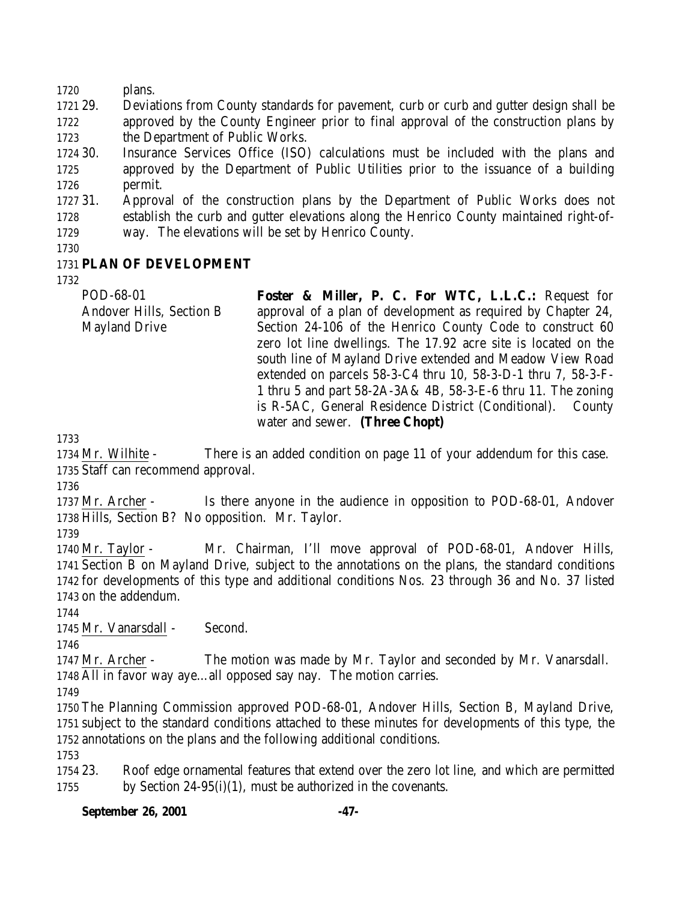plans.

 29. Deviations from County standards for pavement, curb or curb and gutter design shall be approved by the County Engineer prior to final approval of the construction plans by the Department of Public Works.

 30. Insurance Services Office (ISO) calculations must be included with the plans and approved by the Department of Public Utilities prior to the issuance of a building permit.

 31. Approval of the construction plans by the Department of Public Works does not establish the curb and gutter elevations along the Henrico County maintained right-of-way. The elevations will be set by Henrico County.

# **PLAN OF DEVELOPMENT**

POD-68-01 Andover Hills, Section B Mayland Drive **Foster & Miller, P. C. For WTC, L.L.C.:** Request for approval of a plan of development as required by Chapter 24, Section 24-106 of the Henrico County Code to construct 60 zero lot line dwellings. The 17.92 acre site is located on the south line of Mayland Drive extended and Meadow View Road extended on parcels 58-3-C4 thru 10, 58-3-D-1 thru 7, 58-3-F-1 thru 5 and part 58-2A-3A& 4B, 58-3-E-6 thru 11. The zoning is R-5AC, General Residence District (Conditional). County water and sewer. **(Three Chopt)**

 Mr. Wilhite - There is an added condition on page 11 of your addendum for this case. Staff can recommend approval.

 Mr. Archer - Is there anyone in the audience in opposition to POD-68-01, Andover Hills, Section B? No opposition. Mr. Taylor.

 Mr. Taylor - Mr. Chairman, I'll move approval of POD-68-01, Andover Hills, Section B on Mayland Drive, subject to the annotations on the plans, the standard conditions for developments of this type and additional conditions Nos. 23 through 36 and No. 37 listed on the addendum.

Mr. Vanarsdall - Second.

 Mr. Archer - The motion was made by Mr. Taylor and seconded by Mr. Vanarsdall. All in favor way aye…all opposed say nay. The motion carries.

 The Planning Commission approved POD-68-01, Andover Hills, Section B, Mayland Drive, subject to the standard conditions attached to these minutes for developments of this type, the annotations on the plans and the following additional conditions.

 23. Roof edge ornamental features that extend over the zero lot line, and which are permitted by Section 24-95(i)(1), must be authorized in the covenants.

## **September 26, 2001 -47-**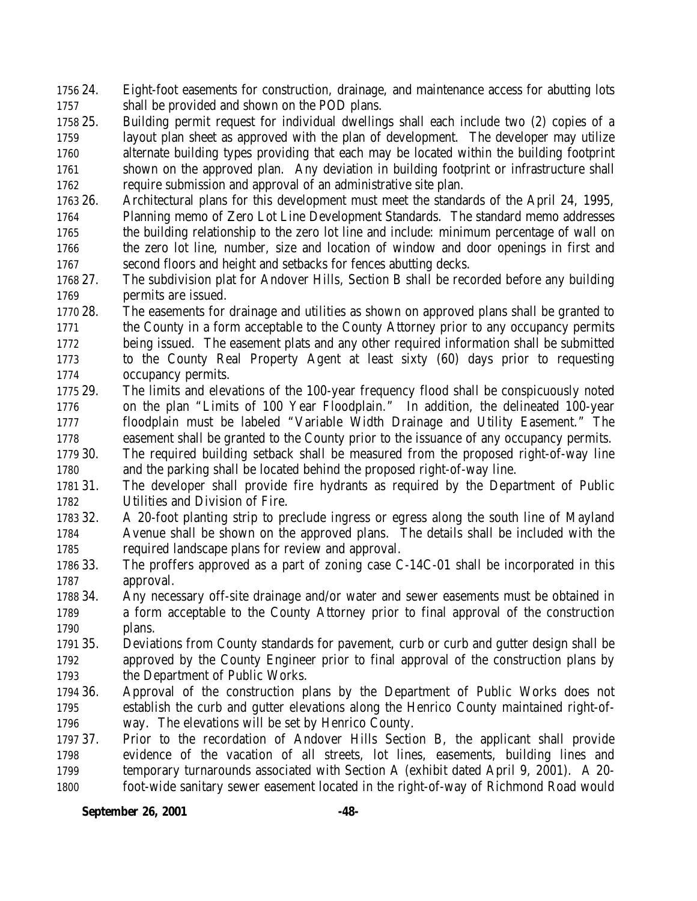24. Eight-foot easements for construction, drainage, and maintenance access for abutting lots shall be provided and shown on the POD plans.

 25. Building permit request for individual dwellings shall each include two (2) copies of a layout plan sheet as approved with the plan of development. The developer may utilize alternate building types providing that each may be located within the building footprint 1761 shown on the approved plan. Any deviation in building footprint or infrastructure shall require submission and approval of an administrative site plan.

 26. Architectural plans for this development must meet the standards of the April 24, 1995, Planning memo of Zero Lot Line Development Standards. The standard memo addresses the building relationship to the zero lot line and include: minimum percentage of wall on the zero lot line, number, size and location of window and door openings in first and second floors and height and setbacks for fences abutting decks.

 27. The subdivision plat for Andover Hills, Section B shall be recorded before any building permits are issued.

 28. The easements for drainage and utilities as shown on approved plans shall be granted to the County in a form acceptable to the County Attorney prior to any occupancy permits being issued. The easement plats and any other required information shall be submitted to the County Real Property Agent at least sixty (60) days prior to requesting occupancy permits.

 29. The limits and elevations of the 100-year frequency flood shall be conspicuously noted on the plan "Limits of 100 Year Floodplain." In addition, the delineated 100-year floodplain must be labeled "Variable Width Drainage and Utility Easement." The easement shall be granted to the County prior to the issuance of any occupancy permits.

 30. The required building setback shall be measured from the proposed right-of-way line and the parking shall be located behind the proposed right-of-way line.

 31. The developer shall provide fire hydrants as required by the Department of Public Utilities and Division of Fire.

 32. A 20-foot planting strip to preclude ingress or egress along the south line of Mayland Avenue shall be shown on the approved plans. The details shall be included with the required landscape plans for review and approval.

 33. The proffers approved as a part of zoning case C-14C-01 shall be incorporated in this approval.

 34. Any necessary off-site drainage and/or water and sewer easements must be obtained in a form acceptable to the County Attorney prior to final approval of the construction plans.

 35. Deviations from County standards for pavement, curb or curb and gutter design shall be approved by the County Engineer prior to final approval of the construction plans by the Department of Public Works.

 36. Approval of the construction plans by the Department of Public Works does not establish the curb and gutter elevations along the Henrico County maintained right-of-way. The elevations will be set by Henrico County.

 37. Prior to the recordation of Andover Hills Section B, the applicant shall provide evidence of the vacation of all streets, lot lines, easements, building lines and temporary turnarounds associated with Section A (exhibit dated April 9, 2001). A 20- foot-wide sanitary sewer easement located in the right-of-way of Richmond Road would

**September 26, 2001 -48-**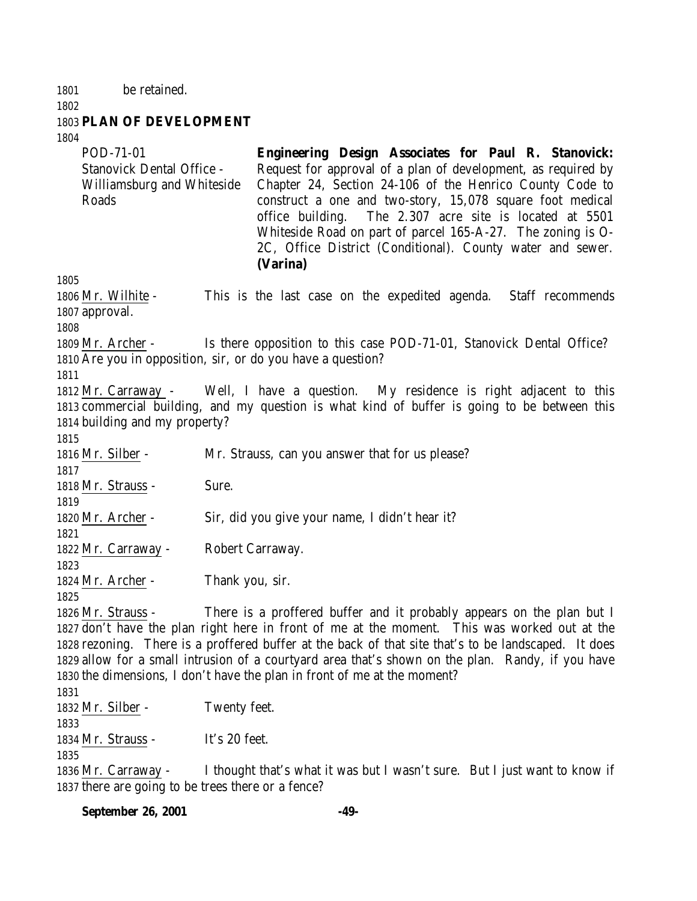be retained.

#### 

# **PLAN OF DEVELOPMENT**

| Chapter 24, Section 24-106 of the Henrico County Code to<br>Williamsburg and Whiteside<br>Roads<br>construct a one and two-story, 15,078 square foot medical<br>The 2.307 acre site is located at 5501<br>office building.<br>Whiteside Road on part of parcel 165-A-27. The zoning is O-<br>2C, Office District (Conditional). County water and sewer.<br>(Varina)<br>1805 |  |
|-----------------------------------------------------------------------------------------------------------------------------------------------------------------------------------------------------------------------------------------------------------------------------------------------------------------------------------------------------------------------------|--|
|                                                                                                                                                                                                                                                                                                                                                                             |  |
| 1806 Mr. Wilhite -<br>This is the last case on the expedited agenda. Staff recommends<br>1807 approval.<br>1808                                                                                                                                                                                                                                                             |  |
| Is there opposition to this case POD-71-01, Stanovick Dental Office?<br>1809 Mr. Archer -                                                                                                                                                                                                                                                                                   |  |
| 1810 Are you in opposition, sir, or do you have a question?                                                                                                                                                                                                                                                                                                                 |  |
| 1811                                                                                                                                                                                                                                                                                                                                                                        |  |
| 1812 Mr. Carraway - Well, I have a question. My residence is right adjacent to this                                                                                                                                                                                                                                                                                         |  |
| 1813 commercial building, and my question is what kind of buffer is going to be between this                                                                                                                                                                                                                                                                                |  |
| 1814 building and my property?                                                                                                                                                                                                                                                                                                                                              |  |
| 1815                                                                                                                                                                                                                                                                                                                                                                        |  |
| Mr. Strauss, can you answer that for us please?<br>1816 Mr. Silber -                                                                                                                                                                                                                                                                                                        |  |
| 1817                                                                                                                                                                                                                                                                                                                                                                        |  |
| 1818 Mr. Strauss -<br>Sure.                                                                                                                                                                                                                                                                                                                                                 |  |
| 1819                                                                                                                                                                                                                                                                                                                                                                        |  |
| Sir, did you give your name, I didn't hear it?<br>1820 Mr. Archer -                                                                                                                                                                                                                                                                                                         |  |
| 1821                                                                                                                                                                                                                                                                                                                                                                        |  |
| 1822 Mr. Carraway -<br>Robert Carraway.                                                                                                                                                                                                                                                                                                                                     |  |
| 1823                                                                                                                                                                                                                                                                                                                                                                        |  |
| 1824 Mr. Archer -<br>Thank you, sir.                                                                                                                                                                                                                                                                                                                                        |  |
| 1825                                                                                                                                                                                                                                                                                                                                                                        |  |
| There is a proffered buffer and it probably appears on the plan but I<br>1826 Mr. Strauss -                                                                                                                                                                                                                                                                                 |  |
| 1827 don't have the plan right here in front of me at the moment. This was worked out at the                                                                                                                                                                                                                                                                                |  |
| 1828 rezoning. There is a proffered buffer at the back of that site that's to be landscaped. It does                                                                                                                                                                                                                                                                        |  |
| 1829 allow for a small intrusion of a courtyard area that's shown on the plan. Randy, if you have                                                                                                                                                                                                                                                                           |  |
| 1830 the dimensions, I don't have the plan in front of me at the moment?                                                                                                                                                                                                                                                                                                    |  |
| 1831                                                                                                                                                                                                                                                                                                                                                                        |  |
| Twenty feet.<br>1832 Mr. Silber -                                                                                                                                                                                                                                                                                                                                           |  |
| 1833                                                                                                                                                                                                                                                                                                                                                                        |  |
| It's 20 feet.<br>1834 Mr. Strauss -                                                                                                                                                                                                                                                                                                                                         |  |
| 1835                                                                                                                                                                                                                                                                                                                                                                        |  |
| I thought that's what it was but I wasn't sure. But I just want to know if<br>1836 Mr. Carraway -<br>1837 there are going to be trees there or a fence?                                                                                                                                                                                                                     |  |

**September 26, 2001 -49-**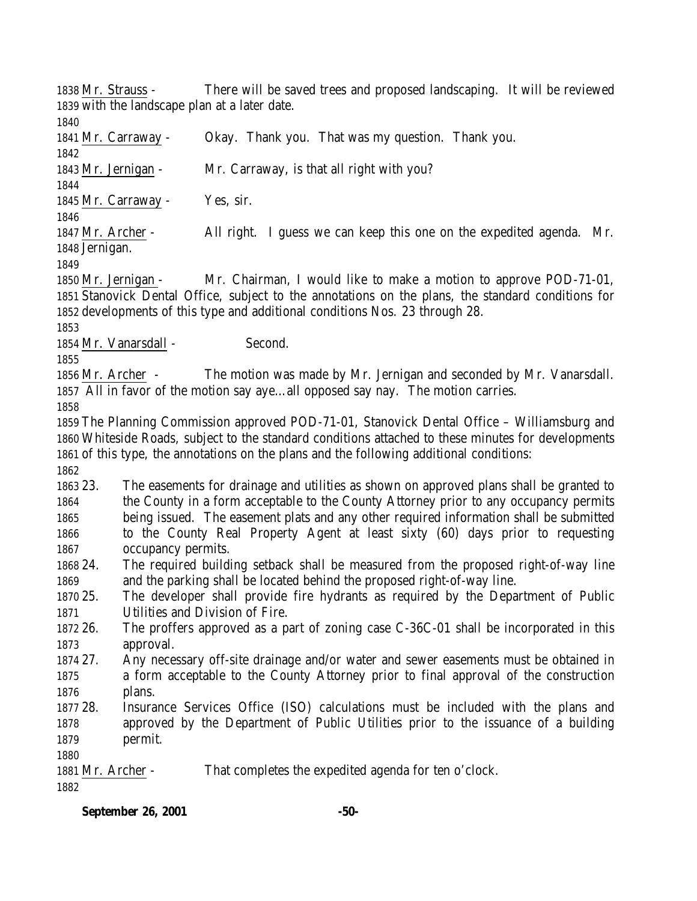Mr. Strauss - There will be saved trees and proposed landscaping. It will be reviewed with the landscape plan at a later date.

 Mr. Carraway - Okay. Thank you. That was my question. Thank you. Mr. Jernigan - Mr. Carraway, is that all right with you? Mr. Carraway - Yes, sir. Mr. Archer - All right. I guess we can keep this one on the expedited agenda. Mr. Jernigan. Mr. Jernigan - Mr. Chairman, I would like to make a motion to approve POD-71-01, Stanovick Dental Office, subject to the annotations on the plans, the standard conditions for developments of this type and additional conditions Nos. 23 through 28. 1854 Mr. Vanarsdall - Second. Mr. Archer - The motion was made by Mr. Jernigan and seconded by Mr. Vanarsdall. All in favor of the motion say aye…all opposed say nay. The motion carries. The Planning Commission approved POD-71-01, Stanovick Dental Office – Williamsburg and Whiteside Roads, subject to the standard conditions attached to these minutes for developments of this type, the annotations on the plans and the following additional conditions: 23. The easements for drainage and utilities as shown on approved plans shall be granted to the County in a form acceptable to the County Attorney prior to any occupancy permits being issued. The easement plats and any other required information shall be submitted to the County Real Property Agent at least sixty (60) days prior to requesting occupancy permits. 24. The required building setback shall be measured from the proposed right-of-way line and the parking shall be located behind the proposed right-of-way line. 25. The developer shall provide fire hydrants as required by the Department of Public Utilities and Division of Fire. 26. The proffers approved as a part of zoning case C-36C-01 shall be incorporated in this approval. 27. Any necessary off-site drainage and/or water and sewer easements must be obtained in a form acceptable to the County Attorney prior to final approval of the construction plans. 28. Insurance Services Office (ISO) calculations must be included with the plans and approved by the Department of Public Utilities prior to the issuance of a building permit. Mr. Archer - That completes the expedited agenda for ten o'clock.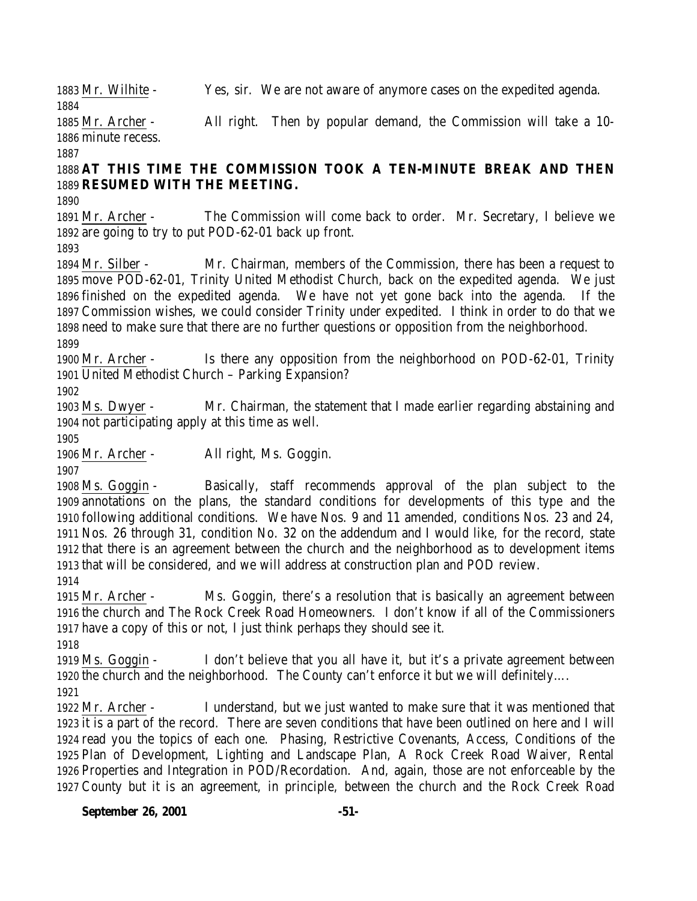Mr. Wilhite - Yes, sir. We are not aware of anymore cases on the expedited agenda. 

 Mr. Archer - All right. Then by popular demand, the Commission will take a 10- minute recess.

# **AT THIS TIME THE COMMISSION TOOK A TEN-MINUTE BREAK AND THEN RESUMED WITH THE MEETING.**

 Mr. Archer - The Commission will come back to order. Mr. Secretary, I believe we are going to try to put POD-62-01 back up front.

 Mr. Silber - Mr. Chairman, members of the Commission, there has been a request to move POD-62-01, Trinity United Methodist Church, back on the expedited agenda. We just finished on the expedited agenda. We have not yet gone back into the agenda. If the Commission wishes, we could consider Trinity under expedited. I think in order to do that we need to make sure that there are no further questions or opposition from the neighborhood. 

 Mr. Archer - Is there any opposition from the neighborhood on POD-62-01, Trinity United Methodist Church – Parking Expansion?

 Ms. Dwyer - Mr. Chairman, the statement that I made earlier regarding abstaining and not participating apply at this time as well.

Mr. Archer - All right, Ms. Goggin.

 Ms. Goggin - Basically, staff recommends approval of the plan subject to the annotations on the plans, the standard conditions for developments of this type and the following additional conditions. We have Nos. 9 and 11 amended, conditions Nos. 23 and 24, Nos. 26 through 31, condition No. 32 on the addendum and I would like, for the record, state that there is an agreement between the church and the neighborhood as to development items that will be considered, and we will address at construction plan and POD review.

 Mr. Archer - Ms. Goggin, there's a resolution that is basically an agreement between the church and The Rock Creek Road Homeowners. I don't know if all of the Commissioners have a copy of this or not, I just think perhaps they should see it.

 Ms. Goggin - I don't believe that you all have it, but it's a private agreement between the church and the neighborhood. The County can't enforce it but we will definitely….

 Mr. Archer - I understand, but we just wanted to make sure that it was mentioned that it is a part of the record. There are seven conditions that have been outlined on here and I will read you the topics of each one. Phasing, Restrictive Covenants, Access, Conditions of the Plan of Development, Lighting and Landscape Plan, A Rock Creek Road Waiver, Rental Properties and Integration in POD/Recordation. And, again, those are not enforceable by the County but it is an agreement, in principle, between the church and the Rock Creek Road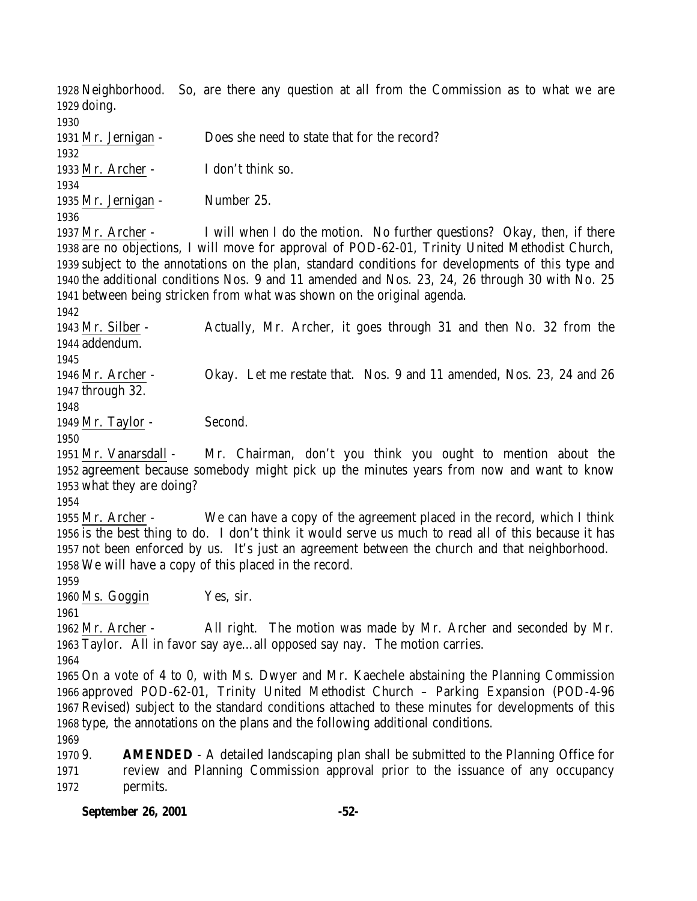Neighborhood. So, are there any question at all from the Commission as to what we are doing. Mr. Jernigan - Does she need to state that for the record? Mr. Archer - I don't think so. Mr. Jernigan - Number 25. Mr. Archer - I will when I do the motion. No further questions? Okay, then, if there are no objections, I will move for approval of POD-62-01, Trinity United Methodist Church, subject to the annotations on the plan, standard conditions for developments of this type and the additional conditions Nos. 9 and 11 amended and Nos. 23, 24, 26 through 30 with No. 25 between being stricken from what was shown on the original agenda.

 Mr. Silber - Actually, Mr. Archer, it goes through 31 and then No. 32 from the addendum. Mr. Archer - Okay. Let me restate that. Nos. 9 and 11 amended, Nos. 23, 24 and 26 through 32. 1949 Mr. Taylor - Second. 

 Mr. Vanarsdall - Mr. Chairman, don't you think you ought to mention about the agreement because somebody might pick up the minutes years from now and want to know what they are doing?

 Mr. Archer - We can have a copy of the agreement placed in the record, which I think is the best thing to do. I don't think it would serve us much to read all of this because it has not been enforced by us. It's just an agreement between the church and that neighborhood. We will have a copy of this placed in the record.

Ms. Goggin Yes, sir.

 Mr. Archer - All right. The motion was made by Mr. Archer and seconded by Mr. Taylor. All in favor say aye…all opposed say nay. The motion carries.

 On a vote of 4 to 0, with Ms. Dwyer and Mr. Kaechele abstaining the Planning Commission approved POD-62-01, Trinity United Methodist Church – Parking Expansion (POD-4-96 Revised) subject to the standard conditions attached to these minutes for developments of this type, the annotations on the plans and the following additional conditions. 

 9. **AMENDED** - A detailed landscaping plan shall be submitted to the Planning Office for review and Planning Commission approval prior to the issuance of any occupancy permits.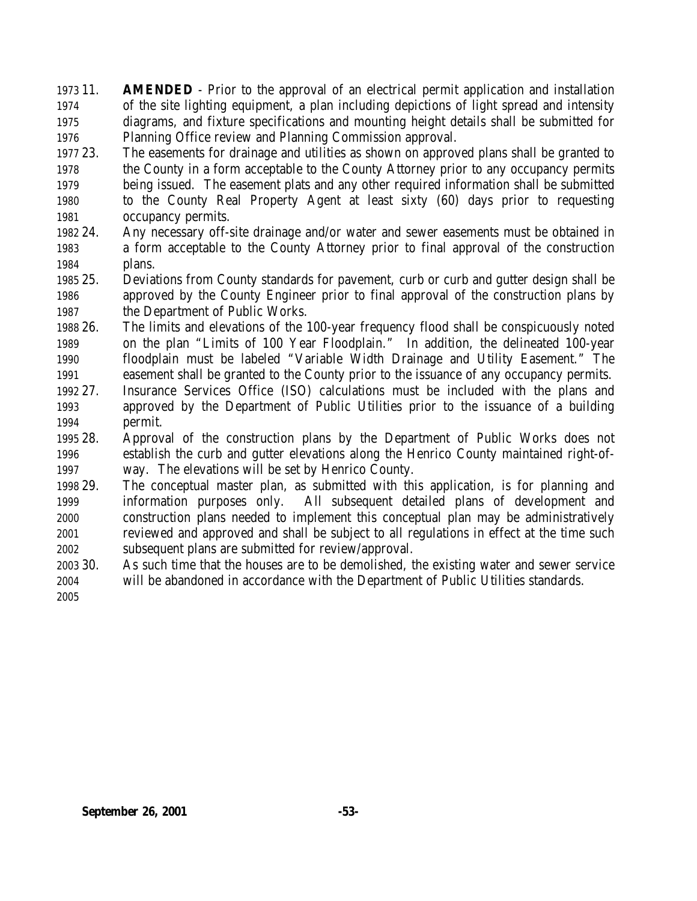11. **AMENDED** - Prior to the approval of an electrical permit application and installation of the site lighting equipment, a plan including depictions of light spread and intensity diagrams, and fixture specifications and mounting height details shall be submitted for Planning Office review and Planning Commission approval.

- 23. The easements for drainage and utilities as shown on approved plans shall be granted to the County in a form acceptable to the County Attorney prior to any occupancy permits being issued. The easement plats and any other required information shall be submitted to the County Real Property Agent at least sixty (60) days prior to requesting occupancy permits.
- 24. Any necessary off-site drainage and/or water and sewer easements must be obtained in a form acceptable to the County Attorney prior to final approval of the construction plans.
- 25. Deviations from County standards for pavement, curb or curb and gutter design shall be approved by the County Engineer prior to final approval of the construction plans by the Department of Public Works.
- 26. The limits and elevations of the 100-year frequency flood shall be conspicuously noted on the plan "Limits of 100 Year Floodplain." In addition, the delineated 100-year floodplain must be labeled "Variable Width Drainage and Utility Easement." The easement shall be granted to the County prior to the issuance of any occupancy permits.
- 27. Insurance Services Office (ISO) calculations must be included with the plans and approved by the Department of Public Utilities prior to the issuance of a building permit.
- 28. Approval of the construction plans by the Department of Public Works does not establish the curb and gutter elevations along the Henrico County maintained right-of-way. The elevations will be set by Henrico County.
- 29. The conceptual master plan, as submitted with this application, is for planning and information purposes only. All subsequent detailed plans of development and construction plans needed to implement this conceptual plan may be administratively reviewed and approved and shall be subject to all regulations in effect at the time such subsequent plans are submitted for review/approval.
- 30. As such time that the houses are to be demolished, the existing water and sewer service will be abandoned in accordance with the Department of Public Utilities standards.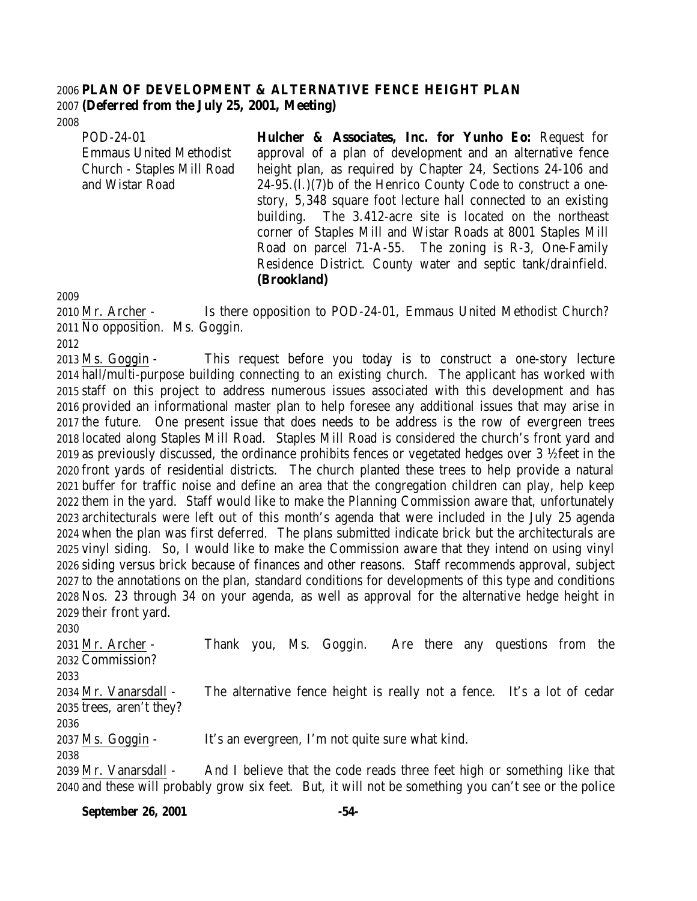## **PLAN OF DEVELOPMENT & ALTERNATIVE FENCE HEIGHT PLAN (Deferred from the July 25, 2001, Meeting)**

POD-24-01 Emmaus United Methodist Church - Staples Mill Road and Wistar Road

**Hulcher & Associates, Inc. for Yunho Eo:** Request for approval of a plan of development and an alternative fence height plan, as required by Chapter 24, Sections 24-106 and 24-95.(l.)(7)b of the Henrico County Code to construct a onestory, 5,348 square foot lecture hall connected to an existing building. The 3.412-acre site is located on the northeast corner of Staples Mill and Wistar Roads at 8001 Staples Mill Road on parcel 71-A-55. The zoning is R-3, One-Family Residence District. County water and septic tank/drainfield. **(Brookland)**

 Mr. Archer - Is there opposition to POD-24-01, Emmaus United Methodist Church? No opposition. Ms. Goggin.

 Ms. Goggin - This request before you today is to construct a one-story lecture hall/multi-purpose building connecting to an existing church. The applicant has worked with staff on this project to address numerous issues associated with this development and has provided an informational master plan to help foresee any additional issues that may arise in the future. One present issue that does needs to be address is the row of evergreen trees located along Staples Mill Road. Staples Mill Road is considered the church's front yard and as previously discussed, the ordinance prohibits fences or vegetated hedges over 3 ½ feet in the front yards of residential districts. The church planted these trees to help provide a natural buffer for traffic noise and define an area that the congregation children can play, help keep them in the yard. Staff would like to make the Planning Commission aware that, unfortunately architecturals were left out of this month's agenda that were included in the July 25 agenda when the plan was first deferred. The plans submitted indicate brick but the architecturals are vinyl siding. So, I would like to make the Commission aware that they intend on using vinyl siding versus brick because of finances and other reasons. Staff recommends approval, subject to the annotations on the plan, standard conditions for developments of this type and conditions Nos. 23 through 34 on your agenda, as well as approval for the alternative hedge height in their front yard.

 Mr. Archer - Thank you, Ms. Goggin. Are there any questions from the Commission? Mr. Vanarsdall - The alternative fence height is really not a fence. It's a lot of cedar trees, aren't they? Ms. Goggin - It's an evergreen, I'm not quite sure what kind. Mr. Vanarsdall - And I believe that the code reads three feet high or something like that

and these will probably grow six feet. But, it will not be something you can't see or the police

**September 26, 2001 -54-**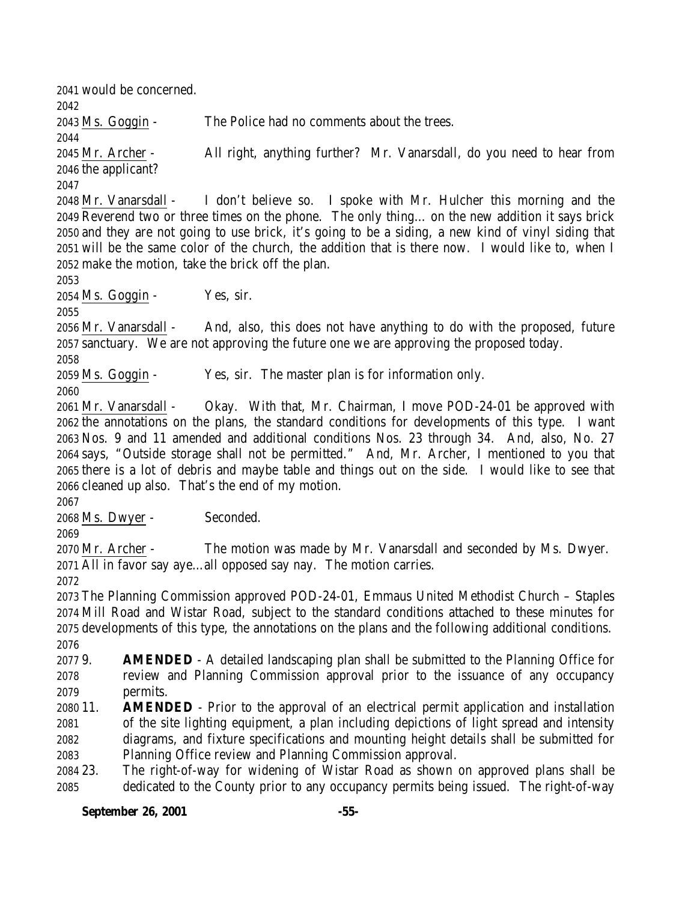would be concerned. Ms. Goggin - The Police had no comments about the trees. Mr. Archer - All right, anything further? Mr. Vanarsdall, do you need to hear from the applicant? Mr. Vanarsdall - I don't believe so. I spoke with Mr. Hulcher this morning and the Reverend two or three times on the phone. The only thing… on the new addition it says brick and they are not going to use brick, it's going to be a siding, a new kind of vinyl siding that will be the same color of the church, the addition that is there now. I would like to, when I make the motion, take the brick off the plan. Ms. Goggin - Yes, sir. Mr. Vanarsdall - And, also, this does not have anything to do with the proposed, future sanctuary. We are not approving the future one we are approving the proposed today. Ms. Goggin - Yes, sir. The master plan is for information only. Mr. Vanarsdall - Okay. With that, Mr. Chairman, I move POD-24-01 be approved with the annotations on the plans, the standard conditions for developments of this type. I want Nos. 9 and 11 amended and additional conditions Nos. 23 through 34. And, also, No. 27 says, "Outside storage shall not be permitted." And, Mr. Archer, I mentioned to you that there is a lot of debris and maybe table and things out on the side. I would like to see that cleaned up also. That's the end of my motion. Ms. Dwyer - Seconded. Mr. Archer - The motion was made by Mr. Vanarsdall and seconded by Ms. Dwyer. All in favor say aye…all opposed say nay. The motion carries. The Planning Commission approved POD-24-01, Emmaus United Methodist Church – Staples Mill Road and Wistar Road, subject to the standard conditions attached to these minutes for developments of this type, the annotations on the plans and the following additional conditions. 9. **AMENDED** - A detailed landscaping plan shall be submitted to the Planning Office for review and Planning Commission approval prior to the issuance of any occupancy permits. 11. **AMENDED** - Prior to the approval of an electrical permit application and installation of the site lighting equipment, a plan including depictions of light spread and intensity diagrams, and fixture specifications and mounting height details shall be submitted for Planning Office review and Planning Commission approval. 23. The right-of-way for widening of Wistar Road as shown on approved plans shall be dedicated to the County prior to any occupancy permits being issued. The right-of-way

#### **September 26, 2001 -55-**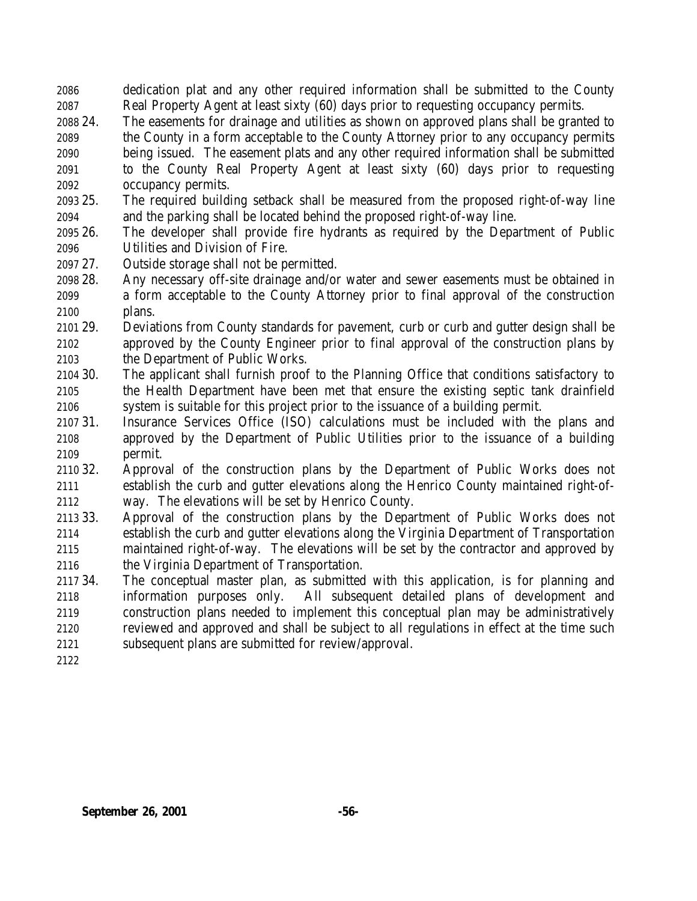dedication plat and any other required information shall be submitted to the County Real Property Agent at least sixty (60) days prior to requesting occupancy permits.

- 24. The easements for drainage and utilities as shown on approved plans shall be granted to the County in a form acceptable to the County Attorney prior to any occupancy permits being issued. The easement plats and any other required information shall be submitted to the County Real Property Agent at least sixty (60) days prior to requesting occupancy permits.
- 25. The required building setback shall be measured from the proposed right-of-way line and the parking shall be located behind the proposed right-of-way line.
- 26. The developer shall provide fire hydrants as required by the Department of Public Utilities and Division of Fire.
- 27. Outside storage shall not be permitted.
- 28. Any necessary off-site drainage and/or water and sewer easements must be obtained in a form acceptable to the County Attorney prior to final approval of the construction plans.
- 29. Deviations from County standards for pavement, curb or curb and gutter design shall be approved by the County Engineer prior to final approval of the construction plans by the Department of Public Works.
- 30. The applicant shall furnish proof to the Planning Office that conditions satisfactory to the Health Department have been met that ensure the existing septic tank drainfield system is suitable for this project prior to the issuance of a building permit.
- 31. Insurance Services Office (ISO) calculations must be included with the plans and approved by the Department of Public Utilities prior to the issuance of a building permit.
- 32. Approval of the construction plans by the Department of Public Works does not establish the curb and gutter elevations along the Henrico County maintained right-of-way. The elevations will be set by Henrico County.
- 33. Approval of the construction plans by the Department of Public Works does not establish the curb and gutter elevations along the Virginia Department of Transportation maintained right-of-way. The elevations will be set by the contractor and approved by the Virginia Department of Transportation.
- 34. The conceptual master plan, as submitted with this application, is for planning and information purposes only. All subsequent detailed plans of development and construction plans needed to implement this conceptual plan may be administratively reviewed and approved and shall be subject to all regulations in effect at the time such subsequent plans are submitted for review/approval.
-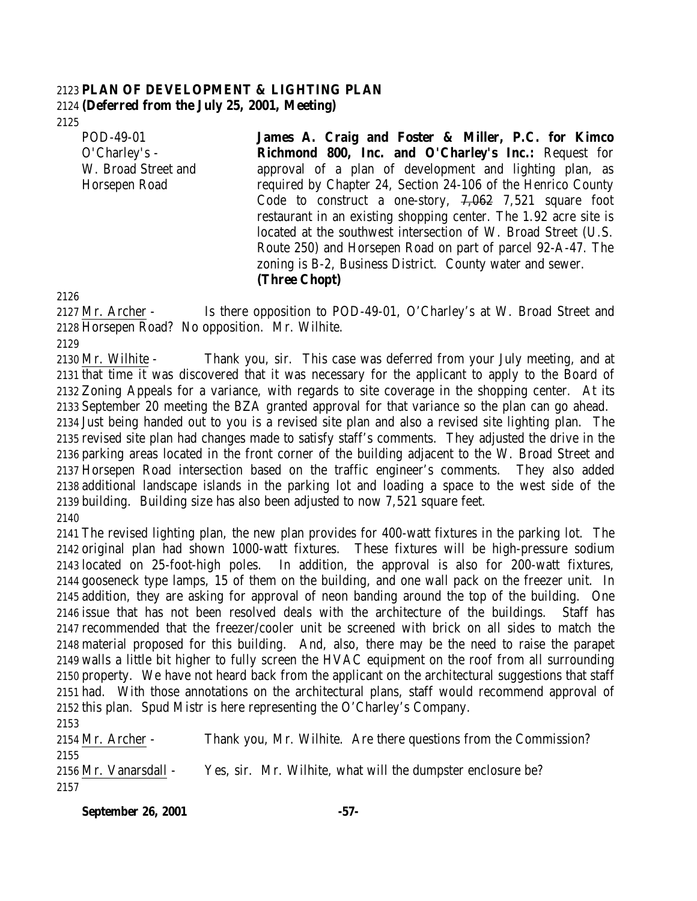## **PLAN OF DEVELOPMENT & LIGHTING PLAN (Deferred from the July 25, 2001, Meeting)**

POD-49-01 O'Charley's - W. Broad Street and Horsepen Road

**James A. Craig and Foster & Miller, P.C. for Kimco Richmond 800, Inc. and O'Charley's Inc.:** Request for approval of a plan of development and lighting plan, as required by Chapter 24, Section 24-106 of the Henrico County Code to construct a one-story, 7,062 7,521 square foot restaurant in an existing shopping center. The 1.92 acre site is located at the southwest intersection of W. Broad Street (U.S. Route 250) and Horsepen Road on part of parcel 92-A-47. The zoning is B-2, Business District. County water and sewer. **(Three Chopt)**

2127 Mr. Archer - Is there opposition to POD-49-01, O'Charley's at W. Broad Street and Horsepen Road? No opposition. Mr. Wilhite.

 Mr. Wilhite - Thank you, sir. This case was deferred from your July meeting, and at that time it was discovered that it was necessary for the applicant to apply to the Board of Zoning Appeals for a variance, with regards to site coverage in the shopping center. At its September 20 meeting the BZA granted approval for that variance so the plan can go ahead. Just being handed out to you is a revised site plan and also a revised site lighting plan. The revised site plan had changes made to satisfy staff's comments. They adjusted the drive in the parking areas located in the front corner of the building adjacent to the W. Broad Street and Horsepen Road intersection based on the traffic engineer's comments. They also added additional landscape islands in the parking lot and loading a space to the west side of the building. Building size has also been adjusted to now 7,521 square feet. 

 The revised lighting plan, the new plan provides for 400-watt fixtures in the parking lot. The original plan had shown 1000-watt fixtures. These fixtures will be high-pressure sodium located on 25-foot-high poles. In addition, the approval is also for 200-watt fixtures, gooseneck type lamps, 15 of them on the building, and one wall pack on the freezer unit. In addition, they are asking for approval of neon banding around the top of the building. One issue that has not been resolved deals with the architecture of the buildings. Staff has recommended that the freezer/cooler unit be screened with brick on all sides to match the material proposed for this building. And, also, there may be the need to raise the parapet walls a little bit higher to fully screen the HVAC equipment on the roof from all surrounding property. We have not heard back from the applicant on the architectural suggestions that staff had. With those annotations on the architectural plans, staff would recommend approval of this plan. Spud Mistr is here representing the O'Charley's Company.

 Mr. Archer - Thank you, Mr. Wilhite. Are there questions from the Commission? Mr. Vanarsdall - Yes, sir. Mr. Wilhite, what will the dumpster enclosure be?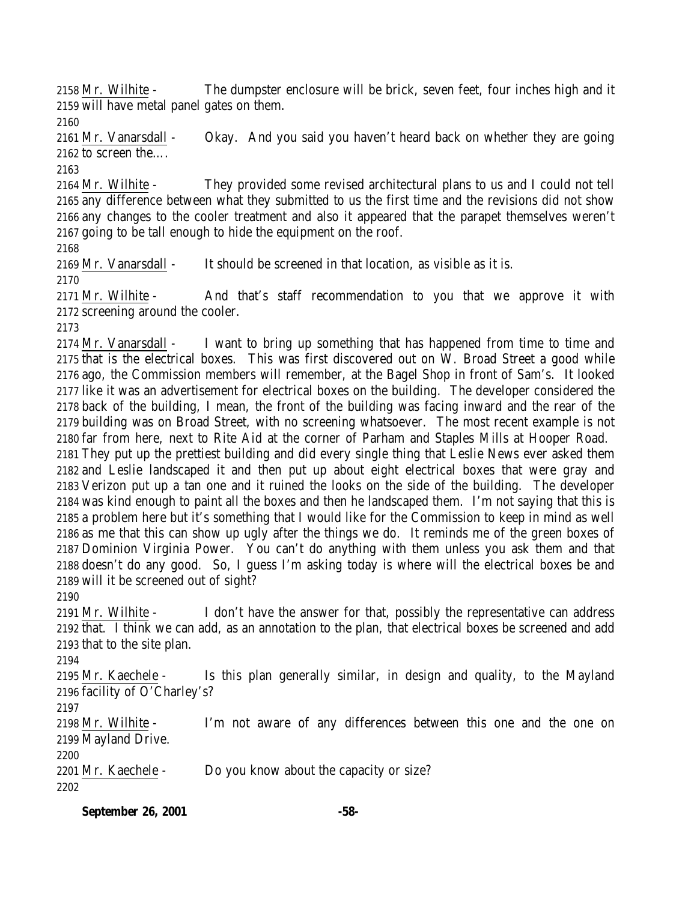Mr. Wilhite - The dumpster enclosure will be brick, seven feet, four inches high and it will have metal panel gates on them.

 Mr. Vanarsdall - Okay. And you said you haven't heard back on whether they are going to screen the….

 Mr. Wilhite - They provided some revised architectural plans to us and I could not tell any difference between what they submitted to us the first time and the revisions did not show any changes to the cooler treatment and also it appeared that the parapet themselves weren't going to be tall enough to hide the equipment on the roof.

Mr. Vanarsdall - It should be screened in that location, as visible as it is.

 Mr. Wilhite - And that's staff recommendation to you that we approve it with screening around the cooler.

 Mr. Vanarsdall - I want to bring up something that has happened from time to time and that is the electrical boxes. This was first discovered out on W. Broad Street a good while ago, the Commission members will remember, at the Bagel Shop in front of Sam's. It looked like it was an advertisement for electrical boxes on the building. The developer considered the back of the building, I mean, the front of the building was facing inward and the rear of the building was on Broad Street, with no screening whatsoever. The most recent example is not far from here, next to Rite Aid at the corner of Parham and Staples Mills at Hooper Road. They put up the prettiest building and did every single thing that Leslie News ever asked them and Leslie landscaped it and then put up about eight electrical boxes that were gray and Verizon put up a tan one and it ruined the looks on the side of the building. The developer was kind enough to paint all the boxes and then he landscaped them. I'm not saying that this is a problem here but it's something that I would like for the Commission to keep in mind as well as me that this can show up ugly after the things we do. It reminds me of the green boxes of Dominion Virginia Power. You can't do anything with them unless you ask them and that doesn't do any good. So, I guess I'm asking today is where will the electrical boxes be and will it be screened out of sight?

 Mr. Wilhite - I don't have the answer for that, possibly the representative can address that. I think we can add, as an annotation to the plan, that electrical boxes be screened and add that to the site plan.

 Mr. Kaechele - Is this plan generally similar, in design and quality, to the Mayland facility of O'Charley's?

 Mr. Wilhite - I'm not aware of any differences between this one and the one on Mayland Drive.

Mr. Kaechele - Do you know about the capacity or size?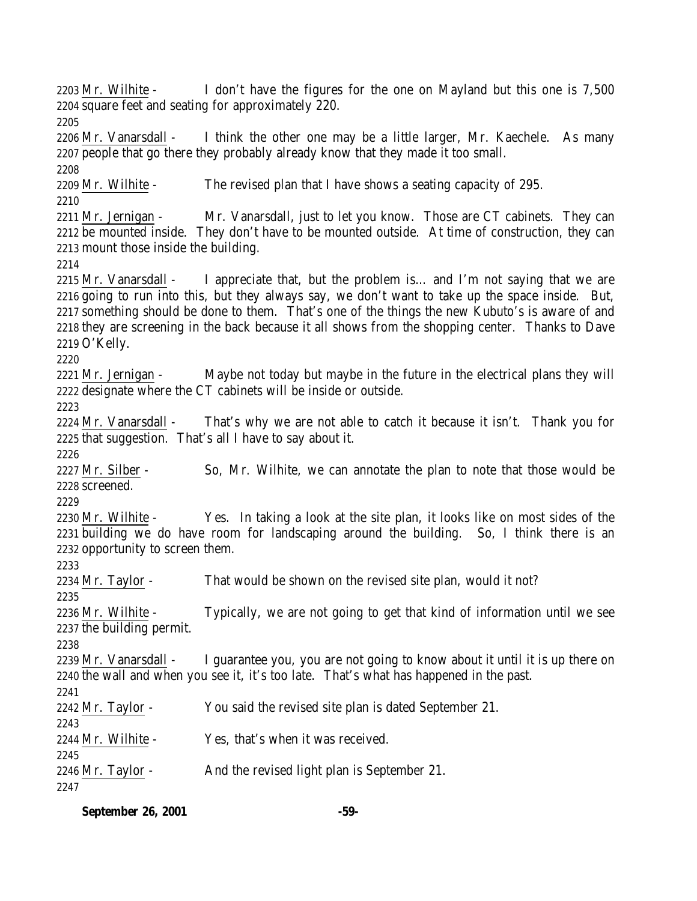2203 Mr. Wilhite - I don't have the figures for the one on Mayland but this one is 7,500 square feet and seating for approximately 220. Mr. Vanarsdall - I think the other one may be a little larger, Mr. Kaechele. As many people that go there they probably already know that they made it too small. Mr. Wilhite - The revised plan that I have shows a seating capacity of 295. 2211 Mr. Jernigan - Mr. Vanarsdall, just to let you know. Those are CT cabinets. They can be mounted inside. They don't have to be mounted outside. At time of construction, they can mount those inside the building. Mr. Vanarsdall - I appreciate that, but the problem is… and I'm not saying that we are going to run into this, but they always say, we don't want to take up the space inside. But, something should be done to them. That's one of the things the new Kubuto's is aware of and they are screening in the back because it all shows from the shopping center. Thanks to Dave O'Kelly. 2221 Mr. Jernigan - Maybe not today but maybe in the future in the electrical plans they will designate where the CT cabinets will be inside or outside. 2224 Mr. Vanarsdall - That's why we are not able to catch it because it isn't. Thank you for that suggestion. That's all I have to say about it. 2227 Mr. Silber - So, Mr. Wilhite, we can annotate the plan to note that those would be screened. Mr. Wilhite - Yes. In taking a look at the site plan, it looks like on most sides of the building we do have room for landscaping around the building. So, I think there is an opportunity to screen them. 2234 Mr. Taylor - That would be shown on the revised site plan, would it not? Mr. Wilhite - Typically, we are not going to get that kind of information until we see the building permit. Mr. Vanarsdall - I guarantee you, you are not going to know about it until it is up there on the wall and when you see it, it's too late. That's what has happened in the past. 2242 Mr. Taylor - You said the revised site plan is dated September 21. Mr. Wilhite - Yes, that's when it was received. 2246 Mr. Taylor - And the revised light plan is September 21. 

**September 26, 2001 -59-**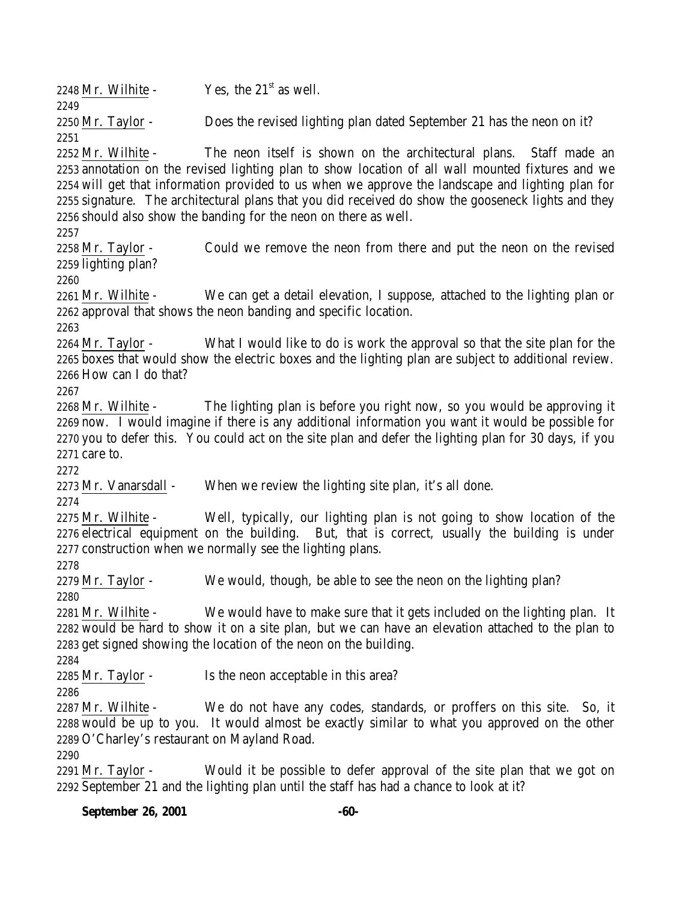**September 26, 2001 -60-** 2248 Mr. Wilhite -  $Yes$ , the  $21<sup>st</sup>$  as well. 2250 Mr. Taylor - Does the revised lighting plan dated September 21 has the neon on it? Mr. Wilhite - The neon itself is shown on the architectural plans. Staff made an annotation on the revised lighting plan to show location of all wall mounted fixtures and we will get that information provided to us when we approve the landscape and lighting plan for signature. The architectural plans that you did received do show the gooseneck lights and they should also show the banding for the neon on there as well. 2258 Mr. Taylor - Could we remove the neon from there and put the neon on the revised lighting plan? Mr. Wilhite - We can get a detail elevation, I suppose, attached to the lighting plan or approval that shows the neon banding and specific location. Mr. Taylor - What I would like to do is work the approval so that the site plan for the boxes that would show the electric boxes and the lighting plan are subject to additional review. How can I do that? Mr. Wilhite - The lighting plan is before you right now, so you would be approving it now. I would imagine if there is any additional information you want it would be possible for you to defer this. You could act on the site plan and defer the lighting plan for 30 days, if you care to. Mr. Vanarsdall - When we review the lighting site plan, it's all done. Mr. Wilhite - Well, typically, our lighting plan is not going to show location of the electrical equipment on the building. But, that is correct, usually the building is under construction when we normally see the lighting plans. 2279 Mr. Taylor - We would, though, be able to see the neon on the lighting plan? Mr. Wilhite - We would have to make sure that it gets included on the lighting plan. It would be hard to show it on a site plan, but we can have an elevation attached to the plan to get signed showing the location of the neon on the building. 2285 Mr. Taylor - Is the neon acceptable in this area? Mr. Wilhite - We do not have any codes, standards, or proffers on this site. So, it would be up to you. It would almost be exactly similar to what you approved on the other O'Charley's restaurant on Mayland Road. Mr. Taylor - Would it be possible to defer approval of the site plan that we got on September 21 and the lighting plan until the staff has had a chance to look at it?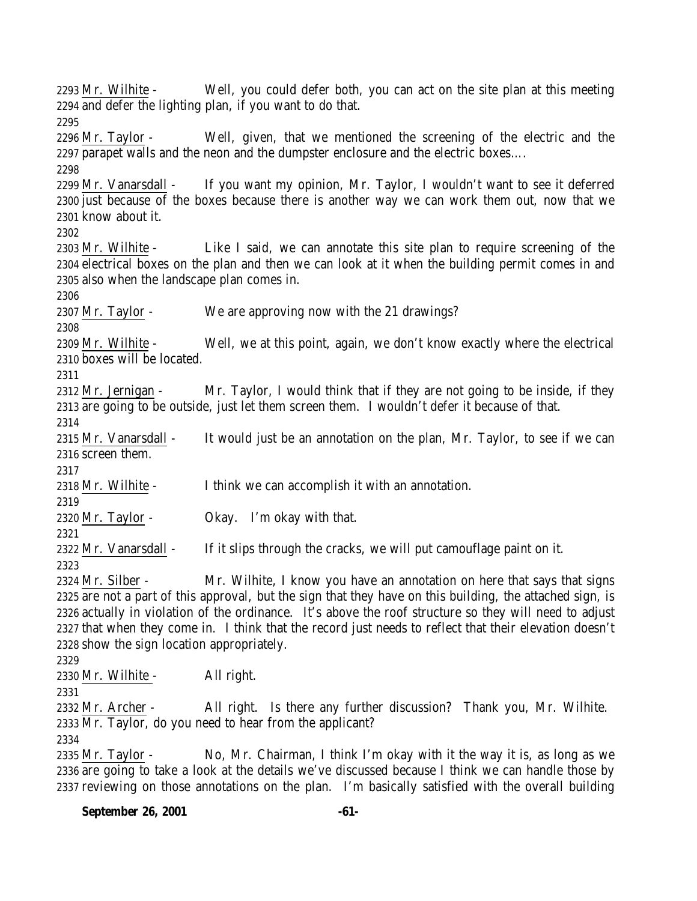Mr. Wilhite - Well, you could defer both, you can act on the site plan at this meeting and defer the lighting plan, if you want to do that. Mr. Taylor - Well, given, that we mentioned the screening of the electric and the parapet walls and the neon and the dumpster enclosure and the electric boxes…. Mr. Vanarsdall - If you want my opinion, Mr. Taylor, I wouldn't want to see it deferred just because of the boxes because there is another way we can work them out, now that we know about it. Mr. Wilhite - Like I said, we can annotate this site plan to require screening of the electrical boxes on the plan and then we can look at it when the building permit comes in and also when the landscape plan comes in. Mr. Taylor - We are approving now with the 21 drawings? Mr. Wilhite - Well, we at this point, again, we don't know exactly where the electrical boxes will be located. 2312 Mr. Jernigan - Mr. Taylor, I would think that if they are not going to be inside, if they are going to be outside, just let them screen them. I wouldn't defer it because of that. 2315 Mr. Vanarsdall - It would just be an annotation on the plan, Mr. Taylor, to see if we can screen them. Mr. Wilhite - I think we can accomplish it with an annotation. Mr. Taylor - Okay. I'm okay with that. 2322 Mr. Vanarsdall - If it slips through the cracks, we will put camouflage paint on it. 2324 Mr. Silber - Mr. Wilhite, I know you have an annotation on here that says that signs are not a part of this approval, but the sign that they have on this building, the attached sign, is actually in violation of the ordinance. It's above the roof structure so they will need to adjust that when they come in. I think that the record just needs to reflect that their elevation doesn't show the sign location appropriately. Mr. Wilhite - All right. Mr. Archer - All right. Is there any further discussion? Thank you, Mr. Wilhite. Mr. Taylor, do you need to hear from the applicant? Mr. Taylor - No, Mr. Chairman, I think I'm okay with it the way it is, as long as we are going to take a look at the details we've discussed because I think we can handle those by

reviewing on those annotations on the plan. I'm basically satisfied with the overall building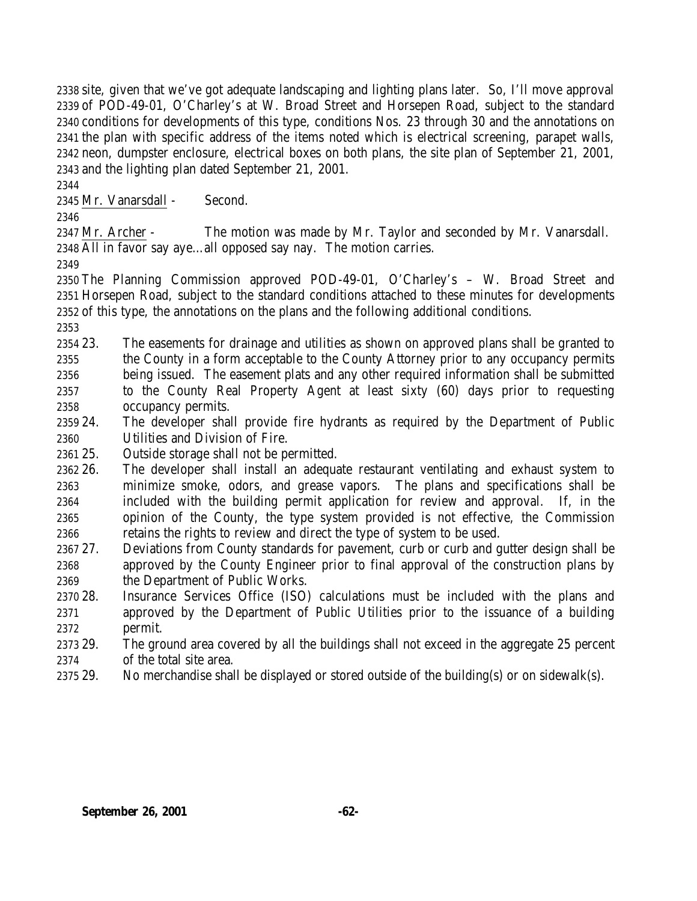site, given that we've got adequate landscaping and lighting plans later. So, I'll move approval of POD-49-01, O'Charley's at W. Broad Street and Horsepen Road, subject to the standard conditions for developments of this type, conditions Nos. 23 through 30 and the annotations on the plan with specific address of the items noted which is electrical screening, parapet walls, neon, dumpster enclosure, electrical boxes on both plans, the site plan of September 21, 2001, and the lighting plan dated September 21, 2001.

Mr. Vanarsdall - Second.

 Mr. Archer - The motion was made by Mr. Taylor and seconded by Mr. Vanarsdall. All in favor say aye…all opposed say nay. The motion carries.

 The Planning Commission approved POD-49-01, O'Charley's – W. Broad Street and Horsepen Road, subject to the standard conditions attached to these minutes for developments of this type, the annotations on the plans and the following additional conditions.

 23. The easements for drainage and utilities as shown on approved plans shall be granted to the County in a form acceptable to the County Attorney prior to any occupancy permits being issued. The easement plats and any other required information shall be submitted to the County Real Property Agent at least sixty (60) days prior to requesting occupancy permits.

- 24. The developer shall provide fire hydrants as required by the Department of Public Utilities and Division of Fire.
- 25. Outside storage shall not be permitted.
- 26. The developer shall install an adequate restaurant ventilating and exhaust system to minimize smoke, odors, and grease vapors. The plans and specifications shall be included with the building permit application for review and approval. If, in the opinion of the County, the type system provided is not effective, the Commission retains the rights to review and direct the type of system to be used.
- 27. Deviations from County standards for pavement, curb or curb and gutter design shall be approved by the County Engineer prior to final approval of the construction plans by the Department of Public Works.
- 28. Insurance Services Office (ISO) calculations must be included with the plans and approved by the Department of Public Utilities prior to the issuance of a building permit.

 29. The ground area covered by all the buildings shall not exceed in the aggregate 25 percent of the total site area.

29. No merchandise shall be displayed or stored outside of the building(s) or on sidewalk(s).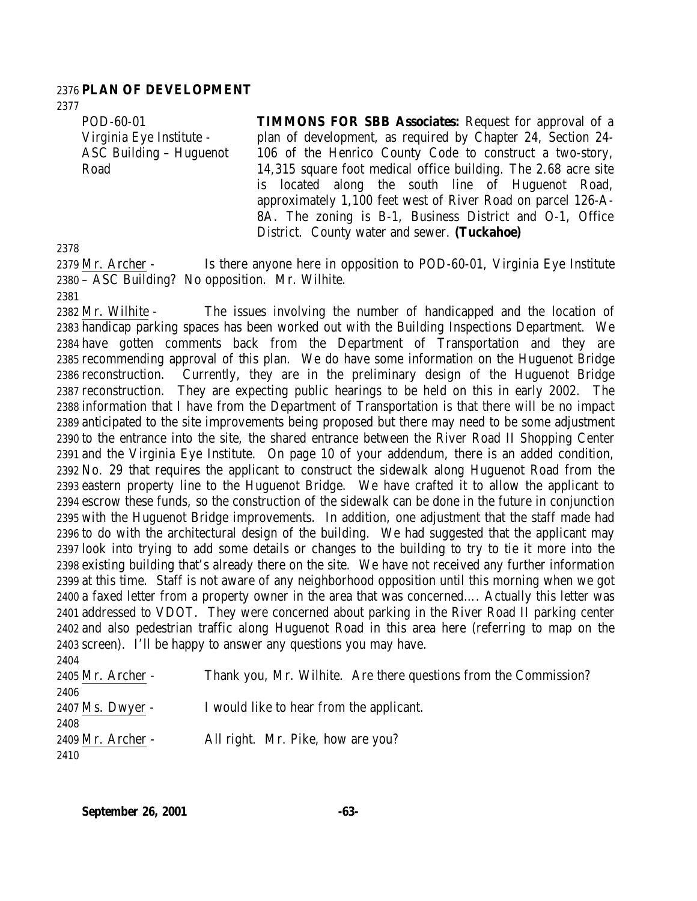### **PLAN OF DEVELOPMENT**

POD-60-01 Virginia Eye Institute - ASC Building – Huguenot Road

**TIMMONS FOR SBB Associates:** Request for approval of a plan of development, as required by Chapter 24, Section 24- 106 of the Henrico County Code to construct a two-story, 14,315 square foot medical office building. The 2.68 acre site is located along the south line of Huguenot Road, approximately 1,100 feet west of River Road on parcel 126-A-8A. The zoning is B-1, Business District and O-1, Office District. County water and sewer. **(Tuckahoe)**

2379 Mr. Archer - Is there anyone here in opposition to POD-60-01, Virginia Eye Institute – ASC Building? No opposition. Mr. Wilhite. 

 Mr. Wilhite - The issues involving the number of handicapped and the location of handicap parking spaces has been worked out with the Building Inspections Department. We have gotten comments back from the Department of Transportation and they are recommending approval of this plan. We do have some information on the Huguenot Bridge reconstruction. Currently, they are in the preliminary design of the Huguenot Bridge reconstruction. They are expecting public hearings to be held on this in early 2002. The information that I have from the Department of Transportation is that there will be no impact anticipated to the site improvements being proposed but there may need to be some adjustment to the entrance into the site, the shared entrance between the River Road II Shopping Center and the Virginia Eye Institute. On page 10 of your addendum, there is an added condition, No. 29 that requires the applicant to construct the sidewalk along Huguenot Road from the eastern property line to the Huguenot Bridge. We have crafted it to allow the applicant to escrow these funds, so the construction of the sidewalk can be done in the future in conjunction with the Huguenot Bridge improvements. In addition, one adjustment that the staff made had to do with the architectural design of the building. We had suggested that the applicant may look into trying to add some details or changes to the building to try to tie it more into the existing building that's already there on the site. We have not received any further information at this time. Staff is not aware of any neighborhood opposition until this morning when we got a faxed letter from a property owner in the area that was concerned…. Actually this letter was addressed to VDOT. They were concerned about parking in the River Road II parking center and also pedestrian traffic along Huguenot Road in this area here (referring to map on the screen). I'll be happy to answer any questions you may have. 

| 44.V              |                                                                  |
|-------------------|------------------------------------------------------------------|
| 2405 Mr. Archer - | Thank you, Mr. Wilhite. Are there questions from the Commission? |
| 2406              |                                                                  |
| 2407 Ms. Dwyer -  | I would like to hear from the applicant.                         |
| 2408              |                                                                  |
| 2409 Mr. Archer - | All right. Mr. Pike, how are you?                                |
| 2410              |                                                                  |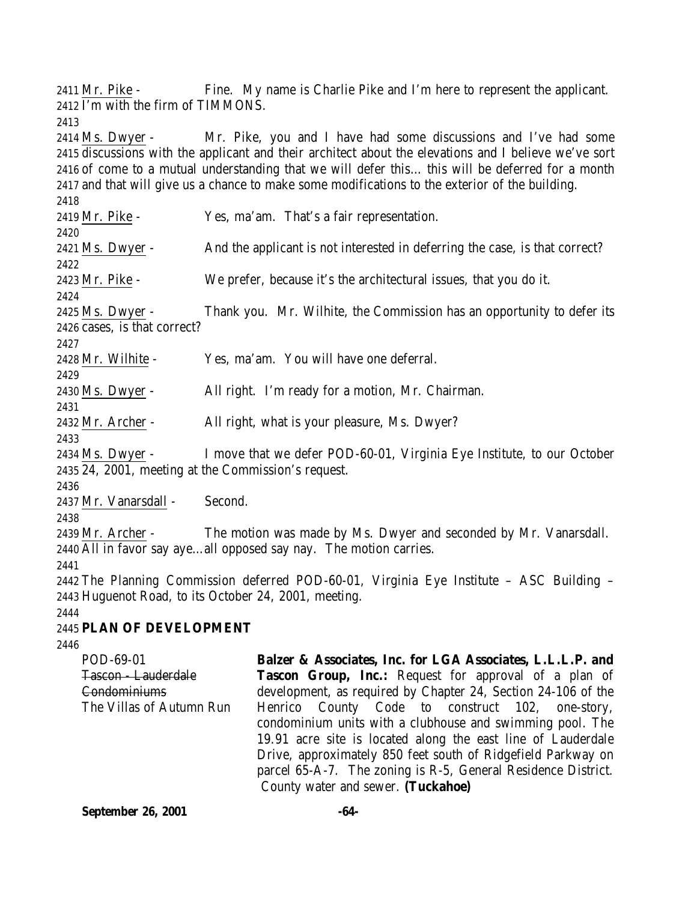Mr. Pike - Fine. My name is Charlie Pike and I'm here to represent the applicant. I'm with the firm of TIMMONS.

 Ms. Dwyer - Mr. Pike, you and I have had some discussions and I've had some discussions with the applicant and their architect about the elevations and I believe we've sort of come to a mutual understanding that we will defer this… this will be deferred for a month and that will give us a chance to make some modifications to the exterior of the building.

Mr. Pike - Yes, ma'am. That's a fair representation.

 Ms. Dwyer - And the applicant is not interested in deferring the case, is that correct? 

Mr. Pike - We prefer, because it's the architectural issues, that you do it.

 Ms. Dwyer - Thank you. Mr. Wilhite, the Commission has an opportunity to defer its cases, is that correct?

Mr. Wilhite - Yes, ma'am. You will have one deferral.

Ms. Dwyer - All right. I'm ready for a motion, Mr. Chairman.

2432 Mr. Archer - All right, what is your pleasure, Ms. Dwyer?

 Ms. Dwyer - I move that we defer POD-60-01, Virginia Eye Institute, to our October 24, 2001, meeting at the Commission's request.

Mr. Vanarsdall - Second.

 Mr. Archer - The motion was made by Ms. Dwyer and seconded by Mr. Vanarsdall. All in favor say aye…all opposed say nay. The motion carries.

 The Planning Commission deferred POD-60-01, Virginia Eye Institute – ASC Building – Huguenot Road, to its October 24, 2001, meeting.

# **PLAN OF DEVELOPMENT**

| POD-69-01                | Balzer & Associates, Inc. for LGA Associates, L.L.L.P. and    |
|--------------------------|---------------------------------------------------------------|
| <b>Tascon</b> Lauderdale | <b>Tascon Group, Inc.:</b> Request for approval of a plan of  |
| Condominiums             | development, as required by Chapter 24, Section 24-106 of the |
| The Villas of Autumn Run | Henrico County Code to construct 102, one-story,              |
|                          | condominium units with a clubhouse and swimming pool. The     |
|                          | 19.91 acre site is located along the east line of Lauderdale  |
|                          | Drive, approximately 850 feet south of Ridgefield Parkway on  |
|                          | parcel 65-A-7. The zoning is R-5, General Residence District. |
|                          | County water and sewer. (Tuckahoe)                            |

**September 26, 2001 -64-**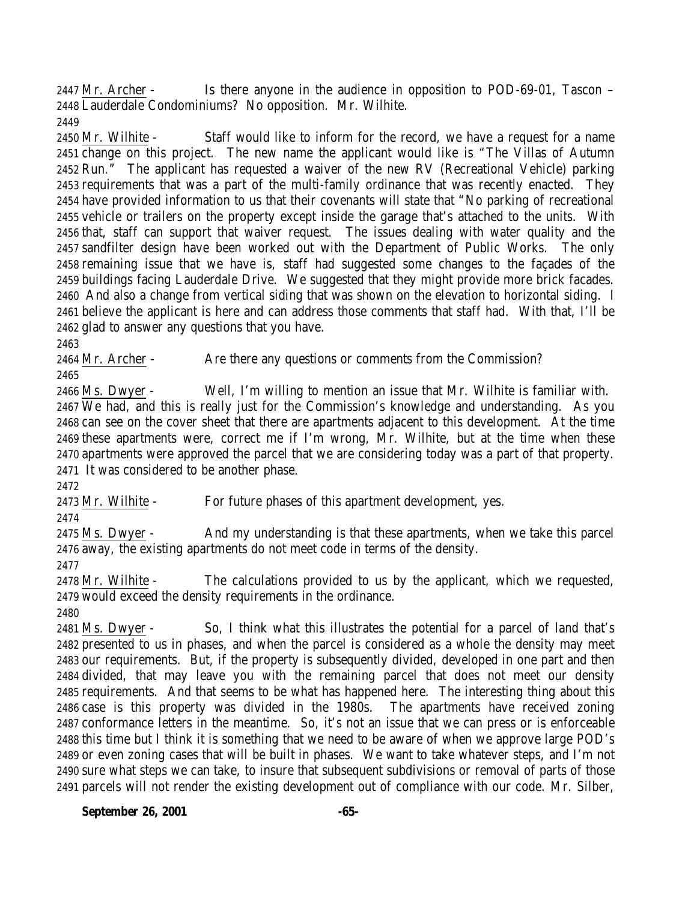Mr. Archer - Is there anyone in the audience in opposition to POD-69-01, Tascon – Lauderdale Condominiums? No opposition. Mr. Wilhite. 

 Mr. Wilhite - Staff would like to inform for the record, we have a request for a name change on this project. The new name the applicant would like is "The Villas of Autumn Run." The applicant has requested a waiver of the new RV (Recreational Vehicle) parking requirements that was a part of the multi-family ordinance that was recently enacted. They have provided information to us that their covenants will state that "No parking of recreational vehicle or trailers on the property except inside the garage that's attached to the units. With that, staff can support that waiver request. The issues dealing with water quality and the sandfilter design have been worked out with the Department of Public Works. The only remaining issue that we have is, staff had suggested some changes to the façades of the buildings facing Lauderdale Drive. We suggested that they might provide more brick facades. And also a change from vertical siding that was shown on the elevation to horizontal siding. I believe the applicant is here and can address those comments that staff had. With that, I'll be glad to answer any questions that you have.

2464 Mr. Archer - Are there any questions or comments from the Commission?

 Ms. Dwyer - Well, I'm willing to mention an issue that Mr. Wilhite is familiar with. We had, and this is really just for the Commission's knowledge and understanding. As you can see on the cover sheet that there are apartments adjacent to this development. At the time these apartments were, correct me if I'm wrong, Mr. Wilhite, but at the time when these apartments were approved the parcel that we are considering today was a part of that property. It was considered to be another phase.

Mr. Wilhite - For future phases of this apartment development, yes.

 Ms. Dwyer - And my understanding is that these apartments, when we take this parcel away, the existing apartments do not meet code in terms of the density.

 Mr. Wilhite - The calculations provided to us by the applicant, which we requested, would exceed the density requirements in the ordinance.

 Ms. Dwyer - So, I think what this illustrates the potential for a parcel of land that's presented to us in phases, and when the parcel is considered as a whole the density may meet our requirements. But, if the property is subsequently divided, developed in one part and then divided, that may leave you with the remaining parcel that does not meet our density requirements. And that seems to be what has happened here. The interesting thing about this case is this property was divided in the 1980s. The apartments have received zoning conformance letters in the meantime. So, it's not an issue that we can press or is enforceable this time but I think it is something that we need to be aware of when we approve large POD's or even zoning cases that will be built in phases. We want to take whatever steps, and I'm not sure what steps we can take, to insure that subsequent subdivisions or removal of parts of those parcels will not render the existing development out of compliance with our code. Mr. Silber,

**September 26, 2001 -65-**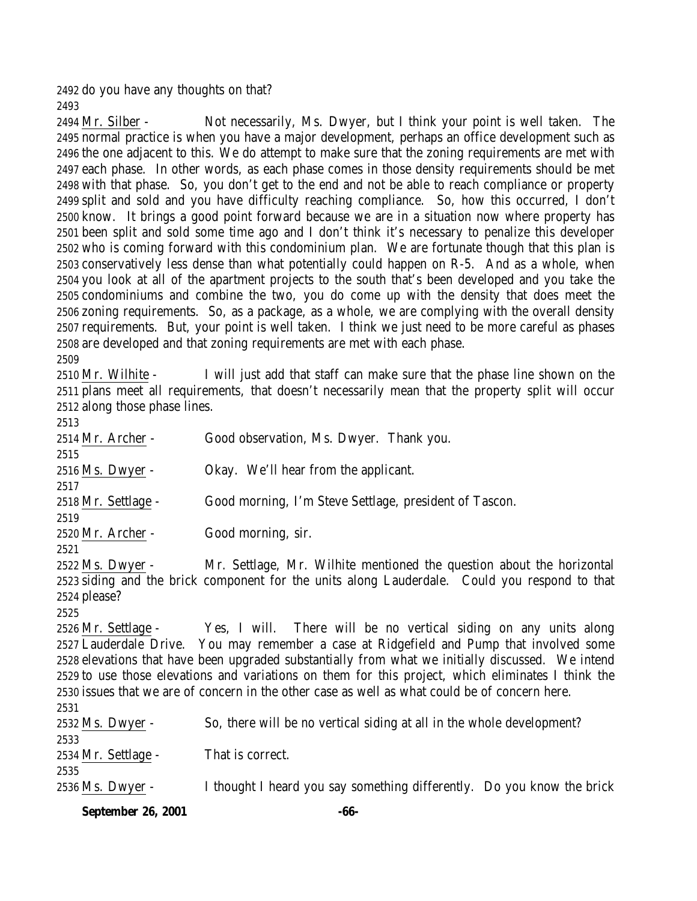do you have any thoughts on that? 

 Mr. Silber - Not necessarily, Ms. Dwyer, but I think your point is well taken. The normal practice is when you have a major development, perhaps an office development such as the one adjacent to this. We do attempt to make sure that the zoning requirements are met with each phase. In other words, as each phase comes in those density requirements should be met with that phase. So, you don't get to the end and not be able to reach compliance or property split and sold and you have difficulty reaching compliance. So, how this occurred, I don't know. It brings a good point forward because we are in a situation now where property has been split and sold some time ago and I don't think it's necessary to penalize this developer who is coming forward with this condominium plan. We are fortunate though that this plan is conservatively less dense than what potentially could happen on R-5. And as a whole, when you look at all of the apartment projects to the south that's been developed and you take the condominiums and combine the two, you do come up with the density that does meet the zoning requirements. So, as a package, as a whole, we are complying with the overall density requirements. But, your point is well taken. I think we just need to be more careful as phases are developed and that zoning requirements are met with each phase.

 Mr. Wilhite - I will just add that staff can make sure that the phase line shown on the plans meet all requirements, that doesn't necessarily mean that the property split will occur along those phase lines. 

| 60 I V                                                                                             |                                                                                                   |  |  |
|----------------------------------------------------------------------------------------------------|---------------------------------------------------------------------------------------------------|--|--|
| 2514 Mr. Archer -                                                                                  | Good observation, Ms. Dwyer. Thank you.                                                           |  |  |
| 2515                                                                                               |                                                                                                   |  |  |
| 2516 Ms. Dwyer -                                                                                   | Okay. We'll hear from the applicant.                                                              |  |  |
| 2517                                                                                               |                                                                                                   |  |  |
| 2518 Mr. Settlage -                                                                                | Good morning, I'm Steve Settlage, president of Tascon.                                            |  |  |
| 2519                                                                                               |                                                                                                   |  |  |
| 2520 Mr. Archer -                                                                                  | Good morning, sir.                                                                                |  |  |
| 2521                                                                                               |                                                                                                   |  |  |
| 2522 Ms. Dwyer -                                                                                   | Mr. Settlage, Mr. Wilhite mentioned the question about the horizontal                             |  |  |
|                                                                                                    | 2523 siding and the brick component for the units along Lauderdale. Could you respond to that     |  |  |
| 2524 please?                                                                                       |                                                                                                   |  |  |
| 2525                                                                                               |                                                                                                   |  |  |
|                                                                                                    | 2526 Mr. Settlage - Yes, I will. There will be no vertical siding on any units along              |  |  |
|                                                                                                    | 2527 Lauderdale Drive. You may remember a case at Ridgefield and Pump that involved some          |  |  |
|                                                                                                    | 2528 elevations that have been upgraded substantially from what we initially discussed. We intend |  |  |
| 2529 to use those elevations and variations on them for this project, which eliminates I think the |                                                                                                   |  |  |
| 2530 issues that we are of concern in the other case as well as what could be of concern here.     |                                                                                                   |  |  |
| 2531                                                                                               |                                                                                                   |  |  |
| 2532 Ms. Dwyer -                                                                                   | So, there will be no vertical siding at all in the whole development?                             |  |  |
| 2533                                                                                               |                                                                                                   |  |  |
| 2534 Mr. Settlage -                                                                                | That is correct.                                                                                  |  |  |
| 2535                                                                                               |                                                                                                   |  |  |
| 2536 Ms. Dwyer -                                                                                   | I thought I heard you say something differently. Do you know the brick                            |  |  |
|                                                                                                    |                                                                                                   |  |  |

**September 26, 2001 -66-**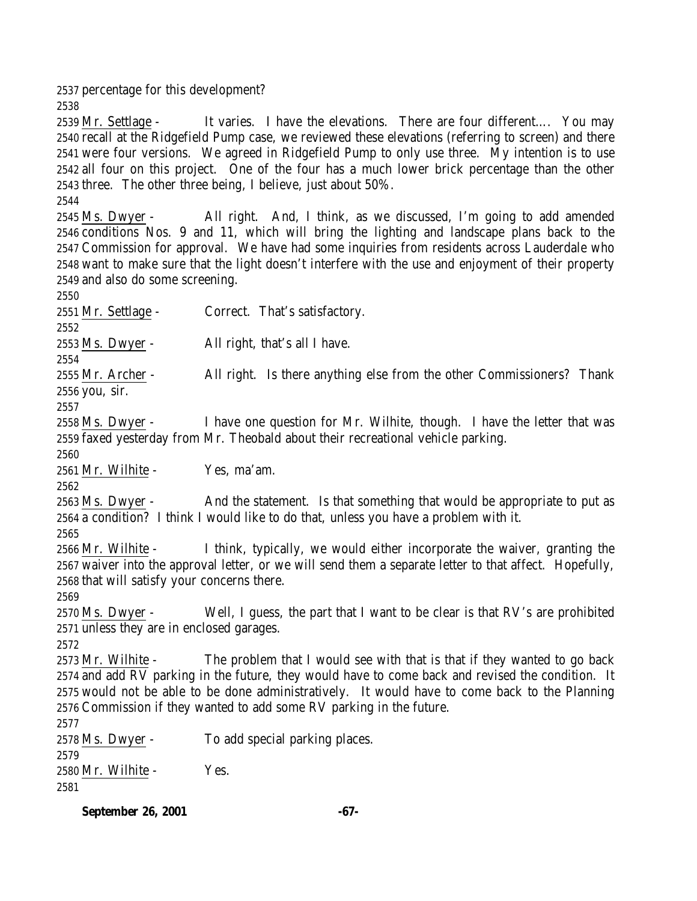percentage for this development?

 Mr. Settlage - It varies. I have the elevations. There are four different…. You may recall at the Ridgefield Pump case, we reviewed these elevations (referring to screen) and there were four versions. We agreed in Ridgefield Pump to only use three. My intention is to use all four on this project. One of the four has a much lower brick percentage than the other three. The other three being, I believe, just about 50%.

 Ms. Dwyer - All right. And, I think, as we discussed, I'm going to add amended conditions Nos. 9 and 11, which will bring the lighting and landscape plans back to the Commission for approval. We have had some inquiries from residents across Lauderdale who want to make sure that the light doesn't interfere with the use and enjoyment of their property and also do some screening.

2551 Mr. Settlage - Correct. That's satisfactory. Ms. Dwyer - All right, that's all I have. 2555 Mr. Archer - All right. Is there anything else from the other Commissioners? Thank you, sir. Ms. Dwyer - I have one question for Mr. Wilhite, though. I have the letter that was faxed yesterday from Mr. Theobald about their recreational vehicle parking. Mr. Wilhite - Yes, ma'am. 

 Ms. Dwyer - And the statement. Is that something that would be appropriate to put as a condition? I think I would like to do that, unless you have a problem with it.

 Mr. Wilhite - I think, typically, we would either incorporate the waiver, granting the waiver into the approval letter, or we will send them a separate letter to that affect. Hopefully, that will satisfy your concerns there.

 Ms. Dwyer - Well, I guess, the part that I want to be clear is that RV's are prohibited unless they are in enclosed garages.

 Mr. Wilhite - The problem that I would see with that is that if they wanted to go back

 and add RV parking in the future, they would have to come back and revised the condition. It would not be able to be done administratively. It would have to come back to the Planning Commission if they wanted to add some RV parking in the future. 

Ms. Dwyer - To add special parking places.

Mr. Wilhite - Yes.

**September 26, 2001 -67-**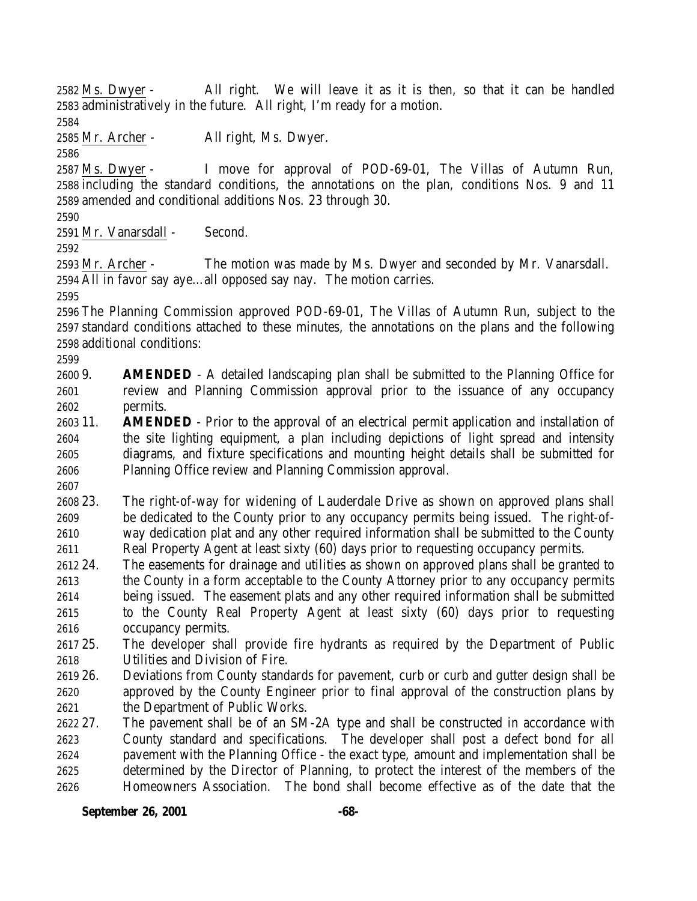Ms. Dwyer - All right. We will leave it as it is then, so that it can be handled administratively in the future. All right, I'm ready for a motion.

Mr. Archer - All right, Ms. Dwyer.

 Ms. Dwyer - I move for approval of POD-69-01, The Villas of Autumn Run, including the standard conditions, the annotations on the plan, conditions Nos. 9 and 11 amended and conditional additions Nos. 23 through 30.

Mr. Vanarsdall - Second.

 Mr. Archer - The motion was made by Ms. Dwyer and seconded by Mr. Vanarsdall. All in favor say aye…all opposed say nay. The motion carries.

 The Planning Commission approved POD-69-01, The Villas of Autumn Run, subject to the standard conditions attached to these minutes, the annotations on the plans and the following additional conditions:

- 9. **AMENDED** A detailed landscaping plan shall be submitted to the Planning Office for review and Planning Commission approval prior to the issuance of any occupancy permits.
- 11. **AMENDED** Prior to the approval of an electrical permit application and installation of the site lighting equipment, a plan including depictions of light spread and intensity diagrams, and fixture specifications and mounting height details shall be submitted for Planning Office review and Planning Commission approval.
- 

 23. The right-of-way for widening of Lauderdale Drive as shown on approved plans shall be dedicated to the County prior to any occupancy permits being issued. The right-of- way dedication plat and any other required information shall be submitted to the County Real Property Agent at least sixty (60) days prior to requesting occupancy permits.

- 24. The easements for drainage and utilities as shown on approved plans shall be granted to the County in a form acceptable to the County Attorney prior to any occupancy permits being issued. The easement plats and any other required information shall be submitted to the County Real Property Agent at least sixty (60) days prior to requesting occupancy permits.
- 25. The developer shall provide fire hydrants as required by the Department of Public Utilities and Division of Fire.
- 26. Deviations from County standards for pavement, curb or curb and gutter design shall be approved by the County Engineer prior to final approval of the construction plans by the Department of Public Works.
- 27. The pavement shall be of an SM-2A type and shall be constructed in accordance with County standard and specifications. The developer shall post a defect bond for all pavement with the Planning Office - the exact type, amount and implementation shall be determined by the Director of Planning, to protect the interest of the members of the Homeowners Association. The bond shall become effective as of the date that the

**September 26, 2001 -68-**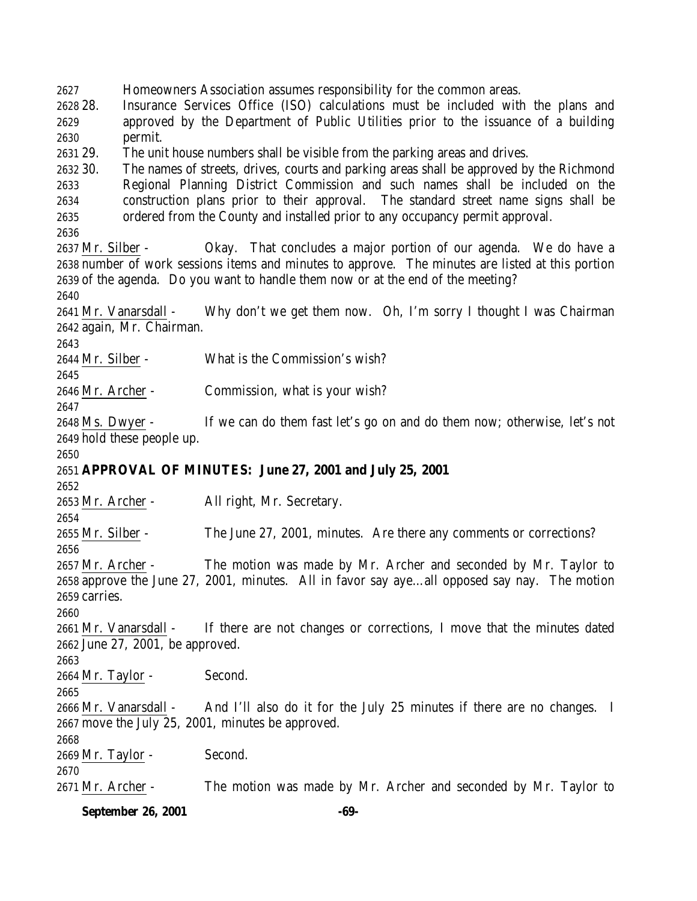Homeowners Association assumes responsibility for the common areas.

 28. Insurance Services Office (ISO) calculations must be included with the plans and approved by the Department of Public Utilities prior to the issuance of a building permit.

29. The unit house numbers shall be visible from the parking areas and drives.

 30. The names of streets, drives, courts and parking areas shall be approved by the Richmond Regional Planning District Commission and such names shall be included on the construction plans prior to their approval. The standard street name signs shall be ordered from the County and installed prior to any occupancy permit approval.

 Mr. Silber - Okay. That concludes a major portion of our agenda. We do have a number of work sessions items and minutes to approve. The minutes are listed at this portion of the agenda. Do you want to handle them now or at the end of the meeting?

 Mr. Vanarsdall - Why don't we get them now. Oh, I'm sorry I thought I was Chairman again, Mr. Chairman.

Mr. Silber - What is the Commission's wish?

 

Mr. Archer - Commission, what is your wish?

 Ms. Dwyer - If we can do them fast let's go on and do them now; otherwise, let's not hold these people up.

## 

## **APPROVAL OF MINUTES: June 27, 2001 and July 25, 2001**

Mr. Archer - All right, Mr. Secretary.

Mr. Silber - The June 27, 2001, minutes. Are there any comments or corrections?

 Mr. Archer - The motion was made by Mr. Archer and seconded by Mr. Taylor to approve the June 27, 2001, minutes. All in favor say aye…all opposed say nay. The motion carries.

 Mr. Vanarsdall - If there are not changes or corrections, I move that the minutes dated June 27, 2001, be approved.

Mr. Taylor - Second.

 Mr. Vanarsdall - And I'll also do it for the July 25 minutes if there are no changes. I move the July 25, 2001, minutes be approved.

Mr. Taylor - Second.

Mr. Archer - The motion was made by Mr. Archer and seconded by Mr. Taylor to

**September 26, 2001 -69-**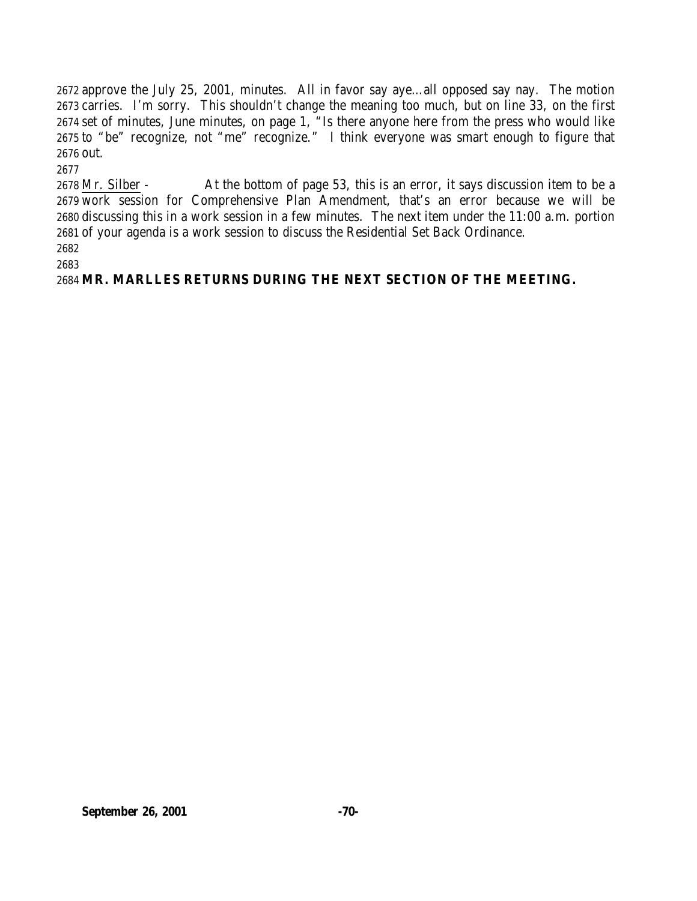approve the July 25, 2001, minutes. All in favor say aye…all opposed say nay. The motion carries. I'm sorry. This shouldn't change the meaning too much, but on line 33, on the first set of minutes, June minutes, on page 1, "Is there anyone here from the press who would like to "be" recognize, not "me" recognize." I think everyone was smart enough to figure that out.

 Mr. Silber - At the bottom of page 53, this is an error, it says discussion item to be a work session for Comprehensive Plan Amendment, that's an error because we will be discussing this in a work session in a few minutes. The next item under the 11:00 a.m. portion of your agenda is a work session to discuss the Residential Set Back Ordinance. 

**MR. MARLLES RETURNS DURING THE NEXT SECTION OF THE MEETING.**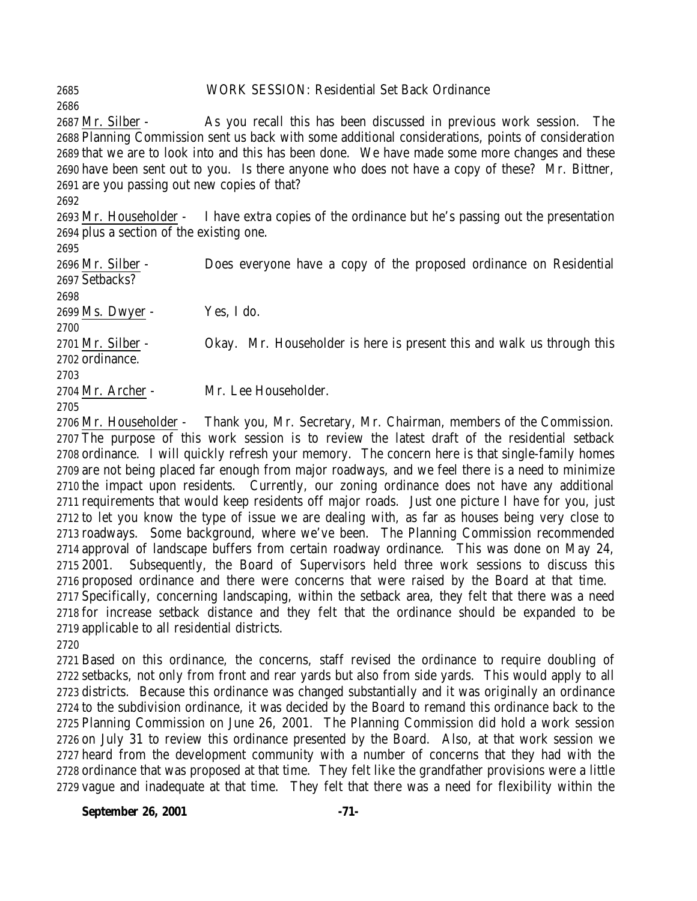### WORK SESSION: Residential Set Back Ordinance

 Mr. Silber - As you recall this has been discussed in previous work session. The Planning Commission sent us back with some additional considerations, points of consideration that we are to look into and this has been done. We have made some more changes and these have been sent out to you. Is there anyone who does not have a copy of these? Mr. Bittner, are you passing out new copies of that?

 Mr. Householder - I have extra copies of the ordinance but he's passing out the presentation plus a section of the existing one.

 Mr. Silber - Does everyone have a copy of the proposed ordinance on Residential Setbacks? Ms. Dwyer - Yes, I do. 2701 Mr. Silber - Okay. Mr. Householder is here is present this and walk us through this ordinance. Mr. Archer - Mr. Lee Householder. 

 Mr. Householder - Thank you, Mr. Secretary, Mr. Chairman, members of the Commission. The purpose of this work session is to review the latest draft of the residential setback ordinance. I will quickly refresh your memory. The concern here is that single-family homes are not being placed far enough from major roadways, and we feel there is a need to minimize the impact upon residents. Currently, our zoning ordinance does not have any additional requirements that would keep residents off major roads. Just one picture I have for you, just to let you know the type of issue we are dealing with, as far as houses being very close to roadways. Some background, where we've been. The Planning Commission recommended approval of landscape buffers from certain roadway ordinance. This was done on May 24, 2001. Subsequently, the Board of Supervisors held three work sessions to discuss this proposed ordinance and there were concerns that were raised by the Board at that time. Specifically, concerning landscaping, within the setback area, they felt that there was a need for increase setback distance and they felt that the ordinance should be expanded to be applicable to all residential districts.

 Based on this ordinance, the concerns, staff revised the ordinance to require doubling of setbacks, not only from front and rear yards but also from side yards. This would apply to all districts. Because this ordinance was changed substantially and it was originally an ordinance to the subdivision ordinance, it was decided by the Board to remand this ordinance back to the Planning Commission on June 26, 2001. The Planning Commission did hold a work session on July 31 to review this ordinance presented by the Board. Also, at that work session we heard from the development community with a number of concerns that they had with the ordinance that was proposed at that time. They felt like the grandfather provisions were a little vague and inadequate at that time. They felt that there was a need for flexibility within the

**September 26, 2001 -71-**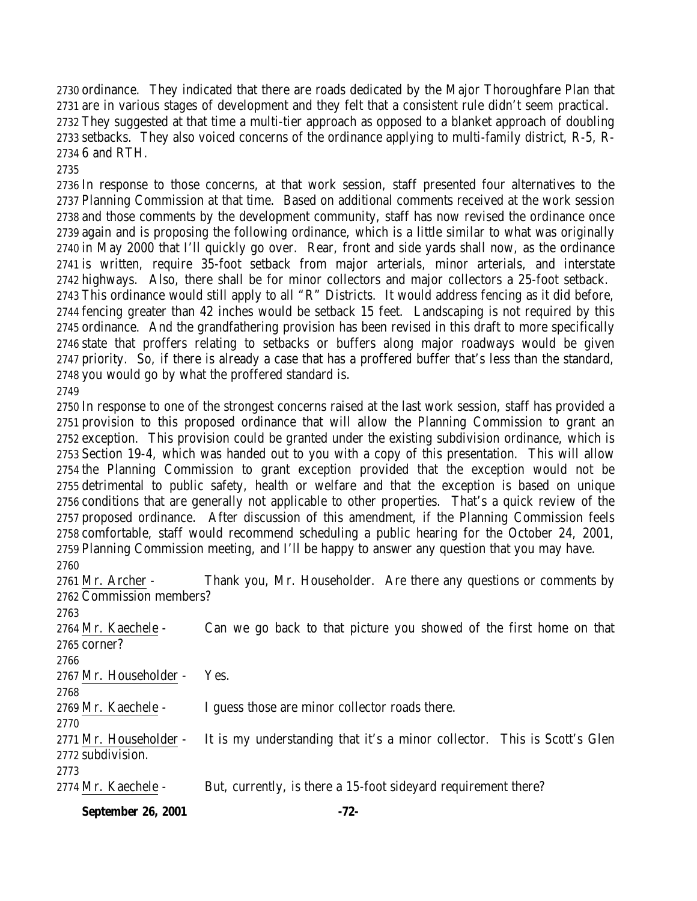ordinance. They indicated that there are roads dedicated by the Major Thoroughfare Plan that are in various stages of development and they felt that a consistent rule didn't seem practical. They suggested at that time a multi-tier approach as opposed to a blanket approach of doubling setbacks. They also voiced concerns of the ordinance applying to multi-family district, R-5, R-6 and RTH.

 In response to those concerns, at that work session, staff presented four alternatives to the Planning Commission at that time. Based on additional comments received at the work session and those comments by the development community, staff has now revised the ordinance once again and is proposing the following ordinance, which is a little similar to what was originally in May 2000 that I'll quickly go over. Rear, front and side yards shall now, as the ordinance is written, require 35-foot setback from major arterials, minor arterials, and interstate highways. Also, there shall be for minor collectors and major collectors a 25-foot setback. This ordinance would still apply to all "R" Districts. It would address fencing as it did before, fencing greater than 42 inches would be setback 15 feet. Landscaping is not required by this ordinance. And the grandfathering provision has been revised in this draft to more specifically state that proffers relating to setbacks or buffers along major roadways would be given priority. So, if there is already a case that has a proffered buffer that's less than the standard, you would go by what the proffered standard is. 

 In response to one of the strongest concerns raised at the last work session, staff has provided a provision to this proposed ordinance that will allow the Planning Commission to grant an exception. This provision could be granted under the existing subdivision ordinance, which is Section 19-4, which was handed out to you with a copy of this presentation. This will allow the Planning Commission to grant exception provided that the exception would not be detrimental to public safety, health or welfare and that the exception is based on unique conditions that are generally not applicable to other properties. That's a quick review of the proposed ordinance. After discussion of this amendment, if the Planning Commission feels comfortable, staff would recommend scheduling a public hearing for the October 24, 2001, Planning Commission meeting, and I'll be happy to answer any question that you may have. 

2761 Mr. Archer - Thank you, Mr. Householder. Are there any questions or comments by Commission members? Mr. Kaechele - Can we go back to that picture you showed of the first home on that corner? Mr. Householder - Yes. Mr. Kaechele - I guess those are minor collector roads there. Mr. Householder - It is my understanding that it's a minor collector. This is Scott's Glen subdivision. 2774 Mr. Kaechele - But, currently, is there a 15-foot sidevard requirement there?

**September 26, 2001 -72-**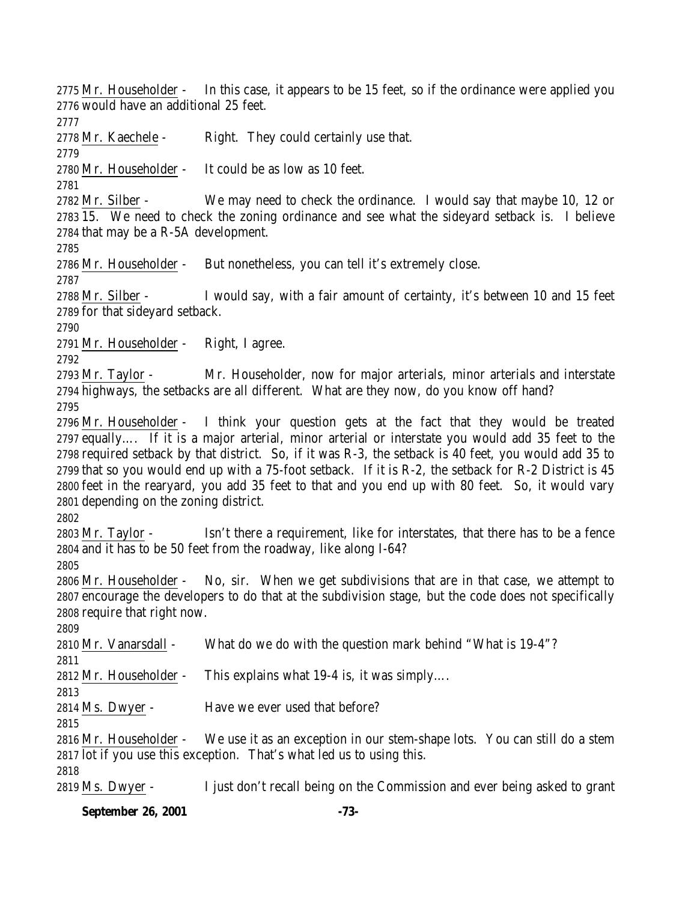2775 Mr. Householder - In this case, it appears to be 15 feet, so if the ordinance were applied you would have an additional 25 feet.

2778 Mr. Kaechele - Right. They could certainly use that.

Mr. Householder - It could be as low as 10 feet.

 Mr. Silber - We may need to check the ordinance. I would say that maybe 10, 12 or 15. We need to check the zoning ordinance and see what the sideyard setback is. I believe that may be a R-5A development.

Mr. Householder - But nonetheless, you can tell it's extremely close.

2788 Mr. Silber - I would say, with a fair amount of certainty, it's between 10 and 15 feet for that sideyard setback.

Mr. Householder - Right, I agree.

 Mr. Taylor - Mr. Householder, now for major arterials, minor arterials and interstate highways, the setbacks are all different. What are they now, do you know off hand? 

 Mr. Householder - I think your question gets at the fact that they would be treated equally…. If it is a major arterial, minor arterial or interstate you would add 35 feet to the required setback by that district. So, if it was R-3, the setback is 40 feet, you would add 35 to that so you would end up with a 75-foot setback. If it is R-2, the setback for R-2 District is 45 feet in the rearyard, you add 35 feet to that and you end up with 80 feet. So, it would vary depending on the zoning district.

 Mr. Taylor - Isn't there a requirement, like for interstates, that there has to be a fence and it has to be 50 feet from the roadway, like along I-64?

 Mr. Householder - No, sir. When we get subdivisions that are in that case, we attempt to encourage the developers to do that at the subdivision stage, but the code does not specifically require that right now.

Mr. Vanarsdall - What do we do with the question mark behind "What is 19-4"?

Mr. Householder - This explains what 19-4 is, it was simply….

 Ms. Dwyer - Have we ever used that before?

 Mr. Householder - We use it as an exception in our stem-shape lots. You can still do a stem lot if you use this exception. That's what led us to using this.

Ms. Dwyer - I just don't recall being on the Commission and ever being asked to grant

# **September 26, 2001 -73-**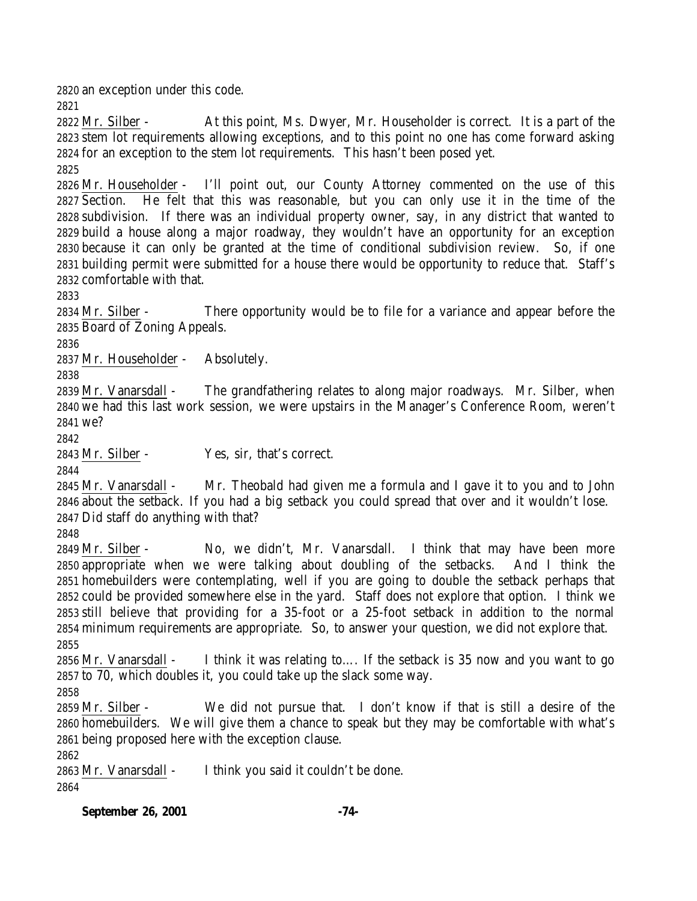an exception under this code.

 Mr. Silber - At this point, Ms. Dwyer, Mr. Householder is correct. It is a part of the stem lot requirements allowing exceptions, and to this point no one has come forward asking for an exception to the stem lot requirements. This hasn't been posed yet.

 Mr. Householder - I'll point out, our County Attorney commented on the use of this Section. He felt that this was reasonable, but you can only use it in the time of the subdivision. If there was an individual property owner, say, in any district that wanted to build a house along a major roadway, they wouldn't have an opportunity for an exception because it can only be granted at the time of conditional subdivision review. So, if one building permit were submitted for a house there would be opportunity to reduce that. Staff's comfortable with that.

 Mr. Silber - There opportunity would be to file for a variance and appear before the Board of Zoning Appeals.

Mr. Householder - Absolutely.

 Mr. Vanarsdall - The grandfathering relates to along major roadways. Mr. Silber, when we had this last work session, we were upstairs in the Manager's Conference Room, weren't we?

Mr. Silber - Yes, sir, that's correct.

 Mr. Vanarsdall - Mr. Theobald had given me a formula and I gave it to you and to John about the setback. If you had a big setback you could spread that over and it wouldn't lose. Did staff do anything with that?

 Mr. Silber - No, we didn't, Mr. Vanarsdall. I think that may have been more appropriate when we were talking about doubling of the setbacks. And I think the homebuilders were contemplating, well if you are going to double the setback perhaps that could be provided somewhere else in the yard. Staff does not explore that option. I think we still believe that providing for a 35-foot or a 25-foot setback in addition to the normal minimum requirements are appropriate. So, to answer your question, we did not explore that. 

 Mr. Vanarsdall - I think it was relating to…. If the setback is 35 now and you want to go to 70, which doubles it, you could take up the slack some way.

 Mr. Silber - We did not pursue that. I don't know if that is still a desire of the homebuilders. We will give them a chance to speak but they may be comfortable with what's being proposed here with the exception clause.

 Mr. Vanarsdall - I think you said it couldn't be done.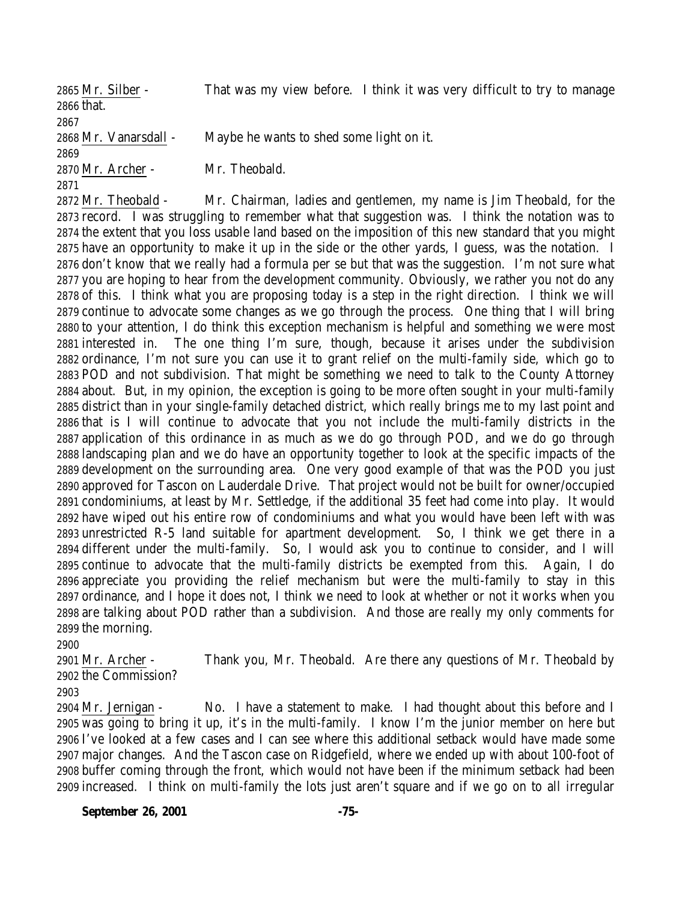Mr. Silber - That was my view before. I think it was very difficult to try to manage that. Mr. Vanarsdall - Maybe he wants to shed some light on it. Mr. Archer - Mr. Theobald. 

 Mr. Theobald - Mr. Chairman, ladies and gentlemen, my name is Jim Theobald, for the record. I was struggling to remember what that suggestion was. I think the notation was to the extent that you loss usable land based on the imposition of this new standard that you might have an opportunity to make it up in the side or the other yards, I guess, was the notation. I don't know that we really had a formula per se but that was the suggestion. I'm not sure what you are hoping to hear from the development community. Obviously, we rather you not do any of this. I think what you are proposing today is a step in the right direction. I think we will continue to advocate some changes as we go through the process. One thing that I will bring to your attention, I do think this exception mechanism is helpful and something we were most interested in. The one thing I'm sure, though, because it arises under the subdivision ordinance, I'm not sure you can use it to grant relief on the multi-family side, which go to POD and not subdivision. That might be something we need to talk to the County Attorney about. But, in my opinion, the exception is going to be more often sought in your multi-family district than in your single-family detached district, which really brings me to my last point and that is I will continue to advocate that you not include the multi-family districts in the application of this ordinance in as much as we do go through POD, and we do go through landscaping plan and we do have an opportunity together to look at the specific impacts of the development on the surrounding area. One very good example of that was the POD you just approved for Tascon on Lauderdale Drive. That project would not be built for owner/occupied condominiums, at least by Mr. Settledge, if the additional 35 feet had come into play. It would have wiped out his entire row of condominiums and what you would have been left with was unrestricted R-5 land suitable for apartment development. So, I think we get there in a different under the multi-family. So, I would ask you to continue to consider, and I will continue to advocate that the multi-family districts be exempted from this. Again, I do appreciate you providing the relief mechanism but were the multi-family to stay in this ordinance, and I hope it does not, I think we need to look at whether or not it works when you are talking about POD rather than a subdivision. And those are really my only comments for the morning.

 Mr. Archer - Thank you, Mr. Theobald. Are there any questions of Mr. Theobald by the Commission?

 Mr. Jernigan - No. I have a statement to make. I had thought about this before and I was going to bring it up, it's in the multi-family. I know I'm the junior member on here but I've looked at a few cases and I can see where this additional setback would have made some major changes. And the Tascon case on Ridgefield, where we ended up with about 100-foot of buffer coming through the front, which would not have been if the minimum setback had been increased. I think on multi-family the lots just aren't square and if we go on to all irregular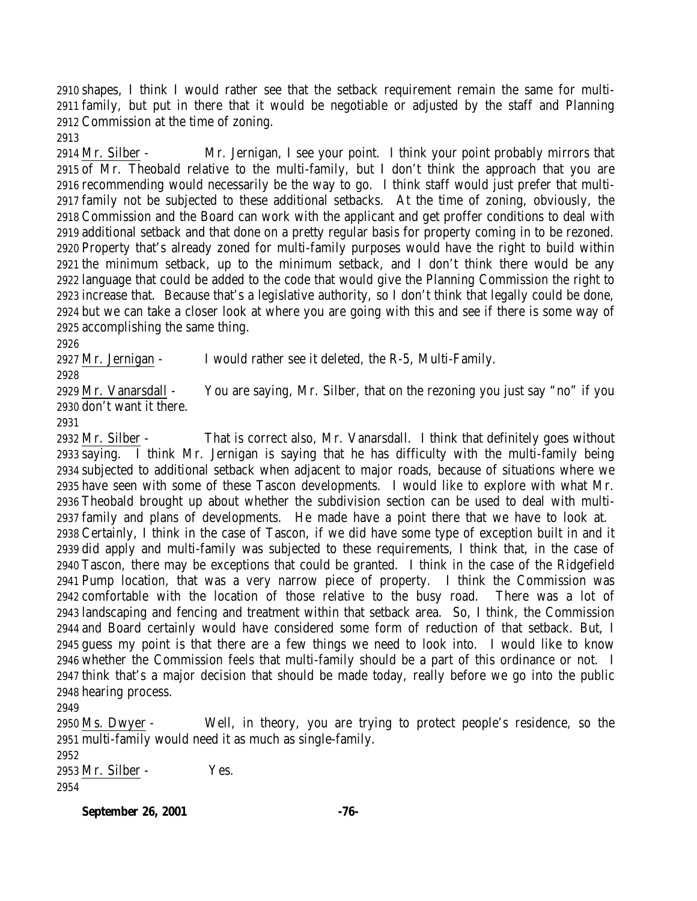shapes, I think I would rather see that the setback requirement remain the same for multi- family, but put in there that it would be negotiable or adjusted by the staff and Planning Commission at the time of zoning.

 Mr. Silber - Mr. Jernigan, I see your point. I think your point probably mirrors that of Mr. Theobald relative to the multi-family, but I don't think the approach that you are recommending would necessarily be the way to go. I think staff would just prefer that multi- family not be subjected to these additional setbacks. At the time of zoning, obviously, the Commission and the Board can work with the applicant and get proffer conditions to deal with additional setback and that done on a pretty regular basis for property coming in to be rezoned. Property that's already zoned for multi-family purposes would have the right to build within the minimum setback, up to the minimum setback, and I don't think there would be any language that could be added to the code that would give the Planning Commission the right to increase that. Because that's a legislative authority, so I don't think that legally could be done, but we can take a closer look at where you are going with this and see if there is some way of accomplishing the same thing.

Mr. Jernigan - I would rather see it deleted, the R-5, Multi-Family.

 Mr. Vanarsdall - You are saying, Mr. Silber, that on the rezoning you just say "no" if you don't want it there.

 Mr. Silber - That is correct also, Mr. Vanarsdall. I think that definitely goes without saying. I think Mr. Jernigan is saying that he has difficulty with the multi-family being subjected to additional setback when adjacent to major roads, because of situations where we have seen with some of these Tascon developments. I would like to explore with what Mr. Theobald brought up about whether the subdivision section can be used to deal with multi- family and plans of developments. He made have a point there that we have to look at. Certainly, I think in the case of Tascon, if we did have some type of exception built in and it did apply and multi-family was subjected to these requirements, I think that, in the case of Tascon, there may be exceptions that could be granted. I think in the case of the Ridgefield Pump location, that was a very narrow piece of property. I think the Commission was comfortable with the location of those relative to the busy road. There was a lot of landscaping and fencing and treatment within that setback area. So, I think, the Commission and Board certainly would have considered some form of reduction of that setback. But, I guess my point is that there are a few things we need to look into. I would like to know whether the Commission feels that multi-family should be a part of this ordinance or not. I think that's a major decision that should be made today, really before we go into the public hearing process.

 Ms. Dwyer - Well, in theory, you are trying to protect people's residence, so the multi-family would need it as much as single-family.

 Mr. Silber - Yes. 

#### **September 26, 2001 -76-**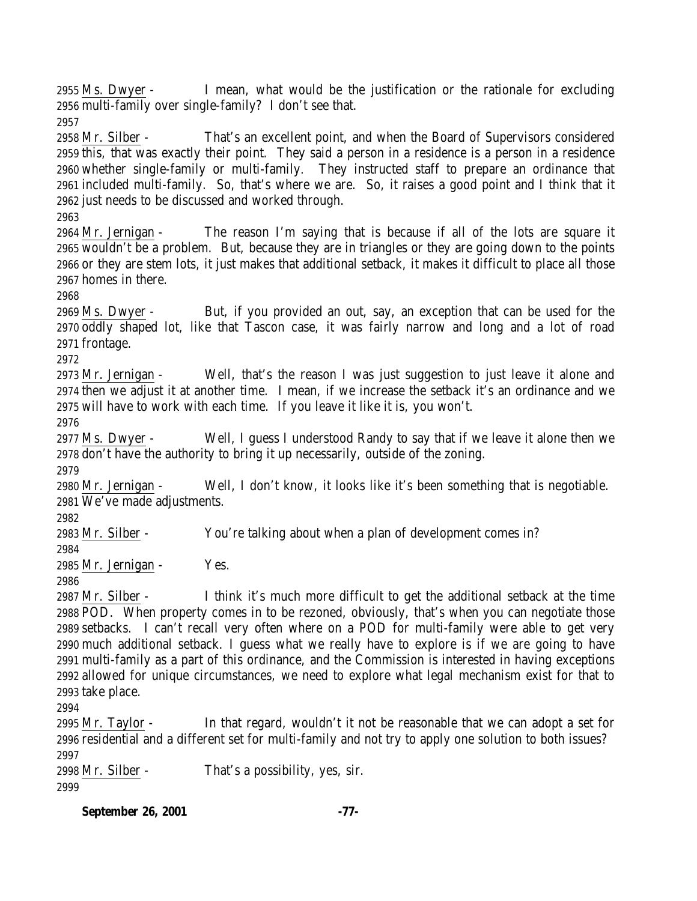**September 26, 2001 -77-** Ms. Dwyer - I mean, what would be the justification or the rationale for excluding multi-family over single-family? I don't see that. Mr. Silber - That's an excellent point, and when the Board of Supervisors considered this, that was exactly their point. They said a person in a residence is a person in a residence whether single-family or multi-family. They instructed staff to prepare an ordinance that included multi-family. So, that's where we are. So, it raises a good point and I think that it just needs to be discussed and worked through. Mr. Jernigan - The reason I'm saying that is because if all of the lots are square it wouldn't be a problem. But, because they are in triangles or they are going down to the points or they are stem lots, it just makes that additional setback, it makes it difficult to place all those homes in there. Ms. Dwyer - But, if you provided an out, say, an exception that can be used for the oddly shaped lot, like that Tascon case, it was fairly narrow and long and a lot of road frontage. Mr. Jernigan - Well, that's the reason I was just suggestion to just leave it alone and then we adjust it at another time. I mean, if we increase the setback it's an ordinance and we will have to work with each time. If you leave it like it is, you won't. Ms. Dwyer - Well, I guess I understood Randy to say that if we leave it alone then we don't have the authority to bring it up necessarily, outside of the zoning. Mr. Jernigan - Well, I don't know, it looks like it's been something that is negotiable. We've made adjustments. Mr. Silber - You're talking about when a plan of development comes in? Mr. Jernigan - Yes. Mr. Silber - I think it's much more difficult to get the additional setback at the time POD. When property comes in to be rezoned, obviously, that's when you can negotiate those setbacks. I can't recall very often where on a POD for multi-family were able to get very much additional setback. I guess what we really have to explore is if we are going to have multi-family as a part of this ordinance, and the Commission is interested in having exceptions allowed for unique circumstances, we need to explore what legal mechanism exist for that to take place. Mr. Taylor - In that regard, wouldn't it not be reasonable that we can adopt a set for residential and a different set for multi-family and not try to apply one solution to both issues? Mr. Silber - That's a possibility, yes, sir.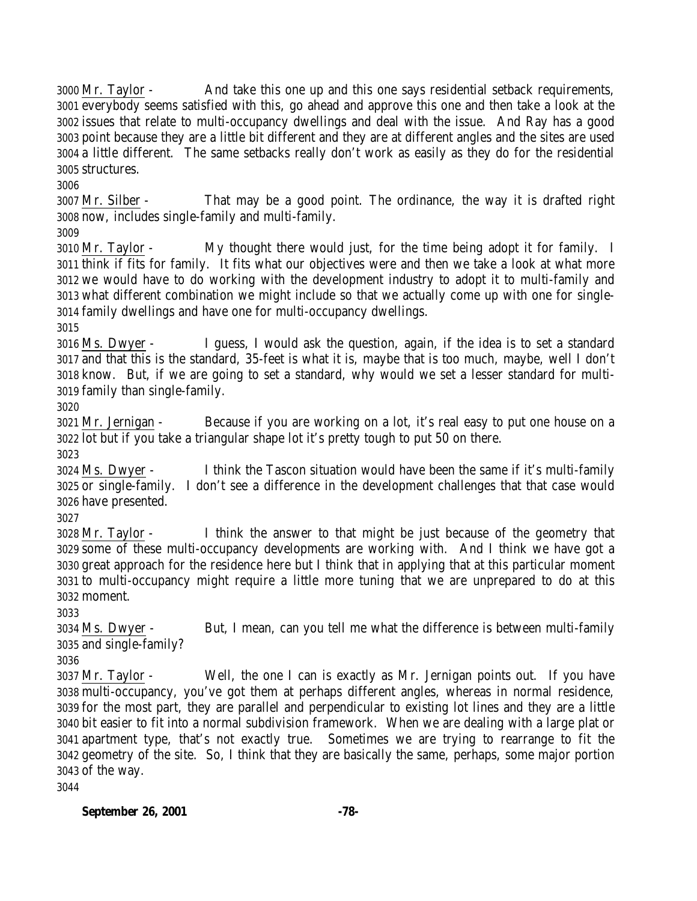Mr. Taylor - And take this one up and this one says residential setback requirements, everybody seems satisfied with this, go ahead and approve this one and then take a look at the issues that relate to multi-occupancy dwellings and deal with the issue. And Ray has a good point because they are a little bit different and they are at different angles and the sites are used a little different. The same setbacks really don't work as easily as they do for the residential structures.

 Mr. Silber - That may be a good point. The ordinance, the way it is drafted right now, includes single-family and multi-family.

 Mr. Taylor - My thought there would just, for the time being adopt it for family. I think if fits for family. It fits what our objectives were and then we take a look at what more we would have to do working with the development industry to adopt it to multi-family and what different combination we might include so that we actually come up with one for single-family dwellings and have one for multi-occupancy dwellings.

 Ms. Dwyer - I guess, I would ask the question, again, if the idea is to set a standard and that this is the standard, 35-feet is what it is, maybe that is too much, maybe, well I don't know. But, if we are going to set a standard, why would we set a lesser standard for multi-family than single-family.

 Mr. Jernigan - Because if you are working on a lot, it's real easy to put one house on a lot but if you take a triangular shape lot it's pretty tough to put 50 on there.

 Ms. Dwyer - I think the Tascon situation would have been the same if it's multi-family or single-family. I don't see a difference in the development challenges that that case would have presented.

 Mr. Taylor - I think the answer to that might be just because of the geometry that some of these multi-occupancy developments are working with. And I think we have got a great approach for the residence here but I think that in applying that at this particular moment to multi-occupancy might require a little more tuning that we are unprepared to do at this moment.

 Ms. Dwyer - But, I mean, can you tell me what the difference is between multi-family and single-family?

 Mr. Taylor - Well, the one I can is exactly as Mr. Jernigan points out. If you have multi-occupancy, you've got them at perhaps different angles, whereas in normal residence, for the most part, they are parallel and perpendicular to existing lot lines and they are a little bit easier to fit into a normal subdivision framework. When we are dealing with a large plat or apartment type, that's not exactly true. Sometimes we are trying to rearrange to fit the geometry of the site. So, I think that they are basically the same, perhaps, some major portion of the way.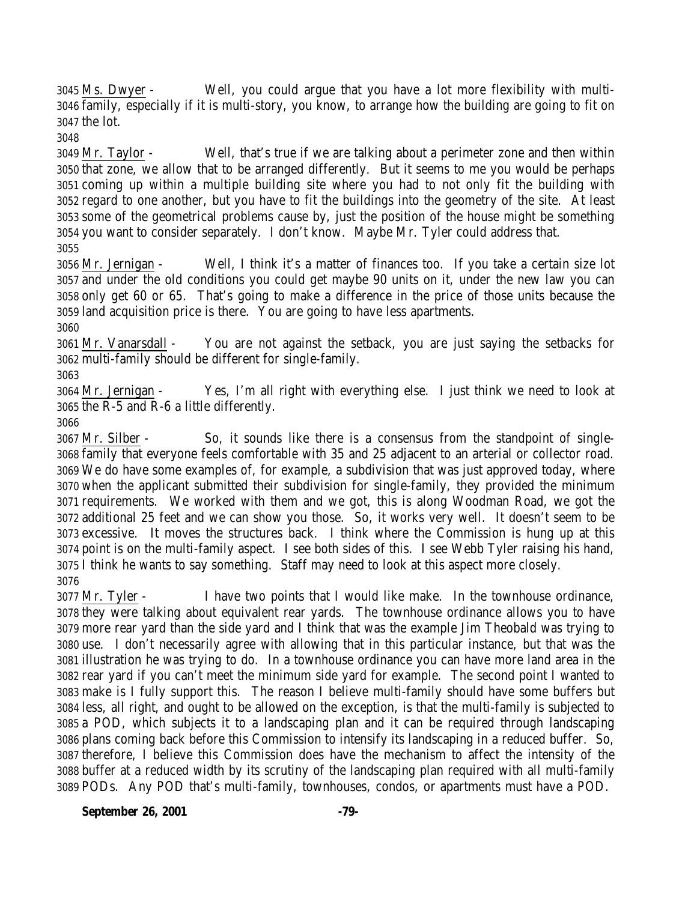Ms. Dwyer - Well, you could argue that you have a lot more flexibility with multi- family, especially if it is multi-story, you know, to arrange how the building are going to fit on the lot.

 Mr. Taylor - Well, that's true if we are talking about a perimeter zone and then within that zone, we allow that to be arranged differently. But it seems to me you would be perhaps coming up within a multiple building site where you had to not only fit the building with regard to one another, but you have to fit the buildings into the geometry of the site. At least some of the geometrical problems cause by, just the position of the house might be something you want to consider separately. I don't know. Maybe Mr. Tyler could address that. 

 Mr. Jernigan - Well, I think it's a matter of finances too. If you take a certain size lot and under the old conditions you could get maybe 90 units on it, under the new law you can only get 60 or 65. That's going to make a difference in the price of those units because the land acquisition price is there. You are going to have less apartments.

 Mr. Vanarsdall - You are not against the setback, you are just saying the setbacks for multi-family should be different for single-family.

 Mr. Jernigan - Yes, I'm all right with everything else. I just think we need to look at the R-5 and R-6 a little differently.

 Mr. Silber - So, it sounds like there is a consensus from the standpoint of single- family that everyone feels comfortable with 35 and 25 adjacent to an arterial or collector road. We do have some examples of, for example, a subdivision that was just approved today, where when the applicant submitted their subdivision for single-family, they provided the minimum requirements. We worked with them and we got, this is along Woodman Road, we got the additional 25 feet and we can show you those. So, it works very well. It doesn't seem to be excessive. It moves the structures back. I think where the Commission is hung up at this point is on the multi-family aspect. I see both sides of this. I see Webb Tyler raising his hand, I think he wants to say something. Staff may need to look at this aspect more closely. 

 Mr. Tyler - I have two points that I would like make. In the townhouse ordinance, they were talking about equivalent rear yards. The townhouse ordinance allows you to have more rear yard than the side yard and I think that was the example Jim Theobald was trying to use. I don't necessarily agree with allowing that in this particular instance, but that was the illustration he was trying to do. In a townhouse ordinance you can have more land area in the rear yard if you can't meet the minimum side yard for example. The second point I wanted to make is I fully support this. The reason I believe multi-family should have some buffers but less, all right, and ought to be allowed on the exception, is that the multi-family is subjected to a POD, which subjects it to a landscaping plan and it can be required through landscaping plans coming back before this Commission to intensify its landscaping in a reduced buffer. So, therefore, I believe this Commission does have the mechanism to affect the intensity of the buffer at a reduced width by its scrutiny of the landscaping plan required with all multi-family PODs. Any POD that's multi-family, townhouses, condos, or apartments must have a POD.

**September 26, 2001 -79-**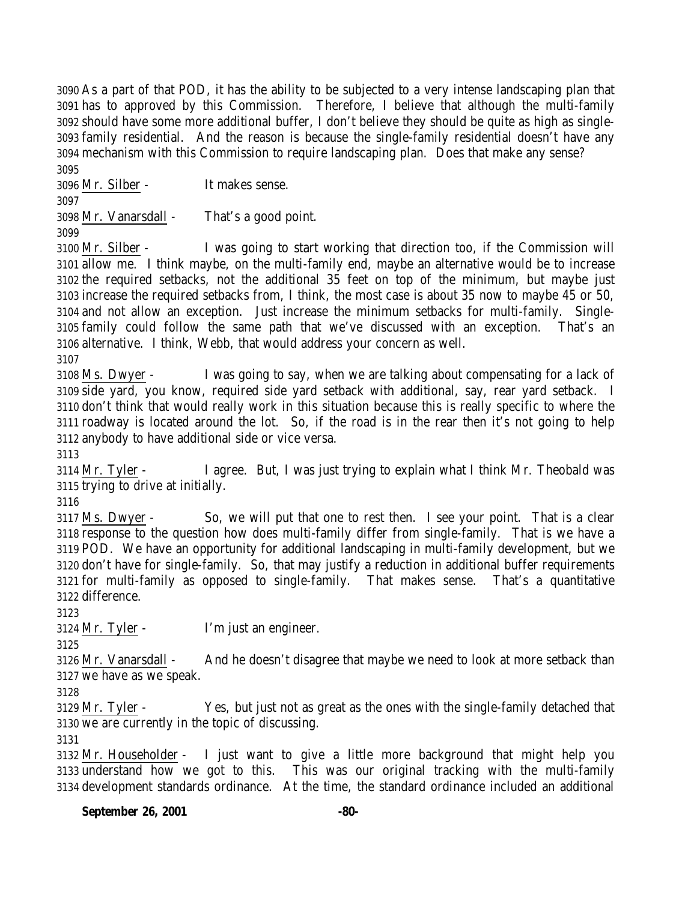As a part of that POD, it has the ability to be subjected to a very intense landscaping plan that has to approved by this Commission. Therefore, I believe that although the multi-family should have some more additional buffer, I don't believe they should be quite as high as single- family residential. And the reason is because the single-family residential doesn't have any mechanism with this Commission to require landscaping plan. Does that make any sense? 

Mr. Silber - It makes sense.

Mr. Vanarsdall - That's a good point.

 Mr. Silber - I was going to start working that direction too, if the Commission will allow me. I think maybe, on the multi-family end, maybe an alternative would be to increase the required setbacks, not the additional 35 feet on top of the minimum, but maybe just increase the required setbacks from, I think, the most case is about 35 now to maybe 45 or 50, and not allow an exception. Just increase the minimum setbacks for multi-family. Single- family could follow the same path that we've discussed with an exception. That's an alternative. I think, Webb, that would address your concern as well.

 Ms. Dwyer - I was going to say, when we are talking about compensating for a lack of side yard, you know, required side yard setback with additional, say, rear yard setback. I don't think that would really work in this situation because this is really specific to where the roadway is located around the lot. So, if the road is in the rear then it's not going to help anybody to have additional side or vice versa.

 Mr. Tyler - I agree. But, I was just trying to explain what I think Mr. Theobald was trying to drive at initially.

 Ms. Dwyer - So, we will put that one to rest then. I see your point. That is a clear response to the question how does multi-family differ from single-family. That is we have a POD. We have an opportunity for additional landscaping in multi-family development, but we don't have for single-family. So, that may justify a reduction in additional buffer requirements for multi-family as opposed to single-family. That makes sense. That's a quantitative difference.

Mr. Tyler - I'm just an engineer.

 Mr. Vanarsdall - And he doesn't disagree that maybe we need to look at more setback than we have as we speak.

 Mr. Tyler - Yes, but just not as great as the ones with the single-family detached that we are currently in the topic of discussing.

 Mr. Householder - I just want to give a little more background that might help you understand how we got to this. This was our original tracking with the multi-family development standards ordinance. At the time, the standard ordinance included an additional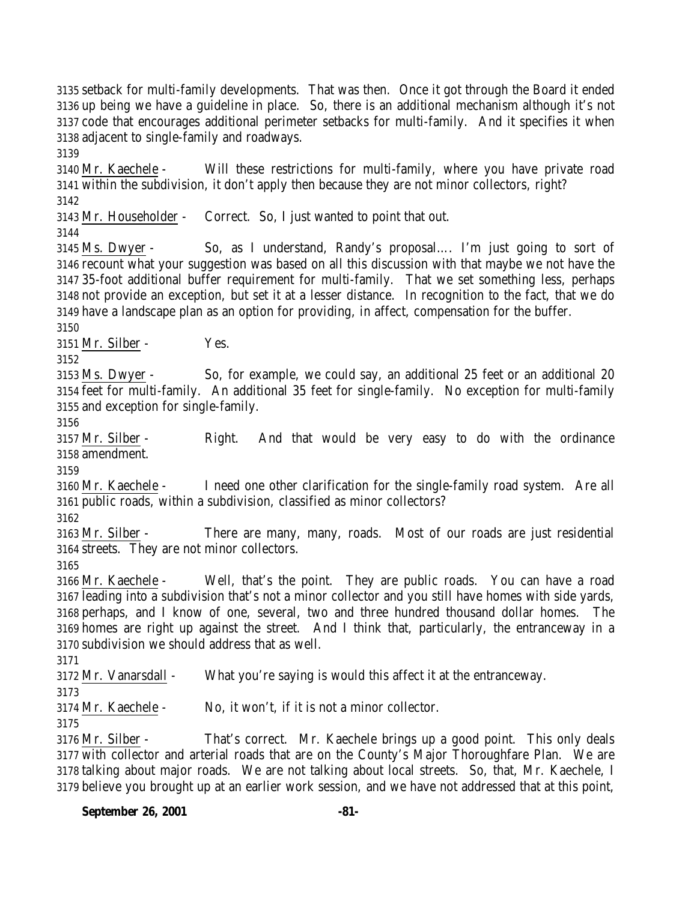setback for multi-family developments. That was then. Once it got through the Board it ended up being we have a guideline in place. So, there is an additional mechanism although it's not code that encourages additional perimeter setbacks for multi-family. And it specifies it when adjacent to single-family and roadways.

 Mr. Kaechele - Will these restrictions for multi-family, where you have private road within the subdivision, it don't apply then because they are not minor collectors, right?

Mr. Householder - Correct. So, I just wanted to point that out.

 Ms. Dwyer - So, as I understand, Randy's proposal…. I'm just going to sort of recount what your suggestion was based on all this discussion with that maybe we not have the 35-foot additional buffer requirement for multi-family. That we set something less, perhaps not provide an exception, but set it at a lesser distance. In recognition to the fact, that we do have a landscape plan as an option for providing, in affect, compensation for the buffer.

Mr. Silber - Yes.

 Ms. Dwyer - So, for example, we could say, an additional 25 feet or an additional 20 feet for multi-family. An additional 35 feet for single-family. No exception for multi-family and exception for single-family.

 Mr. Silber - Right. And that would be very easy to do with the ordinance amendment.

 Mr. Kaechele - I need one other clarification for the single-family road system. Are all public roads, within a subdivision, classified as minor collectors?

 Mr. Silber - There are many, many, roads. Most of our roads are just residential streets. They are not minor collectors.

 Mr. Kaechele - Well, that's the point. They are public roads. You can have a road leading into a subdivision that's not a minor collector and you still have homes with side yards, perhaps, and I know of one, several, two and three hundred thousand dollar homes. The homes are right up against the street. And I think that, particularly, the entranceway in a subdivision we should address that as well.

Mr. Vanarsdall - What you're saying is would this affect it at the entranceway.

Mr. Kaechele - No, it won't, if it is not a minor collector.

 Mr. Silber - That's correct. Mr. Kaechele brings up a good point. This only deals with collector and arterial roads that are on the County's Major Thoroughfare Plan. We are talking about major roads. We are not talking about local streets. So, that, Mr. Kaechele, I believe you brought up at an earlier work session, and we have not addressed that at this point,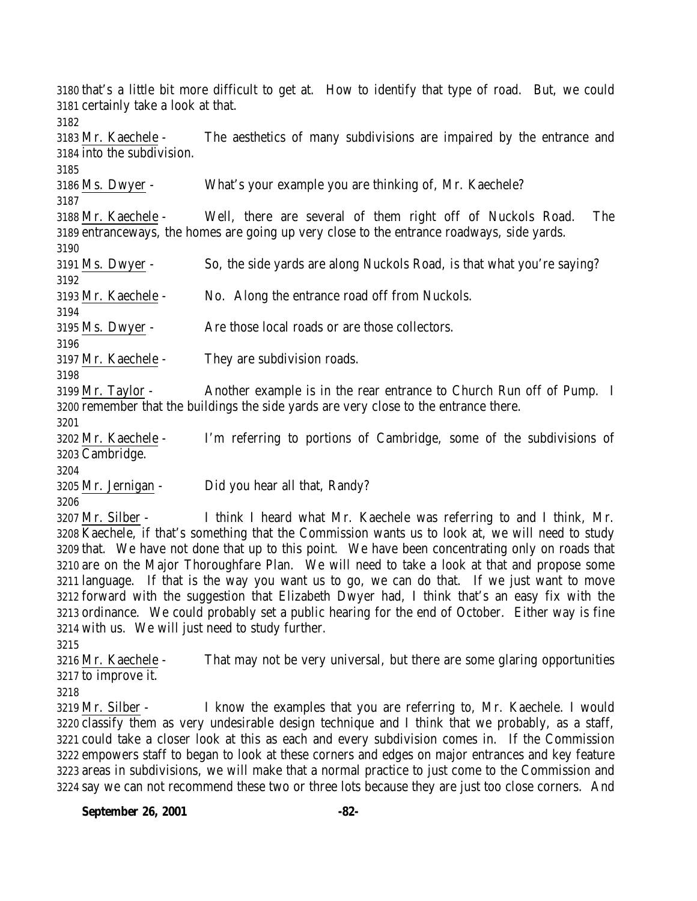that's a little bit more difficult to get at. How to identify that type of road. But, we could certainly take a look at that. Mr. Kaechele - The aesthetics of many subdivisions are impaired by the entrance and into the subdivision. Ms. Dwyer - What's your example you are thinking of, Mr. Kaechele? Mr. Kaechele - Well, there are several of them right off of Nuckols Road. The entranceways, the homes are going up very close to the entrance roadways, side yards. Ms. Dwyer - So, the side yards are along Nuckols Road, is that what you're saying? Mr. Kaechele - No. Along the entrance road off from Nuckols. Ms. Dwyer - Are those local roads or are those collectors. Mr. Kaechele - They are subdivision roads. Mr. Taylor - Another example is in the rear entrance to Church Run off of Pump. I remember that the buildings the side yards are very close to the entrance there. Mr. Kaechele - I'm referring to portions of Cambridge, some of the subdivisions of Cambridge. Mr. Jernigan - Did you hear all that, Randy? Mr. Silber - I think I heard what Mr. Kaechele was referring to and I think, Mr. Kaechele, if that's something that the Commission wants us to look at, we will need to study that. We have not done that up to this point. We have been concentrating only on roads that are on the Major Thoroughfare Plan. We will need to take a look at that and propose some

 language. If that is the way you want us to go, we can do that. If we just want to move forward with the suggestion that Elizabeth Dwyer had, I think that's an easy fix with the ordinance. We could probably set a public hearing for the end of October. Either way is fine with us. We will just need to study further.

 Mr. Kaechele - That may not be very universal, but there are some glaring opportunities to improve it.

 Mr. Silber - I know the examples that you are referring to, Mr. Kaechele. I would classify them as very undesirable design technique and I think that we probably, as a staff, could take a closer look at this as each and every subdivision comes in. If the Commission empowers staff to began to look at these corners and edges on major entrances and key feature areas in subdivisions, we will make that a normal practice to just come to the Commission and say we can not recommend these two or three lots because they are just too close corners. And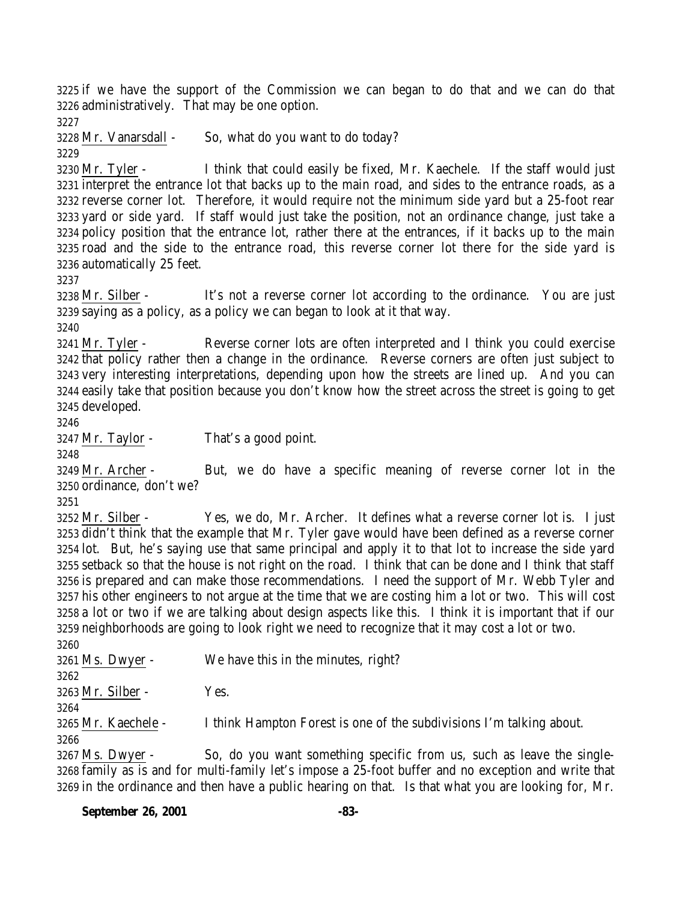if we have the support of the Commission we can began to do that and we can do that administratively. That may be one option.

Mr. Vanarsdall - So, what do you want to do today?

 Mr. Tyler - I think that could easily be fixed, Mr. Kaechele. If the staff would just interpret the entrance lot that backs up to the main road, and sides to the entrance roads, as a reverse corner lot. Therefore, it would require not the minimum side yard but a 25-foot rear yard or side yard. If staff would just take the position, not an ordinance change, just take a policy position that the entrance lot, rather there at the entrances, if it backs up to the main road and the side to the entrance road, this reverse corner lot there for the side yard is automatically 25 feet.

 Mr. Silber - It's not a reverse corner lot according to the ordinance. You are just saying as a policy, as a policy we can began to look at it that way.

 Mr. Tyler - Reverse corner lots are often interpreted and I think you could exercise that policy rather then a change in the ordinance. Reverse corners are often just subject to very interesting interpretations, depending upon how the streets are lined up. And you can easily take that position because you don't know how the street across the street is going to get developed.

Mr. Taylor - That's a good point.

 Mr. Archer - But, we do have a specific meaning of reverse corner lot in the ordinance, don't we?

 Mr. Silber - Yes, we do, Mr. Archer. It defines what a reverse corner lot is. I just didn't think that the example that Mr. Tyler gave would have been defined as a reverse corner lot. But, he's saying use that same principal and apply it to that lot to increase the side yard setback so that the house is not right on the road. I think that can be done and I think that staff is prepared and can make those recommendations. I need the support of Mr. Webb Tyler and his other engineers to not argue at the time that we are costing him a lot or two. This will cost a lot or two if we are talking about design aspects like this. I think it is important that if our neighborhoods are going to look right we need to recognize that it may cost a lot or two.

 Ms. Dwyer - We have this in the minutes, right? Mr. Silber - Yes. Mr. Kaechele - I think Hampton Forest is one of the subdivisions I'm talking about. Ms. Dwyer - So, do you want something specific from us, such as leave the single-family as is and for multi-family let's impose a 25-foot buffer and no exception and write that

in the ordinance and then have a public hearing on that. Is that what you are looking for, Mr.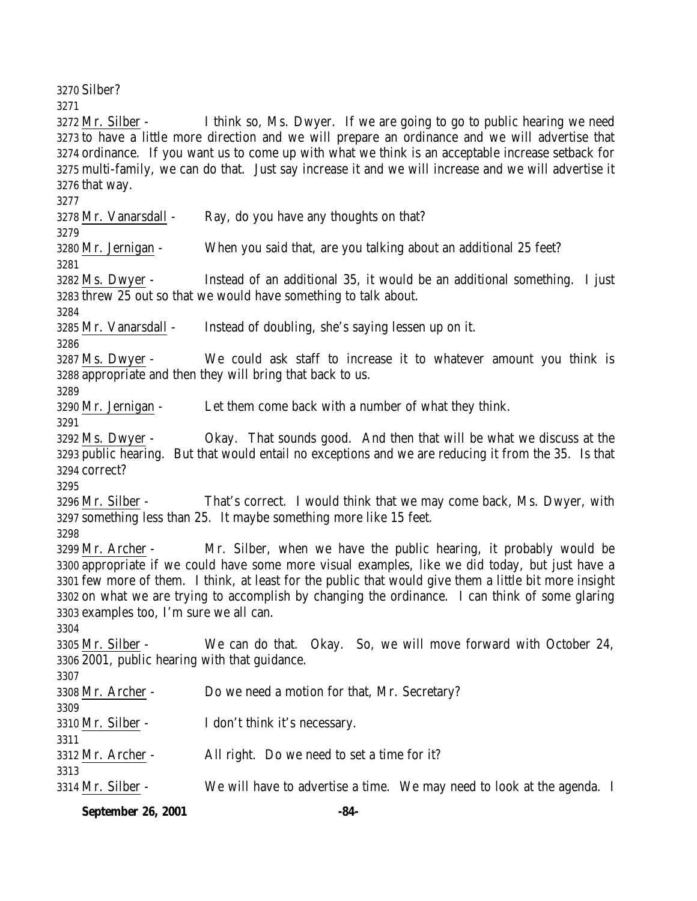Silber? Mr. Silber - I think so, Ms. Dwyer. If we are going to go to public hearing we need to have a little more direction and we will prepare an ordinance and we will advertise that ordinance. If you want us to come up with what we think is an acceptable increase setback for multi-family, we can do that. Just say increase it and we will increase and we will advertise it that way. Mr. Vanarsdall - Ray, do you have any thoughts on that? Mr. Jernigan - When you said that, are you talking about an additional 25 feet? Ms. Dwyer - Instead of an additional 35, it would be an additional something. I just threw 25 out so that we would have something to talk about. Mr. Vanarsdall - Instead of doubling, she's saying lessen up on it. Ms. Dwyer - We could ask staff to increase it to whatever amount you think is appropriate and then they will bring that back to us. Mr. Jernigan - Let them come back with a number of what they think. Ms. Dwyer - Okay. That sounds good. And then that will be what we discuss at the public hearing. But that would entail no exceptions and we are reducing it from the 35. Is that correct? Mr. Silber - That's correct. I would think that we may come back, Ms. Dwyer, with something less than 25. It maybe something more like 15 feet. Mr. Archer - Mr. Silber, when we have the public hearing, it probably would be appropriate if we could have some more visual examples, like we did today, but just have a few more of them. I think, at least for the public that would give them a little bit more insight on what we are trying to accomplish by changing the ordinance. I can think of some glaring examples too, I'm sure we all can. Mr. Silber - We can do that. Okay. So, we will move forward with October 24, 2001, public hearing with that guidance. Mr. Archer - Do we need a motion for that, Mr. Secretary? Mr. Silber - I don't think it's necessary. Mr. Archer - All right. Do we need to set a time for it? Mr. Silber - We will have to advertise a time. We may need to look at the agenda. I

**September 26, 2001 -84-**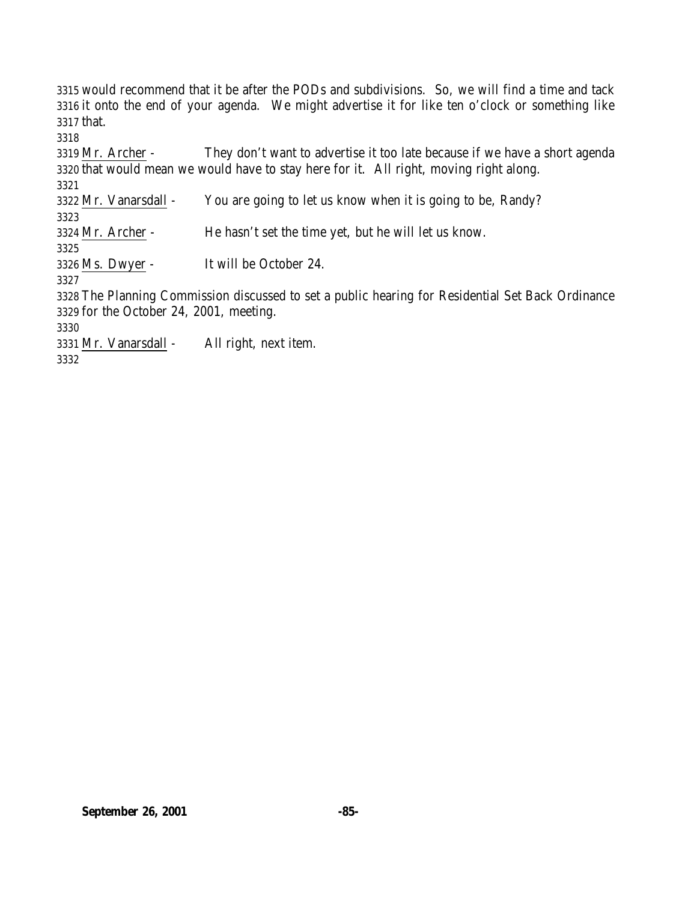would recommend that it be after the PODs and subdivisions. So, we will find a time and tack it onto the end of your agenda. We might advertise it for like ten o'clock or something like that. 

 Mr. Archer - They don't want to advertise it too late because if we have a short agenda that would mean we would have to stay here for it. All right, moving right along. Mr. Vanarsdall - You are going to let us know when it is going to be, Randy? Mr. Archer - He hasn't set the time yet, but he will let us know. Ms. Dwyer - It will be October 24. The Planning Commission discussed to set a public hearing for Residential Set Back Ordinance for the October 24, 2001, meeting. Mr. Vanarsdall - All right, next item.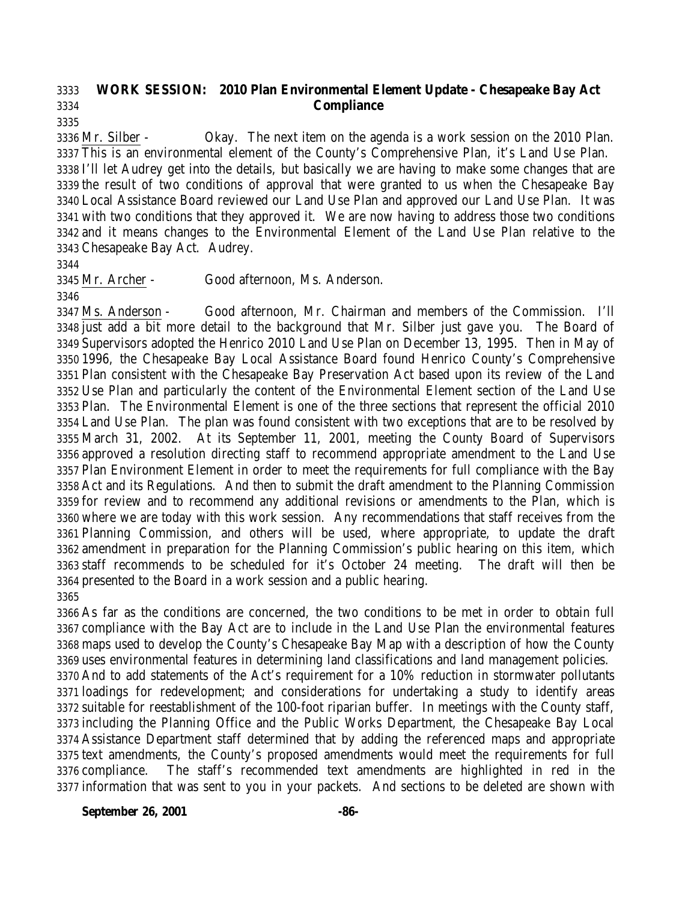### **WORK SESSION: 2010 Plan Environmental Element Update - Chesapeake Bay Act Compliance**

 Mr. Silber - Okay. The next item on the agenda is a work session on the 2010 Plan. This is an environmental element of the County's Comprehensive Plan, it's Land Use Plan. I'll let Audrey get into the details, but basically we are having to make some changes that are the result of two conditions of approval that were granted to us when the Chesapeake Bay Local Assistance Board reviewed our Land Use Plan and approved our Land Use Plan. It was with two conditions that they approved it. We are now having to address those two conditions and it means changes to the Environmental Element of the Land Use Plan relative to the Chesapeake Bay Act. Audrey.

Mr. Archer - Good afternoon, Ms. Anderson.

 Ms. Anderson - Good afternoon, Mr. Chairman and members of the Commission. I'll just add a bit more detail to the background that Mr. Silber just gave you. The Board of Supervisors adopted the Henrico 2010 Land Use Plan on December 13, 1995. Then in May of 1996, the Chesapeake Bay Local Assistance Board found Henrico County's Comprehensive Plan consistent with the Chesapeake Bay Preservation Act based upon its review of the Land Use Plan and particularly the content of the Environmental Element section of the Land Use Plan. The Environmental Element is one of the three sections that represent the official 2010 Land Use Plan. The plan was found consistent with two exceptions that are to be resolved by March 31, 2002. At its September 11, 2001, meeting the County Board of Supervisors approved a resolution directing staff to recommend appropriate amendment to the Land Use Plan Environment Element in order to meet the requirements for full compliance with the Bay Act and its Regulations. And then to submit the draft amendment to the Planning Commission for review and to recommend any additional revisions or amendments to the Plan, which is where we are today with this work session. Any recommendations that staff receives from the Planning Commission, and others will be used, where appropriate, to update the draft amendment in preparation for the Planning Commission's public hearing on this item, which staff recommends to be scheduled for it's October 24 meeting. The draft will then be presented to the Board in a work session and a public hearing. 

 As far as the conditions are concerned, the two conditions to be met in order to obtain full compliance with the Bay Act are to include in the Land Use Plan the environmental features maps used to develop the County's Chesapeake Bay Map with a description of how the County uses environmental features in determining land classifications and land management policies.

 And to add statements of the Act's requirement for a 10% reduction in stormwater pollutants loadings for redevelopment; and considerations for undertaking a study to identify areas suitable for reestablishment of the 100-foot riparian buffer. In meetings with the County staff, including the Planning Office and the Public Works Department, the Chesapeake Bay Local Assistance Department staff determined that by adding the referenced maps and appropriate text amendments, the County's proposed amendments would meet the requirements for full compliance. The staff's recommended text amendments are highlighted in red in the information that was sent to you in your packets. And sections to be deleted are shown with

**September 26, 2001 -86-**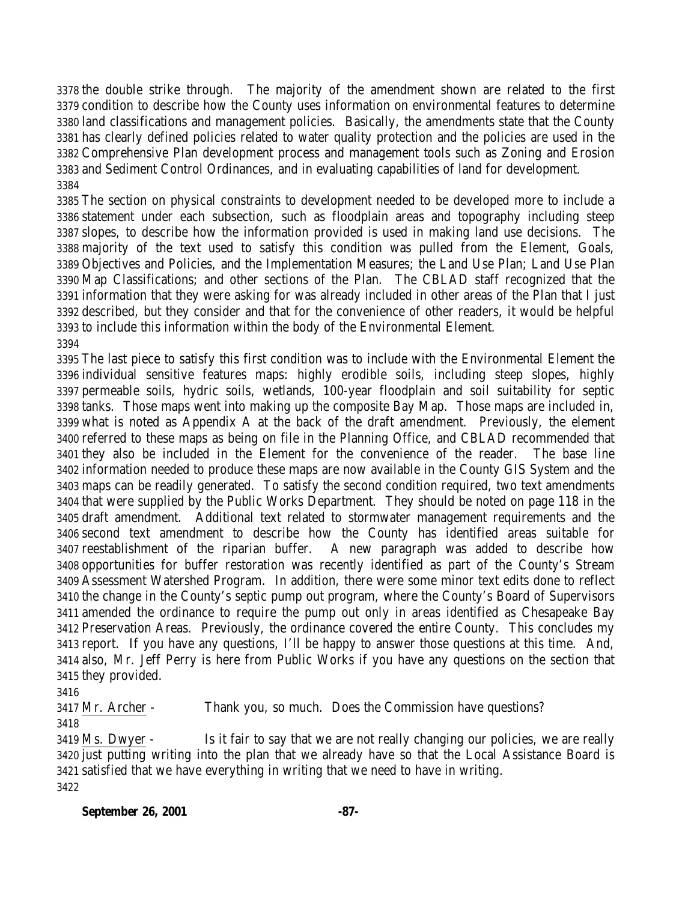the double strike through. The majority of the amendment shown are related to the first condition to describe how the County uses information on environmental features to determine land classifications and management policies. Basically, the amendments state that the County has clearly defined policies related to water quality protection and the policies are used in the Comprehensive Plan development process and management tools such as Zoning and Erosion and Sediment Control Ordinances, and in evaluating capabilities of land for development. 

 The section on physical constraints to development needed to be developed more to include a statement under each subsection, such as floodplain areas and topography including steep slopes, to describe how the information provided is used in making land use decisions. The majority of the text used to satisfy this condition was pulled from the Element, Goals, Objectives and Policies, and the Implementation Measures; the Land Use Plan; Land Use Plan Map Classifications; and other sections of the Plan. The CBLAD staff recognized that the information that they were asking for was already included in other areas of the Plan that I just described, but they consider and that for the convenience of other readers, it would be helpful to include this information within the body of the Environmental Element. 

 The last piece to satisfy this first condition was to include with the Environmental Element the individual sensitive features maps: highly erodible soils, including steep slopes, highly permeable soils, hydric soils, wetlands, 100-year floodplain and soil suitability for septic tanks. Those maps went into making up the composite Bay Map. Those maps are included in, what is noted as Appendix A at the back of the draft amendment. Previously, the element referred to these maps as being on file in the Planning Office, and CBLAD recommended that they also be included in the Element for the convenience of the reader. The base line information needed to produce these maps are now available in the County GIS System and the maps can be readily generated. To satisfy the second condition required, two text amendments that were supplied by the Public Works Department. They should be noted on page 118 in the draft amendment. Additional text related to stormwater management requirements and the second text amendment to describe how the County has identified areas suitable for reestablishment of the riparian buffer. A new paragraph was added to describe how opportunities for buffer restoration was recently identified as part of the County's Stream Assessment Watershed Program. In addition, there were some minor text edits done to reflect the change in the County's septic pump out program, where the County's Board of Supervisors amended the ordinance to require the pump out only in areas identified as Chesapeake Bay Preservation Areas. Previously, the ordinance covered the entire County. This concludes my report. If you have any questions, I'll be happy to answer those questions at this time. And, also, Mr. Jeff Perry is here from Public Works if you have any questions on the section that they provided.

 Mr. Archer - Thank you, so much. Does the Commission have questions? 

 Ms. Dwyer - Is it fair to say that we are not really changing our policies, we are really just putting writing into the plan that we already have so that the Local Assistance Board is satisfied that we have everything in writing that we need to have in writing.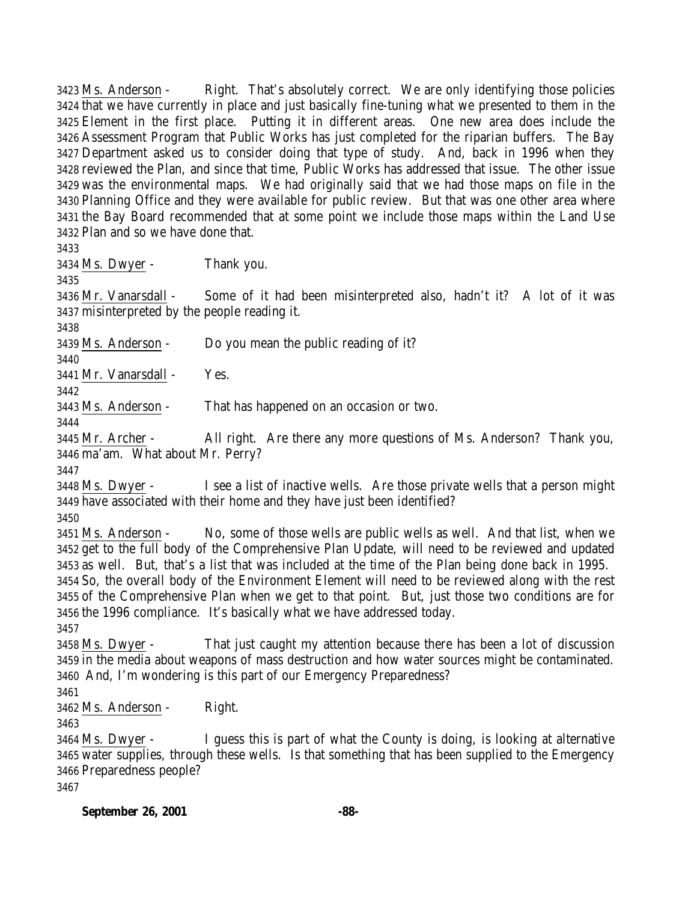Ms. Anderson - Right. That's absolutely correct. We are only identifying those policies that we have currently in place and just basically fine-tuning what we presented to them in the Element in the first place. Putting it in different areas. One new area does include the Assessment Program that Public Works has just completed for the riparian buffers. The Bay Department asked us to consider doing that type of study. And, back in 1996 when they reviewed the Plan, and since that time, Public Works has addressed that issue. The other issue was the environmental maps. We had originally said that we had those maps on file in the Planning Office and they were available for public review. But that was one other area where the Bay Board recommended that at some point we include those maps within the Land Use Plan and so we have done that.

Ms. Dwyer - Thank you.

 Mr. Vanarsdall - Some of it had been misinterpreted also, hadn't it? A lot of it was misinterpreted by the people reading it.

Ms. Anderson - Do you mean the public reading of it?

Mr. Vanarsdall - Yes.

Ms. Anderson - That has happened on an occasion or two.

 Mr. Archer - All right. Are there any more questions of Ms. Anderson? Thank you, ma'am. What about Mr. Perry?

 Ms. Dwyer - I see a list of inactive wells. Are those private wells that a person might have associated with their home and they have just been identified?

 Ms. Anderson - No, some of those wells are public wells as well. And that list, when we get to the full body of the Comprehensive Plan Update, will need to be reviewed and updated as well. But, that's a list that was included at the time of the Plan being done back in 1995. So, the overall body of the Environment Element will need to be reviewed along with the rest of the Comprehensive Plan when we get to that point. But, just those two conditions are for the 1996 compliance. It's basically what we have addressed today.

 Ms. Dwyer - That just caught my attention because there has been a lot of discussion in the media about weapons of mass destruction and how water sources might be contaminated. And, I'm wondering is this part of our Emergency Preparedness?

Ms. Anderson - Right.

 Ms. Dwyer - I guess this is part of what the County is doing, is looking at alternative water supplies, through these wells. Is that something that has been supplied to the Emergency Preparedness people? 

**September 26, 2001 -88-**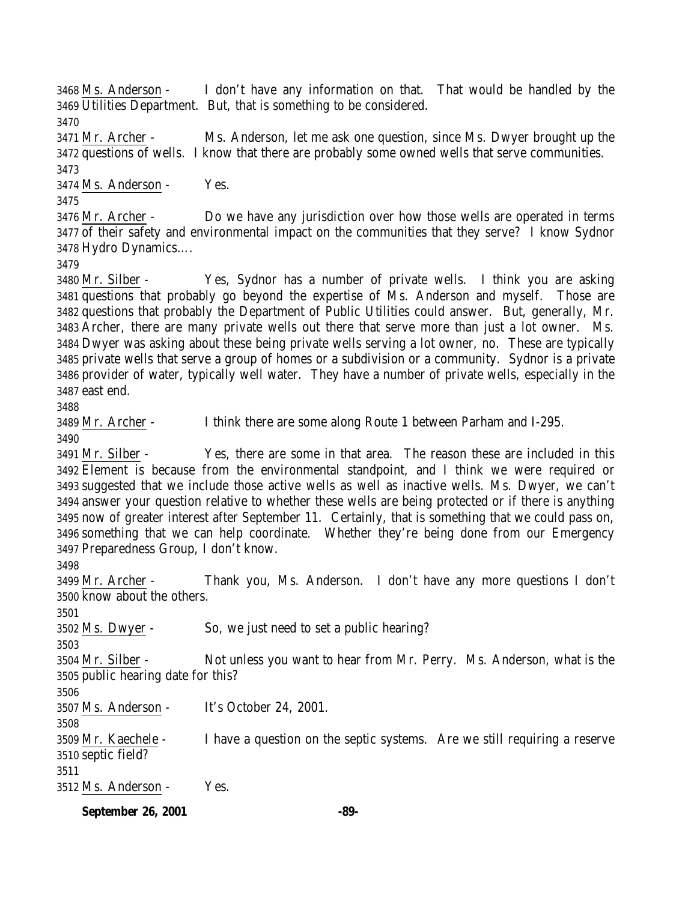Ms. Anderson - I don't have any information on that. That would be handled by the Utilities Department. But, that is something to be considered.

 Mr. Archer - Ms. Anderson, let me ask one question, since Ms. Dwyer brought up the questions of wells. I know that there are probably some owned wells that serve communities. 

Ms. Anderson - Yes.

 Mr. Archer - Do we have any jurisdiction over how those wells are operated in terms of their safety and environmental impact on the communities that they serve? I know Sydnor Hydro Dynamics….

 Mr. Silber - Yes, Sydnor has a number of private wells. I think you are asking questions that probably go beyond the expertise of Ms. Anderson and myself. Those are questions that probably the Department of Public Utilities could answer. But, generally, Mr. Archer, there are many private wells out there that serve more than just a lot owner. Ms. Dwyer was asking about these being private wells serving a lot owner, no. These are typically private wells that serve a group of homes or a subdivision or a community. Sydnor is a private provider of water, typically well water. They have a number of private wells, especially in the east end.

Mr. Archer - I think there are some along Route 1 between Parham and I-295.

 Mr. Silber - Yes, there are some in that area. The reason these are included in this Element is because from the environmental standpoint, and I think we were required or suggested that we include those active wells as well as inactive wells. Ms. Dwyer, we can't answer your question relative to whether these wells are being protected or if there is anything now of greater interest after September 11. Certainly, that is something that we could pass on, something that we can help coordinate. Whether they're being done from our Emergency Preparedness Group, I don't know.

 Mr. Archer - Thank you, Ms. Anderson. I don't have any more questions I don't know about the others.

Ms. Dwyer - So, we just need to set a public hearing?

 Mr. Silber - Not unless you want to hear from Mr. Perry. Ms. Anderson, what is the public hearing date for this?

 Ms. Anderson - It's October 24, 2001. 

 Mr. Kaechele - I have a question on the septic systems. Are we still requiring a reserve septic field?

Ms. Anderson - Yes.

**September 26, 2001 -89-**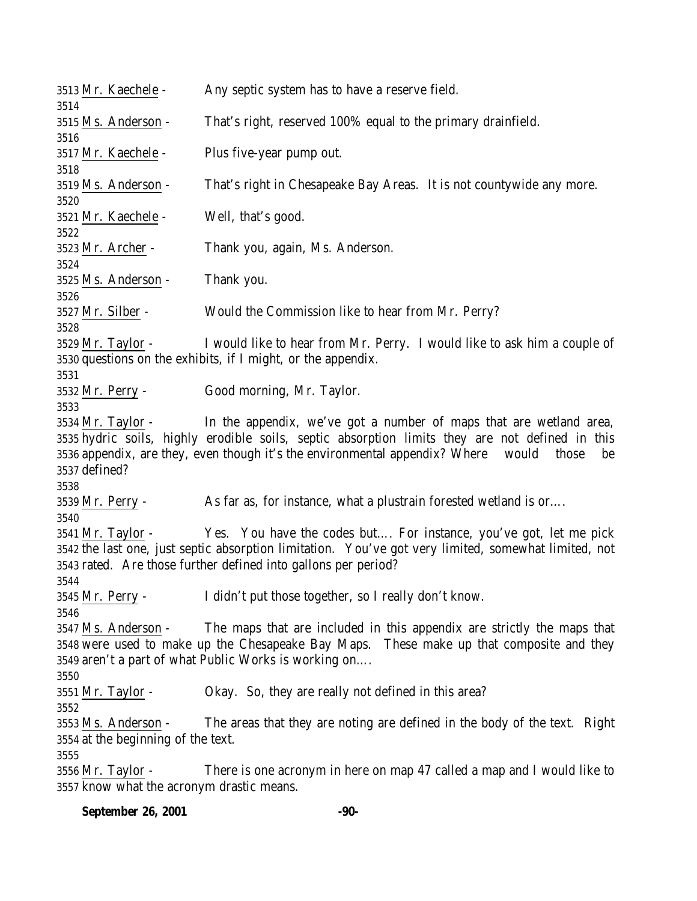| 3513 Mr. Kaechele -                                                           | Any septic system has to have a reserve field.                                                                                                                                                                                                                               |
|-------------------------------------------------------------------------------|------------------------------------------------------------------------------------------------------------------------------------------------------------------------------------------------------------------------------------------------------------------------------|
| 3514<br>3515 Ms. Anderson -                                                   | That's right, reserved 100% equal to the primary drainfield.                                                                                                                                                                                                                 |
| 3516<br>3517 Mr. Kaechele -                                                   | Plus five-year pump out.                                                                                                                                                                                                                                                     |
| 3518<br>3519 Ms. Anderson -                                                   | That's right in Chesapeake Bay Areas. It is not countywide any more.                                                                                                                                                                                                         |
| 3520<br>3521 Mr. Kaechele -                                                   | Well, that's good.                                                                                                                                                                                                                                                           |
| 3522<br>3523 Mr. Archer -                                                     | Thank you, again, Ms. Anderson.                                                                                                                                                                                                                                              |
| 3524<br>3525 Ms. Anderson -                                                   | Thank you.                                                                                                                                                                                                                                                                   |
| 3526<br>3527 Mr. Silber -                                                     | Would the Commission like to hear from Mr. Perry?                                                                                                                                                                                                                            |
| 3528<br>3529 Mr. Taylor -                                                     | I would like to hear from Mr. Perry. I would like to ask him a couple of<br>3530 questions on the exhibits, if I might, or the appendix.                                                                                                                                     |
| 3531<br>3532 Mr. Perry -                                                      | Good morning, Mr. Taylor.                                                                                                                                                                                                                                                    |
| 3533<br>3534 Mr. Taylor -<br>3537 defined?                                    | In the appendix, we've got a number of maps that are wetland area,<br>3535 hydric soils, highly erodible soils, septic absorption limits they are not defined in this<br>3536 appendix, are they, even though it's the environmental appendix? Where<br>would<br>those<br>be |
| 3538<br>3539 Mr. Perry -                                                      | As far as, for instance, what a plustrain forested wetland is or                                                                                                                                                                                                             |
| 3540<br>3541 Mr. Taylor -                                                     | Yes. You have the codes but For instance, you've got, let me pick<br>3542 the last one, just septic absorption limitation. You've got very limited, somewhat limited, not<br>3543 rated. Are those further defined into gallons per period?                                  |
| 3544<br>3545 Mr. Perry -                                                      | I didn't put those together, so I really don't know.                                                                                                                                                                                                                         |
| 3546<br>3547 Ms. Anderson -                                                   | The maps that are included in this appendix are strictly the maps that<br>3548 were used to make up the Chesapeake Bay Maps. These make up that composite and they<br>3549 aren't a part of what Public Works is working on                                                  |
| 3550<br>3551 Mr. Taylor -                                                     | Okay. So, they are really not defined in this area?                                                                                                                                                                                                                          |
| 3552<br>3553 Ms. Anderson -<br>3554 at the beginning of the text.             | The areas that they are noting are defined in the body of the text. Right                                                                                                                                                                                                    |
| 3555<br>3556 <u>Mr. Taylor</u> -<br>3557 know what the acronym drastic means. | There is one acronym in here on map 47 called a map and I would like to                                                                                                                                                                                                      |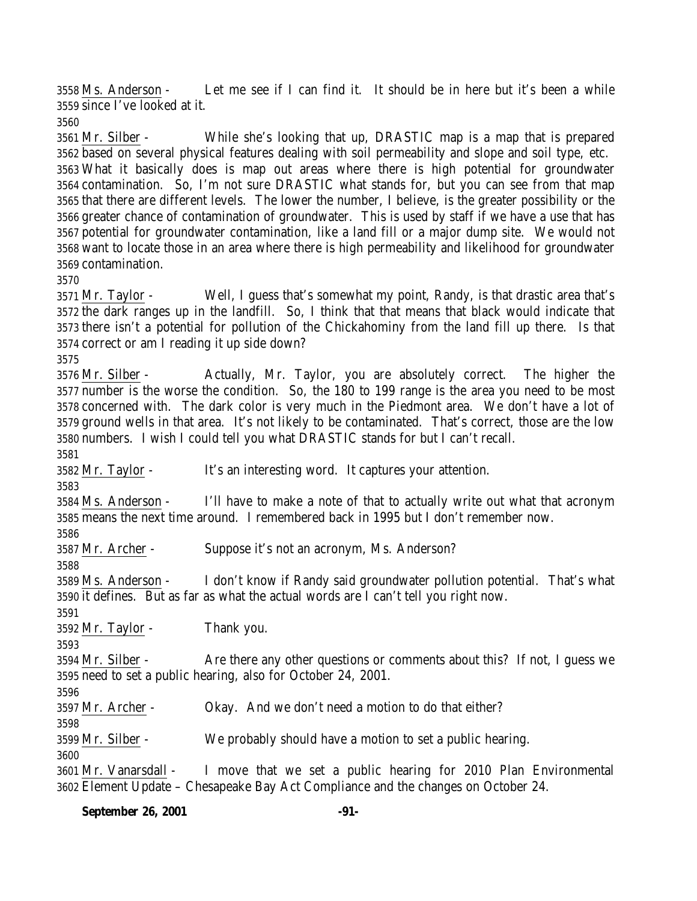Ms. Anderson - Let me see if I can find it. It should be in here but it's been a while since I've looked at it.

 Mr. Silber - While she's looking that up, DRASTIC map is a map that is prepared based on several physical features dealing with soil permeability and slope and soil type, etc. What it basically does is map out areas where there is high potential for groundwater contamination. So, I'm not sure DRASTIC what stands for, but you can see from that map that there are different levels. The lower the number, I believe, is the greater possibility or the greater chance of contamination of groundwater. This is used by staff if we have a use that has potential for groundwater contamination, like a land fill or a major dump site. We would not want to locate those in an area where there is high permeability and likelihood for groundwater contamination.

 Mr. Taylor - Well, I guess that's somewhat my point, Randy, is that drastic area that's the dark ranges up in the landfill. So, I think that that means that black would indicate that there isn't a potential for pollution of the Chickahominy from the land fill up there. Is that correct or am I reading it up side down?

 Mr. Silber - Actually, Mr. Taylor, you are absolutely correct. The higher the number is the worse the condition. So, the 180 to 199 range is the area you need to be most concerned with. The dark color is very much in the Piedmont area. We don't have a lot of ground wells in that area. It's not likely to be contaminated. That's correct, those are the low numbers. I wish I could tell you what DRASTIC stands for but I can't recall.

Mr. Taylor - It's an interesting word. It captures your attention.

 Ms. Anderson - I'll have to make a note of that to actually write out what that acronym means the next time around. I remembered back in 1995 but I don't remember now.

Mr. Archer - Suppose it's not an acronym, Ms. Anderson?

 Ms. Anderson - I don't know if Randy said groundwater pollution potential. That's what it defines. But as far as what the actual words are I can't tell you right now.

Mr. Taylor - Thank you.

 Mr. Silber - Are there any other questions or comments about this? If not, I guess we need to set a public hearing, also for October 24, 2001.

3597 Mr. Archer - Okay. And we don't need a motion to do that either?

Mr. Silber - We probably should have a motion to set a public hearing.

 Mr. Vanarsdall - I move that we set a public hearing for 2010 Plan Environmental Element Update – Chesapeake Bay Act Compliance and the changes on October 24.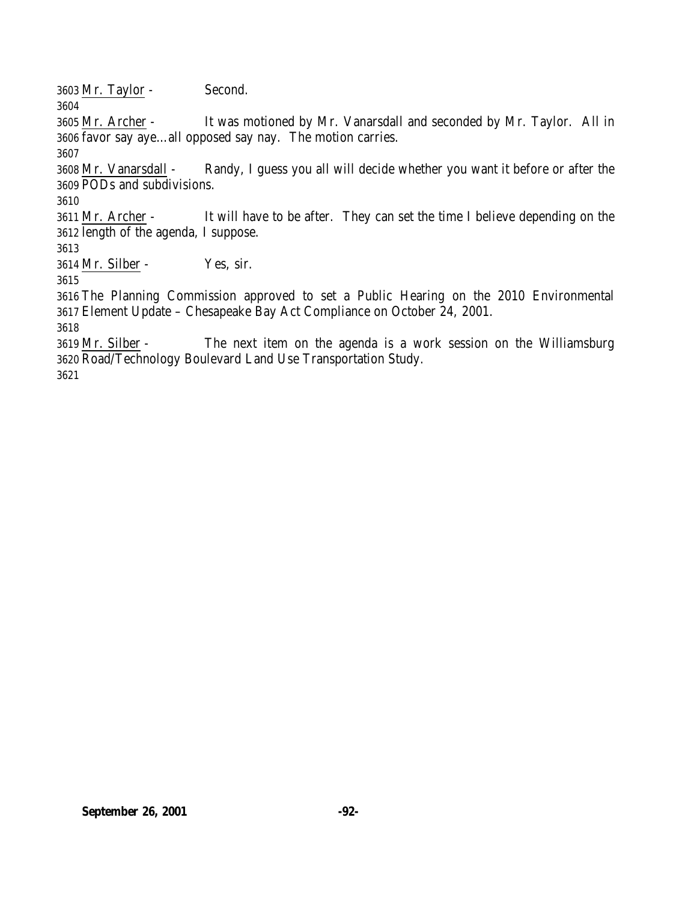Mr. Taylor - Second.

 Mr. Archer - It was motioned by Mr. Vanarsdall and seconded by Mr. Taylor. All in favor say aye…all opposed say nay. The motion carries.

 Mr. Vanarsdall - Randy, I guess you all will decide whether you want it before or after the PODs and subdivisions.

 Mr. Archer - It will have to be after. They can set the time I believe depending on the length of the agenda, I suppose.

Mr. Silber - Yes, sir.

 The Planning Commission approved to set a Public Hearing on the 2010 Environmental Element Update – Chesapeake Bay Act Compliance on October 24, 2001.

 Mr. Silber - The next item on the agenda is a work session on the Williamsburg Road/Technology Boulevard Land Use Transportation Study.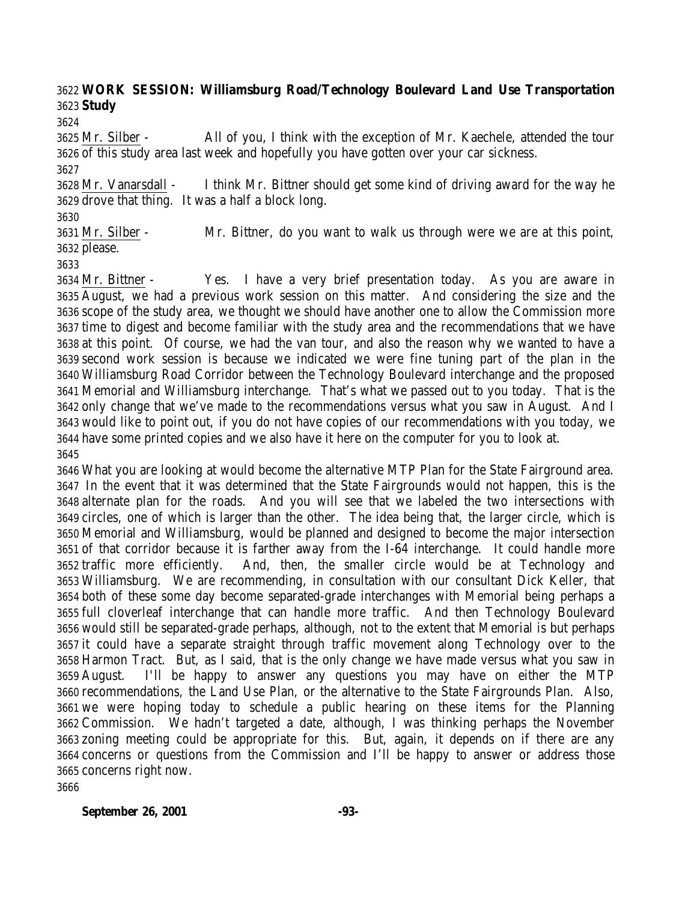# **WORK SESSION: Williamsburg Road/Technology Boulevard Land Use Transportation Study**

 Mr. Silber - All of you, I think with the exception of Mr. Kaechele, attended the tour of this study area last week and hopefully you have gotten over your car sickness. 

 Mr. Vanarsdall - I think Mr. Bittner should get some kind of driving award for the way he drove that thing. It was a half a block long.

 Mr. Silber - Mr. Bittner, do you want to walk us through were we are at this point, please.

 Mr. Bittner - Yes. I have a very brief presentation today. As you are aware in August, we had a previous work session on this matter. And considering the size and the scope of the study area, we thought we should have another one to allow the Commission more time to digest and become familiar with the study area and the recommendations that we have at this point. Of course, we had the van tour, and also the reason why we wanted to have a second work session is because we indicated we were fine tuning part of the plan in the Williamsburg Road Corridor between the Technology Boulevard interchange and the proposed Memorial and Williamsburg interchange. That's what we passed out to you today. That is the only change that we've made to the recommendations versus what you saw in August. And I would like to point out, if you do not have copies of our recommendations with you today, we have some printed copies and we also have it here on the computer for you to look at. 

 What you are looking at would become the alternative MTP Plan for the State Fairground area. In the event that it was determined that the State Fairgrounds would not happen, this is the alternate plan for the roads. And you will see that we labeled the two intersections with circles, one of which is larger than the other. The idea being that, the larger circle, which is Memorial and Williamsburg, would be planned and designed to become the major intersection of that corridor because it is farther away from the I-64 interchange. It could handle more traffic more efficiently. And, then, the smaller circle would be at Technology and Williamsburg. We are recommending, in consultation with our consultant Dick Keller, that both of these some day become separated-grade interchanges with Memorial being perhaps a full cloverleaf interchange that can handle more traffic. And then Technology Boulevard would still be separated-grade perhaps, although, not to the extent that Memorial is but perhaps it could have a separate straight through traffic movement along Technology over to the Harmon Tract. But, as I said, that is the only change we have made versus what you saw in August. I'll be happy to answer any questions you may have on either the MTP recommendations, the Land Use Plan, or the alternative to the State Fairgrounds Plan. Also, we were hoping today to schedule a public hearing on these items for the Planning Commission. We hadn't targeted a date, although, I was thinking perhaps the November zoning meeting could be appropriate for this. But, again, it depends on if there are any concerns or questions from the Commission and I'll be happy to answer or address those concerns right now.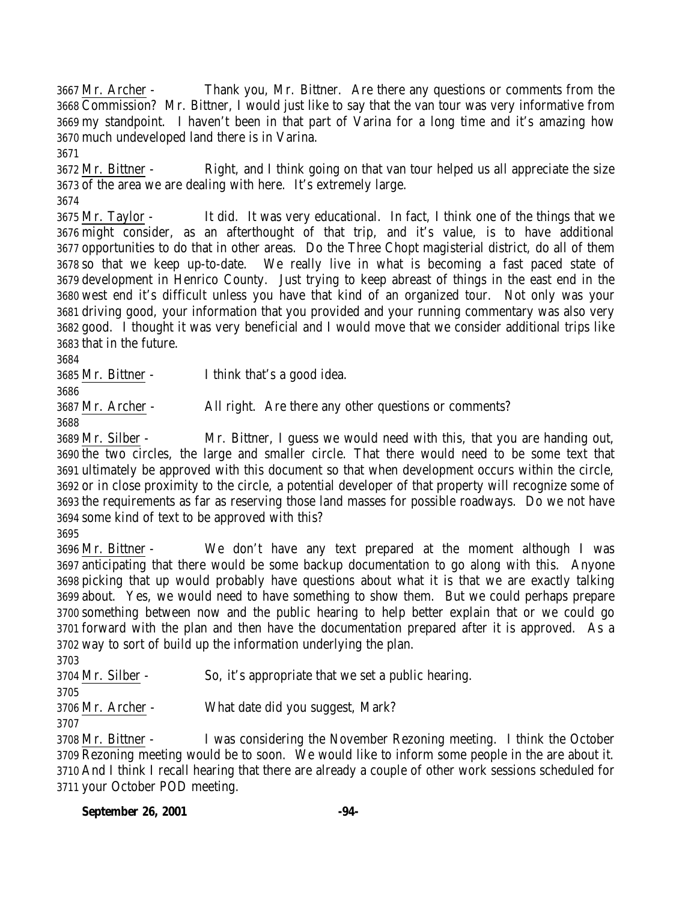Mr. Archer - Thank you, Mr. Bittner. Are there any questions or comments from the Commission? Mr. Bittner, I would just like to say that the van tour was very informative from my standpoint. I haven't been in that part of Varina for a long time and it's amazing how much undeveloped land there is in Varina.

 Mr. Bittner - Right, and I think going on that van tour helped us all appreciate the size of the area we are dealing with here. It's extremely large.

 Mr. Taylor - It did. It was very educational. In fact, I think one of the things that we might consider, as an afterthought of that trip, and it's value, is to have additional opportunities to do that in other areas. Do the Three Chopt magisterial district, do all of them so that we keep up-to-date. We really live in what is becoming a fast paced state of development in Henrico County. Just trying to keep abreast of things in the east end in the west end it's difficult unless you have that kind of an organized tour. Not only was your driving good, your information that you provided and your running commentary was also very good. I thought it was very beneficial and I would move that we consider additional trips like that in the future.

Mr. Bittner - I think that's a good idea.

Mr. Archer - All right. Are there any other questions or comments?

 Mr. Silber - Mr. Bittner, I guess we would need with this, that you are handing out, the two circles, the large and smaller circle. That there would need to be some text that ultimately be approved with this document so that when development occurs within the circle, or in close proximity to the circle, a potential developer of that property will recognize some of the requirements as far as reserving those land masses for possible roadways. Do we not have some kind of text to be approved with this?

 Mr. Bittner - We don't have any text prepared at the moment although I was anticipating that there would be some backup documentation to go along with this. Anyone picking that up would probably have questions about what it is that we are exactly talking about. Yes, we would need to have something to show them. But we could perhaps prepare something between now and the public hearing to help better explain that or we could go forward with the plan and then have the documentation prepared after it is approved. As a way to sort of build up the information underlying the plan.

 Mr. Silber - So, it's appropriate that we set a public hearing. 

Mr. Archer - What date did you suggest, Mark?

 Mr. Bittner - I was considering the November Rezoning meeting. I think the October Rezoning meeting would be to soon. We would like to inform some people in the are about it. And I think I recall hearing that there are already a couple of other work sessions scheduled for your October POD meeting.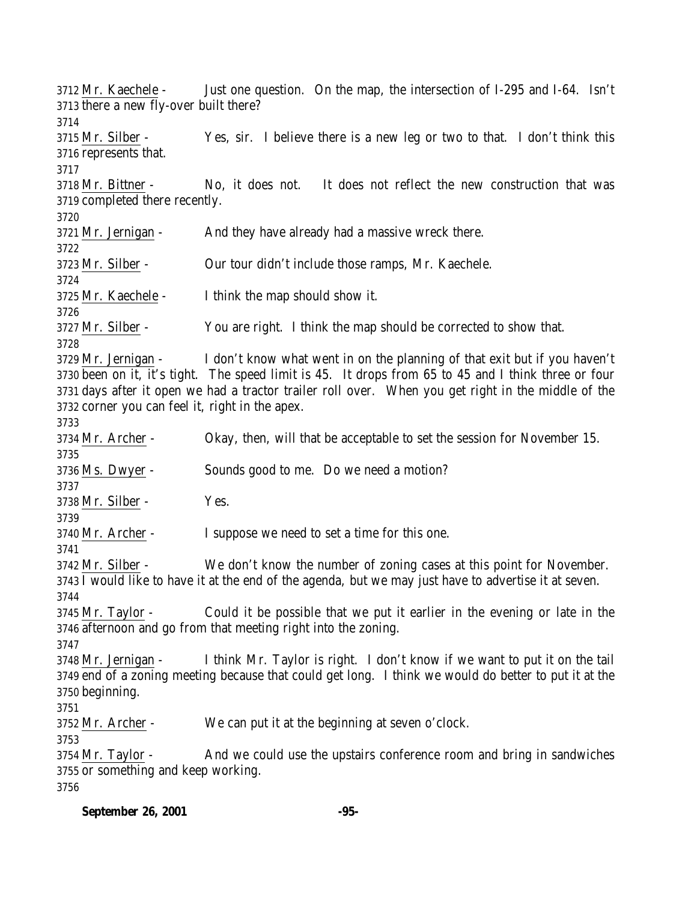Mr. Kaechele - Just one question. On the map, the intersection of I-295 and I-64. Isn't there a new fly-over built there? Mr. Silber - Yes, sir. I believe there is a new leg or two to that. I don't think this represents that. Mr. Bittner - No, it does not. It does not reflect the new construction that was completed there recently. Mr. Jernigan - And they have already had a massive wreck there. Mr. Silber - Our tour didn't include those ramps, Mr. Kaechele. Mr. Kaechele - I think the map should show it. Mr. Silber - You are right. I think the map should be corrected to show that. Mr. Jernigan - I don't know what went in on the planning of that exit but if you haven't been on it, it's tight. The speed limit is 45. It drops from 65 to 45 and I think three or four days after it open we had a tractor trailer roll over. When you get right in the middle of the corner you can feel it, right in the apex. Mr. Archer - Okay, then, will that be acceptable to set the session for November 15. Ms. Dwyer - Sounds good to me. Do we need a motion? Mr. Silber - Yes. Mr. Archer - I suppose we need to set a time for this one. Mr. Silber - We don't know the number of zoning cases at this point for November. I would like to have it at the end of the agenda, but we may just have to advertise it at seven. Mr. Taylor - Could it be possible that we put it earlier in the evening or late in the afternoon and go from that meeting right into the zoning. Mr. Jernigan - I think Mr. Taylor is right. I don't know if we want to put it on the tail end of a zoning meeting because that could get long. I think we would do better to put it at the beginning. Mr. Archer - We can put it at the beginning at seven o'clock. 3754 Mr. Taylor - And we could use the upstairs conference room and bring in sandwiches or something and keep working.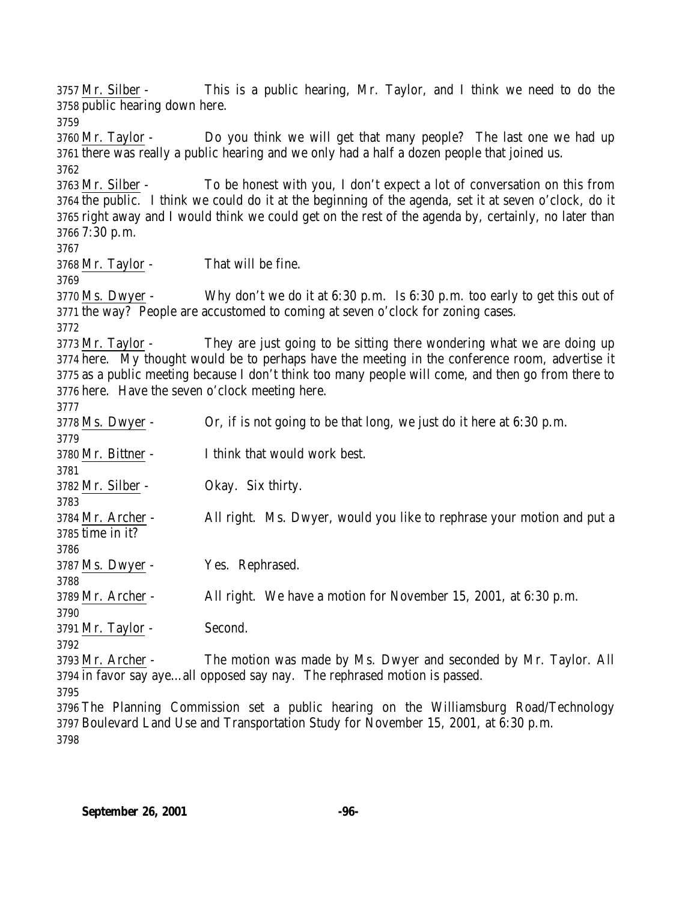Mr. Silber - This is a public hearing, Mr. Taylor, and I think we need to do the public hearing down here. Mr. Taylor - Do you think we will get that many people? The last one we had up there was really a public hearing and we only had a half a dozen people that joined us. Mr. Silber - To be honest with you, I don't expect a lot of conversation on this from the public. I think we could do it at the beginning of the agenda, set it at seven o'clock, do it right away and I would think we could get on the rest of the agenda by, certainly, no later than 7:30 p.m. Mr. Taylor - That will be fine. Ms. Dwyer - Why don't we do it at 6:30 p.m. Is 6:30 p.m. too early to get this out of the way? People are accustomed to coming at seven o'clock for zoning cases. Mr. Taylor - They are just going to be sitting there wondering what we are doing up here. My thought would be to perhaps have the meeting in the conference room, advertise it as a public meeting because I don't think too many people will come, and then go from there to here. Have the seven o'clock meeting here. Ms. Dwyer - Or, if is not going to be that long, we just do it here at 6:30 p.m. Mr. Bittner - I think that would work best. Mr. Silber - Okay. Six thirty. Mr. Archer - All right. Ms. Dwyer, would you like to rephrase your motion and put a time in it? Ms. Dwyer - Yes. Rephrased. Mr. Archer - All right. We have a motion for November 15, 2001, at 6:30 p.m. Mr. Taylor - Second. Mr. Archer - The motion was made by Ms. Dwyer and seconded by Mr. Taylor. All in favor say aye…all opposed say nay. The rephrased motion is passed. The Planning Commission set a public hearing on the Williamsburg Road/Technology Boulevard Land Use and Transportation Study for November 15, 2001, at 6:30 p.m.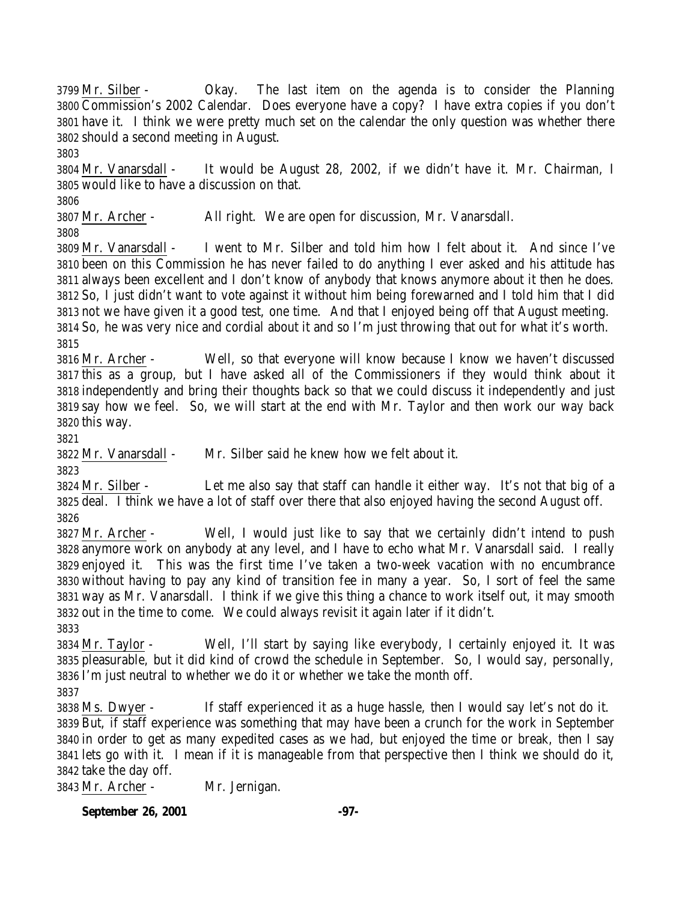Commission's 2002 Calendar. Does everyone have a copy? I have extra copies if you don't have it. I think we were pretty much set on the calendar the only question was whether there should a second meeting in August. Mr. Vanarsdall - It would be August 28, 2002, if we didn't have it. Mr. Chairman, I would like to have a discussion on that. Mr. Archer - All right. We are open for discussion, Mr. Vanarsdall. Mr. Vanarsdall - I went to Mr. Silber and told him how I felt about it. And since I've been on this Commission he has never failed to do anything I ever asked and his attitude has always been excellent and I don't know of anybody that knows anymore about it then he does. So, I just didn't want to vote against it without him being forewarned and I told him that I did not we have given it a good test, one time. And that I enjoyed being off that August meeting. So, he was very nice and cordial about it and so I'm just throwing that out for what it's worth. Mr. Archer - Well, so that everyone will know because I know we haven't discussed this as a group, but I have asked all of the Commissioners if they would think about it independently and bring their thoughts back so that we could discuss it independently and just say how we feel. So, we will start at the end with Mr. Taylor and then work our way back this way. Mr. Vanarsdall - Mr. Silber said he knew how we felt about it. Mr. Silber - Let me also say that staff can handle it either way. It's not that big of a deal. I think we have a lot of staff over there that also enjoyed having the second August off. Mr. Archer - Well, I would just like to say that we certainly didn't intend to push anymore work on anybody at any level, and I have to echo what Mr. Vanarsdall said. I really enjoyed it. This was the first time I've taken a two-week vacation with no encumbrance without having to pay any kind of transition fee in many a year. So, I sort of feel the same way as Mr. Vanarsdall. I think if we give this thing a chance to work itself out, it may smooth out in the time to come. We could always revisit it again later if it didn't. Mr. Taylor - Well, I'll start by saying like everybody, I certainly enjoyed it. It was pleasurable, but it did kind of crowd the schedule in September. So, I would say, personally, I'm just neutral to whether we do it or whether we take the month off. Ms. Dwyer - If staff experienced it as a huge hassle, then I would say let's not do it. But, if staff experience was something that may have been a crunch for the work in September in order to get as many expedited cases as we had, but enjoyed the time or break, then I say lets go with it. I mean if it is manageable from that perspective then I think we should do it, take the day off. Mr. Archer - Mr. Jernigan.

Mr. Silber - Okay. The last item on the agenda is to consider the Planning

**September 26, 2001 -97-**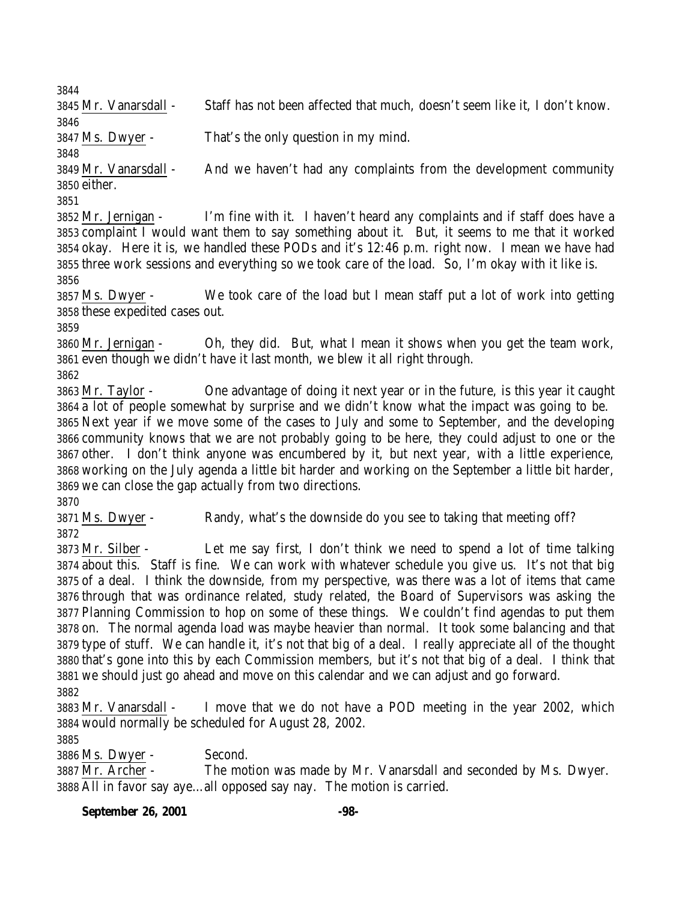Mr. Vanarsdall - Staff has not been affected that much, doesn't seem like it, I don't know. 

Ms. Dwyer - That's the only question in my mind.

 Mr. Vanarsdall - And we haven't had any complaints from the development community either.

 Mr. Jernigan - I'm fine with it. I haven't heard any complaints and if staff does have a complaint I would want them to say something about it. But, it seems to me that it worked okay. Here it is, we handled these PODs and it's 12:46 p.m. right now. I mean we have had three work sessions and everything so we took care of the load. So, I'm okay with it like is. 

 Ms. Dwyer - We took care of the load but I mean staff put a lot of work into getting these expedited cases out.

 Mr. Jernigan - Oh, they did. But, what I mean it shows when you get the team work, even though we didn't have it last month, we blew it all right through.

 Mr. Taylor - One advantage of doing it next year or in the future, is this year it caught a lot of people somewhat by surprise and we didn't know what the impact was going to be. Next year if we move some of the cases to July and some to September, and the developing community knows that we are not probably going to be here, they could adjust to one or the other. I don't think anyone was encumbered by it, but next year, with a little experience, working on the July agenda a little bit harder and working on the September a little bit harder, we can close the gap actually from two directions.

 Ms. Dwyer - Randy, what's the downside do you see to taking that meeting off? 

 Mr. Silber - Let me say first, I don't think we need to spend a lot of time talking about this. Staff is fine. We can work with whatever schedule you give us. It's not that big of a deal. I think the downside, from my perspective, was there was a lot of items that came through that was ordinance related, study related, the Board of Supervisors was asking the Planning Commission to hop on some of these things. We couldn't find agendas to put them on. The normal agenda load was maybe heavier than normal. It took some balancing and that type of stuff. We can handle it, it's not that big of a deal. I really appreciate all of the thought that's gone into this by each Commission members, but it's not that big of a deal. I think that we should just go ahead and move on this calendar and we can adjust and go forward. 

 Mr. Vanarsdall - I move that we do not have a POD meeting in the year 2002, which would normally be scheduled for August 28, 2002.

Ms. Dwyer - Second.

 Mr. Archer - The motion was made by Mr. Vanarsdall and seconded by Ms. Dwyer. All in favor say aye…all opposed say nay. The motion is carried.

### **September 26, 2001 -98-**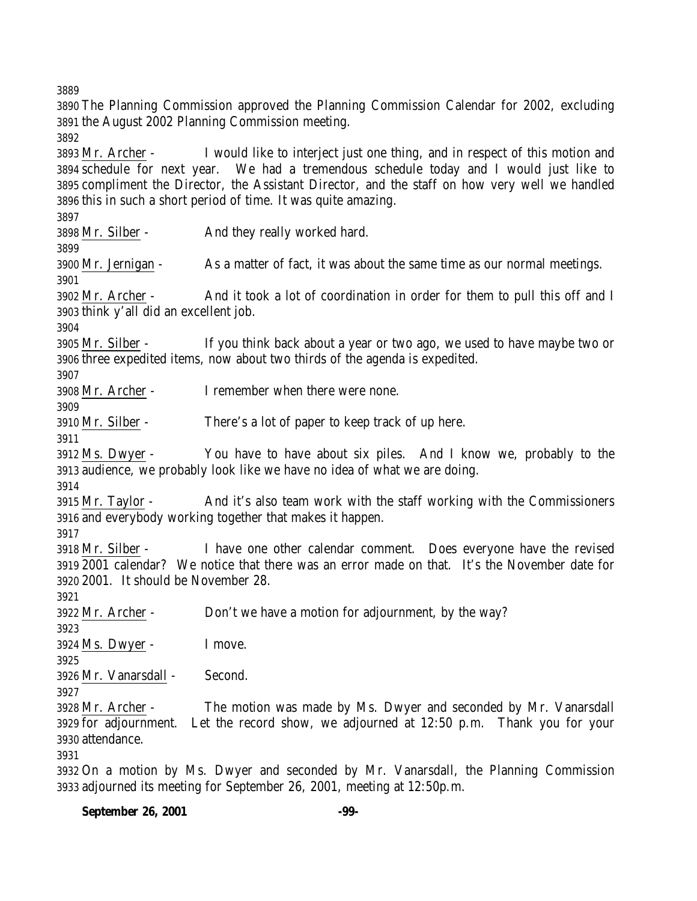The Planning Commission approved the Planning Commission Calendar for 2002, excluding the August 2002 Planning Commission meeting. Mr. Archer - I would like to interject just one thing, and in respect of this motion and schedule for next year. We had a tremendous schedule today and I would just like to compliment the Director, the Assistant Director, and the staff on how very well we handled this in such a short period of time. It was quite amazing. Mr. Silber - And they really worked hard. Mr. Jernigan - As a matter of fact, it was about the same time as our normal meetings. Mr. Archer - And it took a lot of coordination in order for them to pull this off and I think y'all did an excellent job. Mr. Silber - If you think back about a year or two ago, we used to have maybe two or three expedited items, now about two thirds of the agenda is expedited. Mr. Archer - I remember when there were none. Mr. Silber - There's a lot of paper to keep track of up here. Ms. Dwyer - You have to have about six piles. And I know we, probably to the audience, we probably look like we have no idea of what we are doing. Mr. Taylor - And it's also team work with the staff working with the Commissioners and everybody working together that makes it happen. Mr. Silber - I have one other calendar comment. Does everyone have the revised 2001 calendar? We notice that there was an error made on that. It's the November date for 2001. It should be November 28. Mr. Archer - Don't we have a motion for adjournment, by the way? Ms. Dwyer - I move. Mr. Vanarsdall - Second. Mr. Archer - The motion was made by Ms. Dwyer and seconded by Mr. Vanarsdall for adjournment. Let the record show, we adjourned at 12:50 p.m. Thank you for your attendance. On a motion by Ms. Dwyer and seconded by Mr. Vanarsdall, the Planning Commission

**September 26, 2001 -99-**

adjourned its meeting for September 26, 2001, meeting at 12:50p.m.